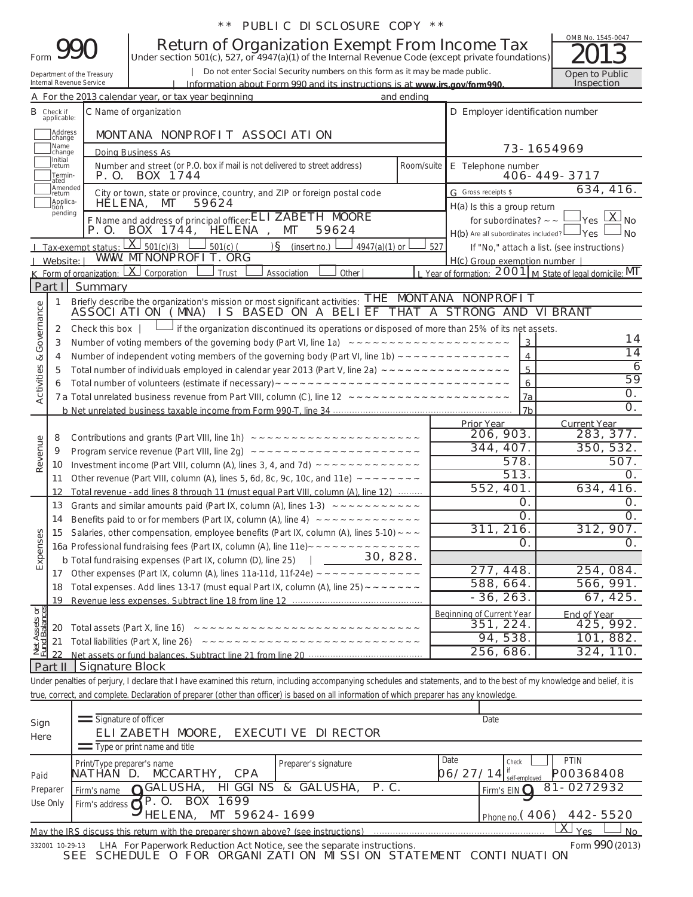|  |  | ** PUBLIC DISCLOSURE COPY ** |  |  |
|--|--|------------------------------|--|--|
|--|--|------------------------------|--|--|

|                                                                                                                                                                                          |                                       |                                                                                                                                         | <b>Return of Organization Exempt From Income Tax</b><br>Under section 501(c), 527, or 4947(a)(1) of the Internal Revenue Code (except private foundations)                            |            |                                                                                                         | OMB No. 1545-0047                                                                                                                                |  |  |
|------------------------------------------------------------------------------------------------------------------------------------------------------------------------------------------|---------------------------------------|-----------------------------------------------------------------------------------------------------------------------------------------|---------------------------------------------------------------------------------------------------------------------------------------------------------------------------------------|------------|---------------------------------------------------------------------------------------------------------|--------------------------------------------------------------------------------------------------------------------------------------------------|--|--|
| Do not enter Social Security numbers on this form as it may be made public.<br>Department of the Treasury                                                                                |                                       |                                                                                                                                         |                                                                                                                                                                                       |            |                                                                                                         |                                                                                                                                                  |  |  |
| Inspection<br>Internal Revenue Service<br>Information about Form 990 and its instructions is at www.jrs.gov/form990<br>A For the 2013 calendar year, or tax year beginning<br>and ending |                                       |                                                                                                                                         |                                                                                                                                                                                       |            |                                                                                                         |                                                                                                                                                  |  |  |
|                                                                                                                                                                                          | <b>B</b> Check if                     |                                                                                                                                         | C Name of organization                                                                                                                                                                |            | D Employer identification number                                                                        |                                                                                                                                                  |  |  |
|                                                                                                                                                                                          | applicable:                           |                                                                                                                                         |                                                                                                                                                                                       |            |                                                                                                         |                                                                                                                                                  |  |  |
|                                                                                                                                                                                          | Address<br>Ichange                    |                                                                                                                                         | MONTANA NONPROFIT ASSOCIATION                                                                                                                                                         |            |                                                                                                         |                                                                                                                                                  |  |  |
|                                                                                                                                                                                          | Mame]<br>Jchange                      |                                                                                                                                         | Doina Business As                                                                                                                                                                     |            |                                                                                                         | 73-1654969                                                                                                                                       |  |  |
|                                                                                                                                                                                          | Initial<br>Ireturn<br>Termin-<br>ated | P. O.                                                                                                                                   | Number and street (or P.O. box if mail is not delivered to street address)<br>BOX 1744                                                                                                | Room/suite | E Telephone number                                                                                      | 406-449-3717                                                                                                                                     |  |  |
|                                                                                                                                                                                          | Amended<br>return<br>Applica-         |                                                                                                                                         | City or town, state or province, country, and ZIP or foreign postal code                                                                                                              |            | G Gross receipts \$                                                                                     | 634, 416.                                                                                                                                        |  |  |
|                                                                                                                                                                                          | tion<br>pending                       | HELENA,<br>P. O.<br>Tax-exempt status:                                                                                                  | MT<br>59624<br>F Name and address of principal officer: ELI ZABETH MOORE<br>BOX 1744, HELENA<br>MT<br>59624<br>$X_{501(c)(3)}$<br>$)$ S (insert no.)<br>$501(c)$ (<br>$4947(a)(1)$ or | 527        | H(a) Is this a group return<br>for subordinates? $\sim$ $\sim$<br>$H(b)$ Are all subordinates included? | $\mathsf{l}_{\mathsf{Yes}} \mathbin{\lfloor \mathsf{X} \mathsf{l}_{\mathsf{No}} }$<br>∃Yes<br>∍ No<br>If "No," attach a list. (see instructions) |  |  |
|                                                                                                                                                                                          | J Website: I                          |                                                                                                                                         | WWW. MTNONPROFI T. ORG                                                                                                                                                                |            | H(c) Group exemption number                                                                             |                                                                                                                                                  |  |  |
|                                                                                                                                                                                          |                                       |                                                                                                                                         | <b>K</b> Form of organization: $\lfloor X \rfloor$ Corporation<br>Association<br>Other<br>Trust                                                                                       |            |                                                                                                         | L Year of formation: 2001 M State of legal domicile: MT                                                                                          |  |  |
|                                                                                                                                                                                          | Part I                                | Summary                                                                                                                                 |                                                                                                                                                                                       |            | NONPROFIT                                                                                               |                                                                                                                                                  |  |  |
|                                                                                                                                                                                          | 1                                     |                                                                                                                                         | THE<br>Briefly describe the organization's mission or most significant activities:<br>ASSOCIATION (MNA) IS BASED ON A BELIEF THAT A STRONG AND VIBRANT                                | MONTANA    |                                                                                                         |                                                                                                                                                  |  |  |
| Activities & Governance                                                                                                                                                                  |                                       |                                                                                                                                         |                                                                                                                                                                                       |            |                                                                                                         |                                                                                                                                                  |  |  |
|                                                                                                                                                                                          | 3                                     | if the organization discontinued its operations or disposed of more than 25% of its net assets.<br>Check this box $\parallel$<br>2<br>3 |                                                                                                                                                                                       |            |                                                                                                         |                                                                                                                                                  |  |  |
|                                                                                                                                                                                          | 4                                     |                                                                                                                                         |                                                                                                                                                                                       |            | $\overline{4}$                                                                                          | $\overline{14}$                                                                                                                                  |  |  |
|                                                                                                                                                                                          |                                       |                                                                                                                                         |                                                                                                                                                                                       |            | 5                                                                                                       | $\overline{6}$                                                                                                                                   |  |  |
|                                                                                                                                                                                          |                                       |                                                                                                                                         |                                                                                                                                                                                       |            | 6                                                                                                       | 59                                                                                                                                               |  |  |
|                                                                                                                                                                                          |                                       |                                                                                                                                         |                                                                                                                                                                                       |            | 7a                                                                                                      | $\overline{O}$ .                                                                                                                                 |  |  |
|                                                                                                                                                                                          |                                       |                                                                                                                                         |                                                                                                                                                                                       |            | 7 <sub>b</sub>                                                                                          | O <sub>1</sub>                                                                                                                                   |  |  |
|                                                                                                                                                                                          |                                       |                                                                                                                                         |                                                                                                                                                                                       |            | <b>Prior Year</b><br>206, 903.                                                                          | <b>Current Year</b><br>283, 377.                                                                                                                 |  |  |
| Revenue                                                                                                                                                                                  | 8                                     |                                                                                                                                         |                                                                                                                                                                                       |            | 344, 407.                                                                                               | 350, 532.                                                                                                                                        |  |  |
|                                                                                                                                                                                          | 9                                     |                                                                                                                                         |                                                                                                                                                                                       |            | 578.                                                                                                    | 507.                                                                                                                                             |  |  |
|                                                                                                                                                                                          | 10                                    |                                                                                                                                         | Other revenue (Part VIII, column (A), lines 5, 6d, 8c, 9c, 10c, and 11e) $\sim \sim \sim \sim \sim \sim \sim$                                                                         |            | 513.                                                                                                    | 0.                                                                                                                                               |  |  |
|                                                                                                                                                                                          | 11<br>12                              |                                                                                                                                         | Total revenue - add lines 8 through 11 (must equal Part VIII. column (A). line 12)                                                                                                    |            | 552, 401.                                                                                               | 634, 416.                                                                                                                                        |  |  |
|                                                                                                                                                                                          | 13                                    |                                                                                                                                         | Grants and similar amounts paid (Part IX, column (A), lines 1-3) $\sim -\sim -\sim -\sim -\sim$                                                                                       |            | Ο.                                                                                                      | O <sub>1</sub>                                                                                                                                   |  |  |
|                                                                                                                                                                                          | 14                                    |                                                                                                                                         | Benefits paid to or for members (Part IX, column (A), line 4) $\sim \sim \sim \sim \sim \sim \sim \sim \sim \sim \sim \sim \sim$                                                      |            | Ο.                                                                                                      | O <sub>1</sub>                                                                                                                                   |  |  |
| es                                                                                                                                                                                       | 15                                    |                                                                                                                                         | Salaries, other compensation, employee benefits (Part IX, column (A), lines 5-10) $\sim$ $\sim$ $\sim$                                                                                |            | 311, 216.                                                                                               | 312, 907.                                                                                                                                        |  |  |
|                                                                                                                                                                                          |                                       |                                                                                                                                         |                                                                                                                                                                                       |            | Ο.                                                                                                      | O <sub>1</sub>                                                                                                                                   |  |  |
| Expense                                                                                                                                                                                  |                                       |                                                                                                                                         | $\frac{1}{2}$ 30, 828.<br><b>b</b> Total fundraising expenses (Part IX, column (D), line 25)                                                                                          |            |                                                                                                         |                                                                                                                                                  |  |  |
|                                                                                                                                                                                          | 17                                    |                                                                                                                                         |                                                                                                                                                                                       |            | 277, 448.                                                                                               | 254, 084.                                                                                                                                        |  |  |
|                                                                                                                                                                                          | 18                                    |                                                                                                                                         | Total expenses. Add lines 13-17 (must equal Part IX, column (A), line 25) $\sim$ $\sim$ $\sim$ $\sim$ $\sim$ $\sim$                                                                   |            | 588, 664.                                                                                               | 566, 991.                                                                                                                                        |  |  |
|                                                                                                                                                                                          | 19                                    |                                                                                                                                         |                                                                                                                                                                                       |            | $-36, 263.$                                                                                             | 67, 425.                                                                                                                                         |  |  |
| Net Assets or<br>Fund Balances                                                                                                                                                           |                                       |                                                                                                                                         |                                                                                                                                                                                       |            | <b>Beginning of Current Year</b>                                                                        | <b>End of Year</b>                                                                                                                               |  |  |
|                                                                                                                                                                                          | 20                                    |                                                                                                                                         |                                                                                                                                                                                       |            | 351, 224.                                                                                               | 425, 992.                                                                                                                                        |  |  |
|                                                                                                                                                                                          | 21                                    |                                                                                                                                         |                                                                                                                                                                                       |            | 94, 538.                                                                                                | 101, 882.                                                                                                                                        |  |  |
|                                                                                                                                                                                          | 22                                    |                                                                                                                                         |                                                                                                                                                                                       |            | 256, 686.                                                                                               | 324, 110.                                                                                                                                        |  |  |
|                                                                                                                                                                                          | Part II                               | <b>Signature Block</b>                                                                                                                  |                                                                                                                                                                                       |            |                                                                                                         |                                                                                                                                                  |  |  |
|                                                                                                                                                                                          |                                       |                                                                                                                                         | Under penalties of perjury, I declare that I have examined this return, including accompanying schedules and statements, and to the best of my knowledge and belief, it is            |            |                                                                                                         |                                                                                                                                                  |  |  |
|                                                                                                                                                                                          |                                       |                                                                                                                                         | true, correct, and complete. Declaration of preparer (other than officer) is based on all information of which preparer has any knowledge.                                            |            |                                                                                                         |                                                                                                                                                  |  |  |

| Sign<br>Here | Signature of officer<br>ELIZABETH MOORE, EXECUTIVE DI RECTOR                                                 | Date                                                                   |  |  |  |  |  |  |  |
|--------------|--------------------------------------------------------------------------------------------------------------|------------------------------------------------------------------------|--|--|--|--|--|--|--|
|              | Type or print name and title                                                                                 |                                                                        |  |  |  |  |  |  |  |
| Paid         | Print/Type preparer's name<br>Preparer's signature<br>MCCARTHY,<br><b>CPA</b><br>NATHAN D.                   | Date<br><b>PTIN</b><br>Check<br>P00368408<br>06/27/14<br>self-employed |  |  |  |  |  |  |  |
| Preparer     | HIGGINS & GALUSHA, P.C.<br>GALUSHA,<br>Firm's name                                                           | $81 - 0272932$<br>Firm's EIN $\Omega$                                  |  |  |  |  |  |  |  |
| Use Only     | BOX 1699<br>Firm's address $\bigwedge$ P. O.                                                                 |                                                                        |  |  |  |  |  |  |  |
|              | HELENA, MT 59624-1699                                                                                        | 442-5520<br>$P_{hone}$ no. (406)                                       |  |  |  |  |  |  |  |
|              | May the IRS discuss this return with the preparer shown above? (see instructions)                            | <u>X</u><br><b>Yes</b><br>No.                                          |  |  |  |  |  |  |  |
|              | Form 990 (2013)<br>LHA For Paperwork Reduction Act Notice, see the separate instructions.<br>332001 10-29-13 |                                                                        |  |  |  |  |  |  |  |

SEE SCHEDULE O FOR ORGANIZATION MISSION STATEMENT CONTINUATION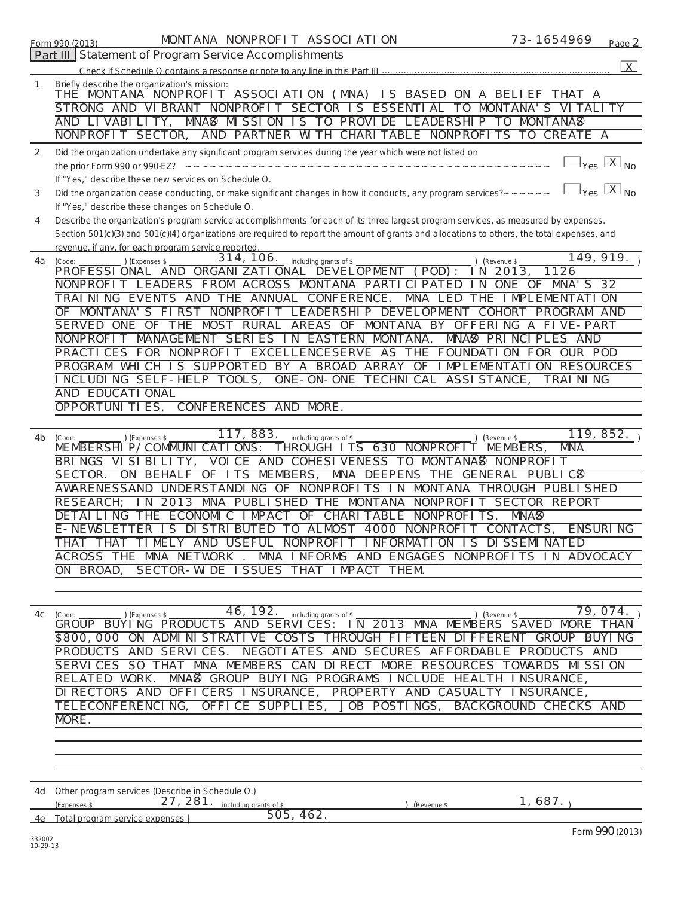|                    | MONTANA NONPROFIT ASSOCIATION<br>73-1654969<br>Form 990 (2013)<br>Page 2                                                                                                                                                                                              |
|--------------------|-----------------------------------------------------------------------------------------------------------------------------------------------------------------------------------------------------------------------------------------------------------------------|
|                    | Part III Statement of Program Service Accomplishments                                                                                                                                                                                                                 |
|                    | $\vert X \vert$                                                                                                                                                                                                                                                       |
| 1                  | Briefly describe the organization's mission:<br>THE MONTANA NONPROFIT ASSOCIATION (MNA) IS BASED ON A BELIEF THAT A<br>STRONG AND VIBRANT NONPROFIT SECTOR IS ESSENTIAL TO MONTANA'S VITALITY<br>MNA& MISSION IS TO PROVIDE LEADERSHIP TO MONTANA&<br>AND LIVABILITY, |
|                    | AND PARTNER WITH CHARITABLE NONPROFITS TO CREATE A<br>NONPROFIT SECTOR,                                                                                                                                                                                               |
| 2                  | Did the organization undertake any significant program services during the year which were not listed on                                                                                                                                                              |
|                    | $\gamma_{\text{es}}$ $\lfloor \chi \rfloor_{\text{No}}$                                                                                                                                                                                                               |
|                    | If "Yes," describe these new services on Schedule O.<br>$\vert_{\mathsf{Yes}}$ $\vert$ $\mathsf{X}\vert$ no<br>Did the organization cease conducting, or make significant changes in how it conducts, any program services? ~~~~~~                                    |
| 3                  | If "Yes," describe these changes on Schedule O.                                                                                                                                                                                                                       |
| 4                  | Describe the organization's program service accomplishments for each of its three largest program services, as measured by expenses.                                                                                                                                  |
|                    | Section 501(c)(3) and 501(c)(4) organizations are required to report the amount of grants and allocations to others, the total expenses, and                                                                                                                          |
| 4a                 | revenue, if any, for each program service reported.<br>149, 919.<br>314, 106.<br>including grants of \$<br>) (Expenses \$<br>) (Revenue \$<br>(Code:                                                                                                                  |
|                    | PROFESSIONAL AND ORGANIZATIONAL DEVELOPMENT (POD):<br>1126<br>- 2013,<br>IN.                                                                                                                                                                                          |
|                    | NONPROFIT LEADERS FROM ACROSS MONTANA PARTICIPATED<br>ONE OF MNA'S 32<br>IN.                                                                                                                                                                                          |
|                    | TRAINING EVENTS AND THE ANNUAL CONFERENCE.<br>MNA LED<br>THE IMPLEMENTATION                                                                                                                                                                                           |
|                    | OF MONTANA'S FIRST NONPROFIT LEADERSHIP DEVELOPMENT COHORT<br>PROGRAM AND                                                                                                                                                                                             |
|                    | SERVED ONE OF THE MOST RURAL AREAS OF MONTANA BY OFFERING A FIVE-PART                                                                                                                                                                                                 |
|                    | NONPROFIT MANAGEMENT SERIES IN EASTERN MONTANA.<br>MNA <sup>8</sup> PRINCIPLES AND                                                                                                                                                                                    |
|                    | PRACTICES FOR NONPROFIT EXCELLENCESERVE AS THE FOUNDATION FOR OUR POD                                                                                                                                                                                                 |
|                    | PROGRAM WHICH IS SUPPORTED BY A BROAD ARRAY OF IMPLEMENTATION RESOURCES                                                                                                                                                                                               |
|                    | INCLUDING SELF-HELP TOOLS,<br>ONE-ON-ONE TECHNICAL ASSISTANCE,<br><b>TRAINING</b>                                                                                                                                                                                     |
|                    | AND EDUCATI ONAL                                                                                                                                                                                                                                                      |
|                    | OPPORTUNI TI ES,<br>CONFERENCES AND MORE.                                                                                                                                                                                                                             |
|                    |                                                                                                                                                                                                                                                                       |
| 4b                 | 117, 883.<br>119, 852.<br>including grants of \$<br>CExpenses \$<br>(Revenue \$<br>(Code:<br>MEMBERSHIP/COMMUNICATIONS: THROUGH ITS 630 NONPROFIT<br>MNA<br>MEMBERS,                                                                                                  |
|                    | BRINGS VISIBILITY, VOICE AND COHESIVENESS TO MONTANA®<br>NONPROFIT                                                                                                                                                                                                    |
|                    | MNA DEEPENS THE GENERAL PUBLIC8<br>SECTOR.<br>ON BEHALF OF ITS MEMBERS,                                                                                                                                                                                               |
|                    | UNDERSTANDING OF NONPROFITS IN<br>AWARENESSAND<br>MONTANA<br>THROUGH PUBLI SHED                                                                                                                                                                                       |
|                    | RESEARCH;<br>2013 MNA PUBLI SHED THE MONTANA<br><b>NONPROFI</b><br><b>SECTOR REPORT</b><br>I N                                                                                                                                                                        |
|                    | DETAI LI NG<br>THE ECONOMIC IMPACT OF CHARITABLE NONPROFITS.<br>MNA <sup>®</sup>                                                                                                                                                                                      |
|                    | E-NEWSLETTER IS DISTRIBUTED TO ALMOST 4000 NONPROFIT CONTACTS,<br><b>ENSURING</b>                                                                                                                                                                                     |
|                    | THAT THAT TIMELY AND USEFUL NONPROFIT INFORMATION IS DISSEMINATED                                                                                                                                                                                                     |
|                    | MNA INFORMS AND ENGAGES NONPROFITS IN ADVOCACY<br>ACROSS THE MNA NETWORK.                                                                                                                                                                                             |
|                    | SECTOR-WIDE ISSUES THAT IMPACT THEM.<br>ON BROAD,                                                                                                                                                                                                                     |
|                    |                                                                                                                                                                                                                                                                       |
|                    |                                                                                                                                                                                                                                                                       |
| 4c                 | 46, 192.<br>79, 074.<br>including grants of \$<br>) (Revenue \$<br>$\left($ Expenses \$<br>(Code:                                                                                                                                                                     |
|                    | GROUP BUÝÌNG PRODUCTS AND SERVICES: IN 2013 MNA MEMBERS SAVED MORE THAN                                                                                                                                                                                               |
|                    | \$800,000 ON ADMINISTRATIVE COSTS THROUGH FIFTEEN DIFFERENT GROUP BUYING<br>PRODUCTS AND SERVICES. NEGOTIATES AND SECURES AFFORDABLE PRODUCTS AND                                                                                                                     |
|                    | SERVICES SO THAT MNA MEMBERS CAN DIRECT MORE RESOURCES TOWARDS MISSION                                                                                                                                                                                                |
|                    | MNAS GROUP BUYING PROGRAMS INCLUDE HEALTH INSURANCE,<br>RELATED WORK.                                                                                                                                                                                                 |
|                    | PROPERTY AND CASUALTY INSURANCE,<br>DI RECTORS AND OFFICERS INSURANCE,                                                                                                                                                                                                |
|                    | OFFICE SUPPLIES,<br>JOB POSTINGS,<br>TELECONFERENCI NG,<br>BACKGROUND CHECKS AND                                                                                                                                                                                      |
|                    | MORE.                                                                                                                                                                                                                                                                 |
|                    |                                                                                                                                                                                                                                                                       |
|                    |                                                                                                                                                                                                                                                                       |
|                    |                                                                                                                                                                                                                                                                       |
|                    |                                                                                                                                                                                                                                                                       |
|                    | 4d Other program services (Describe in Schedule O.)                                                                                                                                                                                                                   |
|                    | 1,687.<br>27, 281. including grants of \$<br>(Expenses \$<br>(Revenue \$                                                                                                                                                                                              |
|                    | 505, 462.<br>4e Total program service expenses                                                                                                                                                                                                                        |
| 332002<br>10-29-13 | Form 990 (2013)                                                                                                                                                                                                                                                       |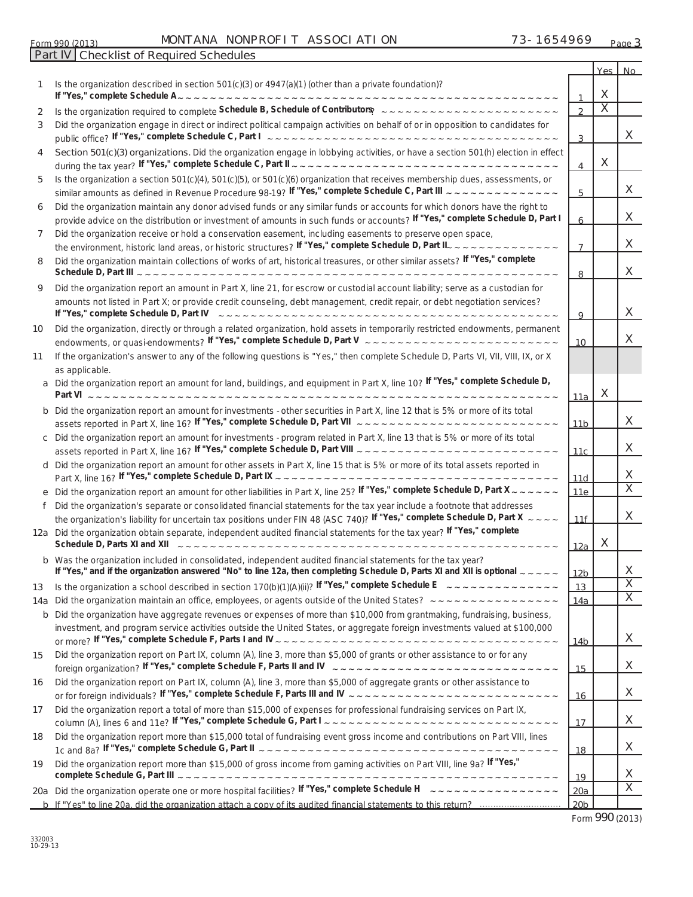|        |                                                                                                                                                                                                                                                            |                        | Yes No                  |                         |
|--------|------------------------------------------------------------------------------------------------------------------------------------------------------------------------------------------------------------------------------------------------------------|------------------------|-------------------------|-------------------------|
|        | Is the organization described in section 501(c)(3) or 4947(a)(1) (other than a private foundation)?                                                                                                                                                        |                        | X                       |                         |
|        |                                                                                                                                                                                                                                                            | $\mathbf{r}$           | $\overline{\mathsf{x}}$ |                         |
| 2<br>3 | Did the organization engage in direct or indirect political campaign activities on behalf of or in opposition to candidates for                                                                                                                            |                        |                         |                         |
|        |                                                                                                                                                                                                                                                            | 3                      |                         | X.                      |
| 4      | Section 501(c)(3) organizations. Did the organization engage in lobbying activities, or have a section 501(h) election in effect                                                                                                                           | 4                      | X                       |                         |
| 5      | Is the organization a section 501(c)(4), 501(c)(5), or 501(c)(6) organization that receives membership dues, assessments, or                                                                                                                               |                        |                         |                         |
|        |                                                                                                                                                                                                                                                            | 5                      |                         | X.                      |
| 6      | Did the organization maintain any donor advised funds or any similar funds or accounts for which donors have the right to                                                                                                                                  |                        |                         |                         |
|        | provide advice on the distribution or investment of amounts in such funds or accounts? If "Yes," complete Schedule D, Part I                                                                                                                               | 6                      |                         | X.                      |
| 7      | Did the organization receive or hold a conservation easement, including easements to preserve open space,<br>the environment, historic land areas, or historic structures? If "Yes," complete Schedule D, Part II_ _ _ _ _ _                               | $\overline{7}$         |                         | X.                      |
| 8      | Did the organization maintain collections of works of art, historical treasures, or other similar assets? If "Yes," complete                                                                                                                               |                        |                         | X.                      |
|        |                                                                                                                                                                                                                                                            | 8                      |                         |                         |
| 9      | Did the organization report an amount in Part X, line 21, for escrow or custodial account liability; serve as a custodian for<br>amounts not listed in Part X; or provide credit counseling, debt management, credit repair, or debt negotiation services? |                        |                         |                         |
|        |                                                                                                                                                                                                                                                            | 9                      |                         | X.                      |
| 10     | Did the organization, directly or through a related organization, hold assets in temporarily restricted endowments, permanent                                                                                                                              | 10 <sup>°</sup>        |                         | X.                      |
| 11     | If the organization's answer to any of the following questions is "Yes," then complete Schedule D, Parts VI, VII, VIII, IX, or X<br>as applicable.                                                                                                         |                        |                         |                         |
|        | Did the organization report an amount for land, buildings, and equipment in Part X, line 10? If "Yes," complete Schedule D,                                                                                                                                |                        | X                       |                         |
|        |                                                                                                                                                                                                                                                            | 11a                    |                         |                         |
|        | Did the organization report an amount for investments - other securities in Part X, line 12 that is 5% or more of its total                                                                                                                                | 11 <sub>b</sub>        |                         | X.                      |
| с      | Did the organization report an amount for investments - program related in Part X, line 13 that is 5% or more of its total                                                                                                                                 |                        |                         |                         |
|        |                                                                                                                                                                                                                                                            | 11 <sub>c</sub>        |                         | X.                      |
| d      | Did the organization report an amount for other assets in Part X, line 15 that is 5% or more of its total assets reported in                                                                                                                               |                        |                         | X.                      |
|        | Did the organization report an amount for other liabilities in Part X, line 25? If "Yes," complete Schedule D, Part X ~ ~ ~ ~ ~ ~                                                                                                                          | 11d<br>11e             |                         | $\overline{X}$          |
| f      | Did the organization's separate or consolidated financial statements for the tax year include a footnote that addresses                                                                                                                                    |                        |                         |                         |
|        | the organization's liability for uncertain tax positions under FIN 48 (ASC 740)? If "Yes," complete Schedule D, Part X ~~~~                                                                                                                                | 11f                    |                         | X.                      |
|        | 12a Did the organization obtain separate, independent audited financial statements for the tax year? If "Yes," complete                                                                                                                                    |                        |                         |                         |
|        |                                                                                                                                                                                                                                                            | 12a                    | X                       |                         |
|        | Was the organization included in consolidated, independent audited financial statements for the tax year?<br>If "Yes," and if the organization answered "No" to line 12a, then completing Schedule D, Parts XI and XII is optional $\sim$ $\sim$ $\sim$    |                        |                         | X                       |
| 13     | Is the organization a school described in section 170(b)(1)(A)(ii)? If "Yes," complete Schedule E $\sim 0.000$ $\sim 0.0000$                                                                                                                               | <u>12b </u><br>13      |                         | $\overline{\mathsf{x}}$ |
| 14a    | Did the organization maintain an office, employees, or agents outside of the United States? ~~~~~~~~~~~~~~~~~~                                                                                                                                             | 14a                    |                         | $\overline{X}$          |
| b      | Did the organization have aggregate revenues or expenses of more than \$10,000 from grantmaking, fundraising, business,                                                                                                                                    |                        |                         |                         |
|        | investment, and program service activities outside the United States, or aggregate foreign investments valued at \$100,000                                                                                                                                 |                        |                         |                         |
|        |                                                                                                                                                                                                                                                            | 14 <sub>b</sub>        |                         | X.                      |
| 15     | Did the organization report on Part IX, column (A), line 3, more than \$5,000 of grants or other assistance to or for any                                                                                                                                  | 15                     |                         | X.                      |
| 16     | Did the organization report on Part IX, column (A), line 3, more than \$5,000 of aggregate grants or other assistance to                                                                                                                                   |                        |                         |                         |
|        |                                                                                                                                                                                                                                                            | 16                     |                         | X.                      |
| 17     | Did the organization report a total of more than \$15,000 of expenses for professional fundraising services on Part IX,                                                                                                                                    | 17                     |                         | X.                      |
| 18     | Did the organization report more than \$15,000 total of fundraising event gross income and contributions on Part VIII, lines                                                                                                                               | 18                     |                         | X.                      |
| 19     | Did the organization report more than \$15,000 of gross income from gaming activities on Part VIII, line 9a? If "Yes,"                                                                                                                                     |                        |                         |                         |
|        |                                                                                                                                                                                                                                                            | 19                     |                         | X.<br>$\overline{X}$    |
|        |                                                                                                                                                                                                                                                            | 20a<br>20 <sub>b</sub> |                         |                         |

Form **990** (2013)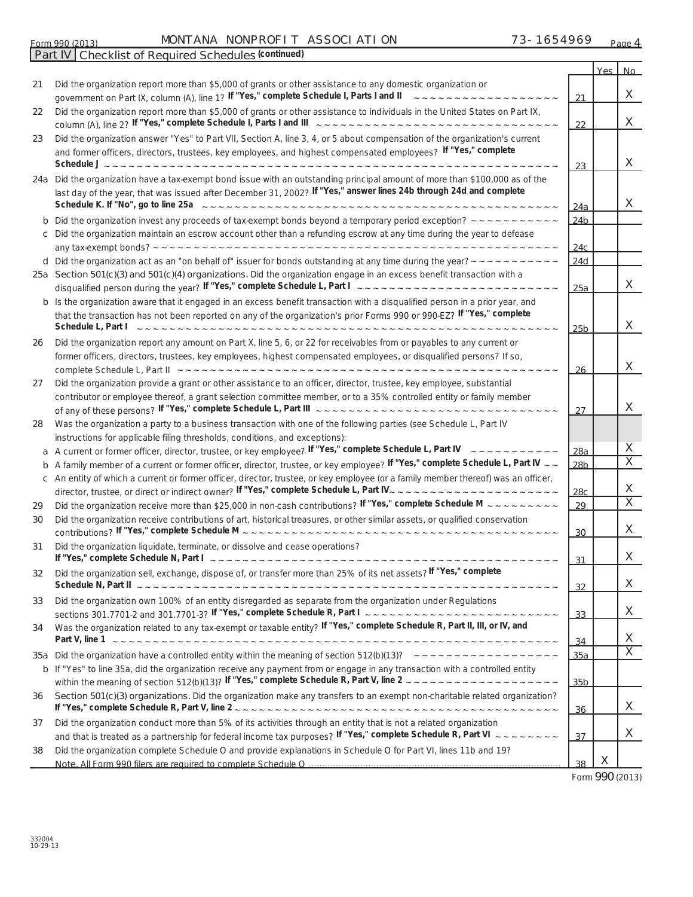| <b>MON</b><br>Form<br>(2012)<br>990<br>, , , , , | <b>NONPROF</b><br>ANA | <b>ON</b><br>ASSOC<br>∧⊤<br>∼ | .90 <sup>o</sup> | Page |
|--------------------------------------------------|-----------------------|-------------------------------|------------------|------|
|                                                  |                       |                               |                  |      |

*(continued)*

|    |                                                                                                                                                                                                                                                                                                                                                                                                                                                                        |                        | Yes I | No                      |
|----|------------------------------------------------------------------------------------------------------------------------------------------------------------------------------------------------------------------------------------------------------------------------------------------------------------------------------------------------------------------------------------------------------------------------------------------------------------------------|------------------------|-------|-------------------------|
| 21 | Did the organization report more than \$5,000 of grants or other assistance to any domestic organization or<br>government on Part IX, column (A), line 1? If "Yes," complete Schedule I, Parts I and II<br>$\sim$ $\sim$ $\sim$ $\sim$ $\sim$ $\sim$ $\sim$                                                                                                                                                                                                            | 21                     |       | X                       |
| 22 | Did the organization report more than \$5,000 of grants or other assistance to individuals in the United States on Part IX,                                                                                                                                                                                                                                                                                                                                            | 22                     |       | X                       |
| 23 | Did the organization answer "Yes" to Part VII, Section A, line 3, 4, or 5 about compensation of the organization's current<br>and former officers, directors, trustees, key employees, and highest compensated employees? If "Yes," complete<br>Schedule $J \sim -1$<br>------------------------                                                                                                                                                                       | 23                     |       | $\times$                |
|    | 24a Did the organization have a tax-exempt bond issue with an outstanding principal amount of more than \$100,000 as of the<br>last day of the year, that was issued after December 31, 2002? If "Yes," answer lines 24b through 24d and complete<br>Schedule K. If "No", go to line 25a                                                                                                                                                                               | 24a                    |       | X                       |
|    | Did the organization invest any proceeds of tax-exempt bonds beyond a temporary period exception? $\sim\sim\sim\sim\sim$<br>c Did the organization maintain an escrow account other than a refunding escrow at any time during the year to defease                                                                                                                                                                                                                     | 24 <sub>b</sub><br>24c |       |                         |
|    | d Did the organization act as an "on behalf of" issuer for bonds outstanding at any time during the year? $\sim \sim \sim \sim \sim$                                                                                                                                                                                                                                                                                                                                   | 24d                    |       |                         |
|    | 25a Section 501(c)(3) and 501(c)(4) organizations. Did the organization engage in an excess benefit transaction with a<br>disqualified person during the year? If "Yes," complete Schedule L, Part $\int_{-\infty}^{\infty}$ $\int_{-\infty}^{\infty}$ $\int_{-\infty}^{\infty}$ $\int_{-\infty}^{\infty}$ $\int_{-\infty}^{\infty}$ $\int_{-\infty}^{\infty}$ $\int_{-\infty}^{\infty}$ $\int_{-\infty}^{\infty}$ $\int_{-\infty}^{\infty}$ $\int_{-\infty}^{\infty}$ | 25a                    |       | X                       |
|    | b Is the organization aware that it engaged in an excess benefit transaction with a disqualified person in a prior year, and<br>that the transaction has not been reported on any of the organization's prior Forms 990 or 990-EZ? If "Yes," complete<br>Schedule L, Part I                                                                                                                                                                                            | 25 <sub>b</sub>        |       | X                       |
| 26 | Did the organization report any amount on Part X, line 5, 6, or 22 for receivables from or payables to any current or<br>former officers, directors, trustees, key employees, highest compensated employees, or disqualified persons? If so,                                                                                                                                                                                                                           |                        |       | $\times$                |
|    |                                                                                                                                                                                                                                                                                                                                                                                                                                                                        | 26                     |       |                         |
| 27 | Did the organization provide a grant or other assistance to an officer, director, trustee, key employee, substantial<br>contributor or employee thereof, a grant selection committee member, or to a 35% controlled entity or family member                                                                                                                                                                                                                            | 27                     |       | $\mathsf{X}$            |
| 28 | Was the organization a party to a business transaction with one of the following parties (see Schedule L, Part IV<br>instructions for applicable filing thresholds, conditions, and exceptions):                                                                                                                                                                                                                                                                       |                        |       |                         |
|    | <b>a</b> A current or former officer, director, trustee, or key employee? If "Yes," complete Schedule L, Part IV $\sim \sim \sim \sim \sim \sim \sim \sim$                                                                                                                                                                                                                                                                                                             | 28a                    |       | X                       |
|    | <b>b</b> A family member of a current or former officer, director, trustee, or key employee? If "Yes," complete Schedule L, Part IV $\sim$                                                                                                                                                                                                                                                                                                                             | 28 <sub>b</sub>        |       | $\overline{\mathsf{x}}$ |
|    | c An entity of which a current or former officer, director, trustee, or key employee (or a family member thereof) was an officer,                                                                                                                                                                                                                                                                                                                                      | 28 <sub>c</sub>        |       | X                       |
| 29 | Did the organization receive more than \$25,000 in non-cash contributions? If "Yes," complete Schedule M $\sim$ $\sim$ $\sim$ $\sim$ $\sim$ $\sim$ $\sim$                                                                                                                                                                                                                                                                                                              | 29                     |       | $\overline{\mathsf{x}}$ |
| 30 | Did the organization receive contributions of art, historical treasures, or other similar assets, or qualified conservation                                                                                                                                                                                                                                                                                                                                            | 30                     |       | X                       |
| 31 | Did the organization liquidate, terminate, or dissolve and cease operations?                                                                                                                                                                                                                                                                                                                                                                                           | 31                     |       | X                       |
| 32 | Did the organization sell, exchange, dispose of, or transfer more than 25% of its net assets? <sup><i>IT 'Yes</i>," complete</sup>                                                                                                                                                                                                                                                                                                                                     | 32                     |       | X                       |
| 33 | Did the organization own 100% of an entity disregarded as separate from the organization under Regulations                                                                                                                                                                                                                                                                                                                                                             | 33                     |       | X                       |
| 34 | Was the organization related to any tax-exempt or taxable entity? If "Yes," complete Schedule R, Part II, III, or IV, and                                                                                                                                                                                                                                                                                                                                              | 34                     |       | X                       |
|    | 35a Did the organization have a controlled entity within the meaning of section 512(b)(13)? $\sim -\sim -\sim -\sim -\sim -\sim -\sim -\sim$                                                                                                                                                                                                                                                                                                                           | 35a                    |       | $\overline{\mathsf{x}}$ |
|    | b If "Yes" to line 35a, did the organization receive any payment from or engage in any transaction with a controlled entity                                                                                                                                                                                                                                                                                                                                            | 35 <sub>b</sub>        |       |                         |
| 36 | Section 501(c)(3) organizations. Did the organization make any transfers to an exempt non-charitable related organization?                                                                                                                                                                                                                                                                                                                                             | 36                     |       | X                       |
| 37 | Did the organization conduct more than 5% of its activities through an entity that is not a related organization<br>and that is treated as a partnership for federal income tax purposes? If "Yes," complete Schedule R, Part VI $\sim \sim \sim \sim \sim \sim \sim \sim$                                                                                                                                                                                             | 37                     |       | X                       |
| 38 | Did the organization complete Schedule O and provide explanations in Schedule O for Part VI, lines 11b and 19?                                                                                                                                                                                                                                                                                                                                                         |                        |       |                         |
|    |                                                                                                                                                                                                                                                                                                                                                                                                                                                                        | 38                     | X     |                         |

Form **990** (2013)

**Part IV Checklist of Required Schedules**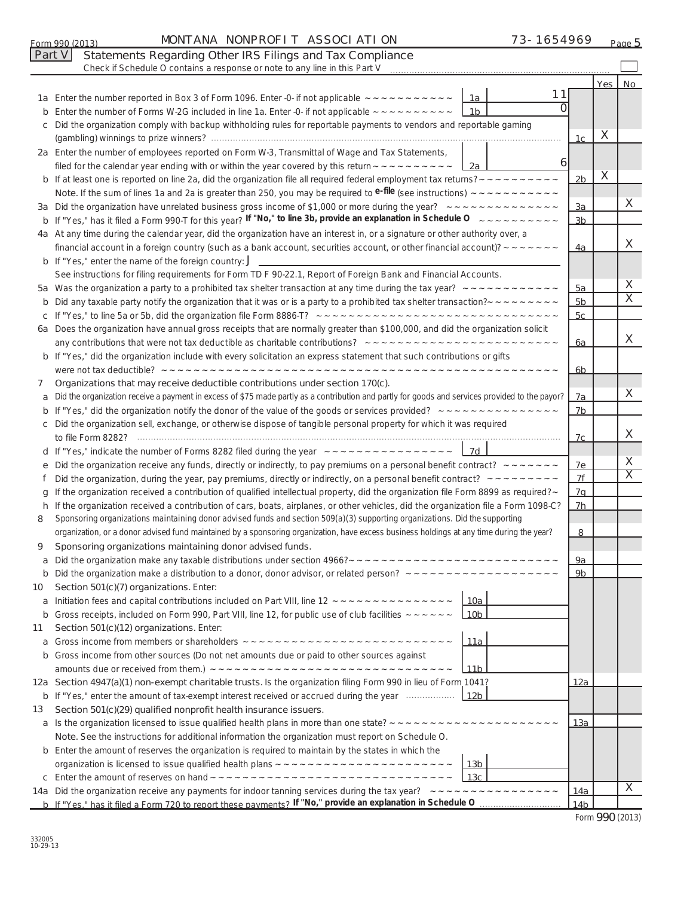|         | Part V<br>Statements Regarding Other IRS Filings and Tax Compliance<br>Check if Schedule O contains a response or note to any line in this Part V                                |                 |   |                         |
|---------|----------------------------------------------------------------------------------------------------------------------------------------------------------------------------------|-----------------|---|-------------------------|
|         |                                                                                                                                                                                  |                 |   |                         |
|         | 11<br>1a Enter the number reported in Box 3 of Form 1096. Enter -0- if not applicable $\sim \sim \sim \sim \sim \sim \sim \sim \sim \sim$<br>1a                                  |                 |   | Yes No                  |
| b       | Enter the number of Forms W-2G included in line 1a. Enter -0- if not applicable $\sim \sim \sim \sim \sim \sim \sim \sim \sim$<br>1b                                             |                 |   |                         |
| с       | Did the organization comply with backup withholding rules for reportable payments to vendors and reportable gaming                                                               |                 |   |                         |
|         |                                                                                                                                                                                  | 1c              | X |                         |
|         | 2a Enter the number of employees reported on Form W-3, Transmittal of Wage and Tax Statements,                                                                                   |                 |   |                         |
|         | $\overline{6}$<br>filed for the calendar year ending with or within the year covered by this return $\sim \sim \sim \sim \sim \sim \sim \sim \sim$<br>$\mathsf{L}2a$             |                 |   |                         |
|         |                                                                                                                                                                                  | 2 <sub>b</sub>  | X |                         |
|         |                                                                                                                                                                                  |                 |   |                         |
|         |                                                                                                                                                                                  | 3a              |   | X                       |
|         | <b>b</b> If "Yes," has it filed a Form 990-T for this year? If "No," to line 3b, provide an explanation in Schedule O $\sim \sim \sim \sim \sim \sim \sim \sim \sim \sim$        | 3 <sub>b</sub>  |   |                         |
|         | 4a At any time during the calendar year, did the organization have an interest in, or a signature or other authority over, a                                                     |                 |   |                         |
|         | financial account in a foreign country (such as a bank account, securities account, or other financial account)? $\sim$ $\sim$ $\sim$ $\sim$ $\sim$                              | 4a              |   | X                       |
|         | <b>b</b> If "Yes," enter the name of the foreign country: $J$ _________________________                                                                                          |                 |   |                         |
|         | See instructions for filing requirements for Form TD F 90-22.1, Report of Foreign Bank and Financial Accounts.                                                                   |                 |   | X                       |
|         |                                                                                                                                                                                  | 5a              |   | $\overline{\mathsf{x}}$ |
| b       | Did any taxable party notify the organization that it was or is a party to a prohibited tax shelter transaction? $\sim \sim \sim \sim \sim \sim \sim \sim$                       | 5 <sub>b</sub>  |   |                         |
|         |                                                                                                                                                                                  | 5c              |   |                         |
|         | 6a Does the organization have annual gross receipts that are normally greater than \$100,000, and did the organization solicit                                                   |                 |   | X                       |
|         |                                                                                                                                                                                  | 6a              |   |                         |
|         | <b>b</b> If "Yes," did the organization include with every solicitation an express statement that such contributions or gifts                                                    |                 |   |                         |
|         | Organizations that may receive deductible contributions under section 170(c).                                                                                                    | <u>6b</u>       |   |                         |
| 7<br>a  | Did the organization receive a payment in excess of \$75 made partly as a contribution and partly for goods and services provided to the payor?                                  | 7a              |   | X                       |
|         |                                                                                                                                                                                  | 7 <sub>b</sub>  |   |                         |
|         | c Did the organization sell, exchange, or otherwise dispose of tangible personal property for which it was required                                                              |                 |   |                         |
|         |                                                                                                                                                                                  | 7c              |   | X                       |
|         | d If "Yes," indicate the number of Forms 8282 filed during the year $-$ - - - - - - - - - - - - - - - - $-$ 1d                                                                   |                 |   |                         |
|         | e Did the organization receive any funds, directly or indirectly, to pay premiums on a personal benefit contract? $\sim$ $\sim$ $\sim$ $\sim$ $\sim$                             | 7e              |   | X                       |
|         | Did the organization, during the year, pay premiums, directly or indirectly, on a personal benefit contract? $\sim \sim \sim \sim \sim \sim \sim \sim$                           | 7f              |   | $\overline{\mathsf{x}}$ |
| g       | If the organization received a contribution of qualified intellectual property, did the organization file Form 8899 as required? ~                                               | 7a              |   |                         |
|         | h If the organization received a contribution of cars, boats, airplanes, or other vehicles, did the organization file a Form 1098-C?                                             | 7 <sub>h</sub>  |   |                         |
| 8       | Sponsoring organizations maintaining donor advised funds and section 509(a)(3) supporting organizations. Did the supporting                                                      |                 |   |                         |
|         | organization, or a donor advised fund maintained by a sponsoring organization, have excess business holdings at any time during the year?                                        | 8               |   |                         |
| 9       | Sponsoring organizations maintaining donor advised funds.                                                                                                                        |                 |   |                         |
|         |                                                                                                                                                                                  | 9а              |   |                         |
|         |                                                                                                                                                                                  | 9 <sub>b</sub>  |   |                         |
| 10      | Section 501(c)(7) organizations. Enter:                                                                                                                                          |                 |   |                         |
| a       | Initiation fees and capital contributions included on Part VIII, line 12 ~~~~~~~~~~~~~~~~~<br><u> 10a </u><br>10 <sub>b</sub>                                                    |                 |   |                         |
| b<br>11 | Gross receipts, included on Form 990, Part VIII, line 12, for public use of club facilities $\sim \sim \sim \sim \sim$<br>Section 501(c)(12) organizations. Enter:               |                 |   |                         |
| a       | <u> 11a</u>                                                                                                                                                                      |                 |   |                         |
|         | <b>b</b> Gross income from other sources (Do not net amounts due or paid to other sources against                                                                                |                 |   |                         |
|         | <u>11b</u>                                                                                                                                                                       |                 |   |                         |
|         | 12a Section 4947(a)(1) non-exempt charitable trusts. Is the organization filing Form 990 in lieu of Form 1041?                                                                   | <u> 12a </u>    |   |                         |
|         | <b>b</b> If "Yes," enter the amount of tax-exempt interest received or accrued during the year manu-<br>12b                                                                      |                 |   |                         |
| 13      | Section 501(c)(29) qualified nonprofit health insurance issuers.                                                                                                                 |                 |   |                         |
|         |                                                                                                                                                                                  | <u> 13a </u>    |   |                         |
|         | Note. See the instructions for additional information the organization must report on Schedule O.                                                                                |                 |   |                         |
|         | <b>b</b> Enter the amount of reserves the organization is required to maintain by the states in which the                                                                        |                 |   |                         |
|         | 13 <sub>b</sub>                                                                                                                                                                  |                 |   |                         |
|         | 13 <sub>c</sub>                                                                                                                                                                  |                 |   |                         |
|         | 14a Did the organization receive any payments for indoor tanning services during the tax year? $\sim \sim \sim \sim \sim \sim \sim \sim \sim \sim \sim \sim \sim \sim \sim \sim$ | <u> 14a</u>     |   | X                       |
|         |                                                                                                                                                                                  | 14 <sub>b</sub> |   |                         |

 $_{\rm Form}$ 990 (2013) MUNTANA NUNPRUFIT ASSUCIATION  $^{13}$  - 1654969  $_{\rm Page}$ 

MONTANA NONPROFIT ASSOCIATION 73-1654969

| Form 990 (2013) |  |  |  |
|-----------------|--|--|--|
|-----------------|--|--|--|

73-1654969 Page 5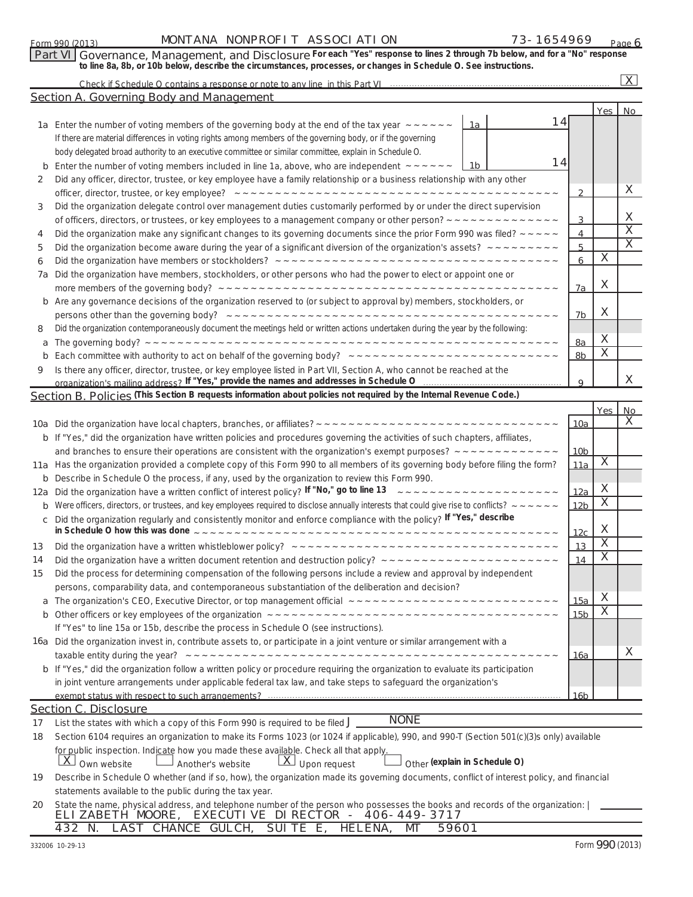### Form 990 (2013) MONTANA NONPROFIT ASSOCI ATI ON  $73-1654969$   $_{\text{Paqe}}$

*For each "Yes" response to lines 2 through 7b below, and for a "No" response* **Part VI Governance, Management, and Disclosure**  *to line 8a, 8b, or 10b below, describe the circumstances, processes, or changes in Schedule O. See instructions.*

| Check if Schedule O contains a response or note to any line in this Part VI |  |
|-----------------------------------------------------------------------------|--|
|                                                                             |  |

 $\overline{X}$ 

|     | Section A. Governing Body and Management                                                                                                                               |                 |                         |                         |
|-----|------------------------------------------------------------------------------------------------------------------------------------------------------------------------|-----------------|-------------------------|-------------------------|
|     |                                                                                                                                                                        |                 | Yes                     | <b>No</b>               |
|     | 14<br>1a Enter the number of voting members of the governing body at the end of the tax year $\sim$ $\sim$ $\sim$ $\sim$ $\sim$<br>1a                                  |                 |                         |                         |
|     | If there are material differences in voting rights among members of the governing body, or if the governing                                                            |                 |                         |                         |
|     | body delegated broad authority to an executive committee or similar committee, explain in Schedule O.                                                                  |                 |                         |                         |
| b   | 14<br>Enter the number of voting members included in line 1a, above, who are independent $\sim \sim \sim \sim \sim$<br>1b                                              |                 |                         |                         |
| 2   | Did any officer, director, trustee, or key employee have a family relationship or a business relationship with any other                                               |                 |                         |                         |
|     |                                                                                                                                                                        | $\overline{2}$  |                         | X                       |
| 3   | Did the organization delegate control over management duties customarily performed by or under the direct supervision                                                  |                 |                         |                         |
|     | of officers, directors, or trustees, or key employees to a management company or other person? $\sim \sim \sim \sim \sim \sim \sim \sim \sim \sim \sim \sim \sim \sim$ | 3               |                         | X                       |
| 4   | Did the organization make any significant changes to its governing documents since the prior Form 990 was filed? $\sim$ $\sim$ $\sim$ $\sim$                           | 4               |                         | $\overline{\mathsf{x}}$ |
| 5   | Did the organization become aware during the year of a significant diversion of the organization's assets? $\sim \sim \sim \sim \sim \sim \sim \sim$                   | 5               |                         | $\overline{X}$          |
| 6   |                                                                                                                                                                        | 6               | X                       |                         |
| 7а  | Did the organization have members, stockholders, or other persons who had the power to elect or appoint one or                                                         |                 |                         |                         |
|     |                                                                                                                                                                        | 7a              | X                       |                         |
| b   | Are any governance decisions of the organization reserved to (or subject to approval by) members, stockholders, or                                                     |                 |                         |                         |
|     |                                                                                                                                                                        | 7b              | X                       |                         |
| 8   | Did the organization contemporaneously document the meetings held or written actions undertaken during the year by the following:                                      |                 |                         |                         |
| a   |                                                                                                                                                                        | 8a              | X                       |                         |
| b   |                                                                                                                                                                        | 8b              | $\overline{X}$          |                         |
| 9   | Is there any officer, director, trustee, or key employee listed in Part VII, Section A, who cannot be reached at the                                                   |                 |                         |                         |
|     | organization's mailing address? If "Yes," provide the names and addresses in Schedule O                                                                                | $\mathbf{Q}$    |                         | X                       |
|     | Section B. Policies (This Section B requests information about policies not required by the Internal Revenue Code.)                                                    |                 |                         |                         |
|     |                                                                                                                                                                        |                 | <b>Yes</b>              | No                      |
|     |                                                                                                                                                                        | <u> 10a</u>     |                         | X                       |
| b   | If "Yes," did the organization have written policies and procedures governing the activities of such chapters, affiliates,                                             |                 |                         |                         |
|     |                                                                                                                                                                        | 10 <sub>b</sub> |                         |                         |
|     | 11a Has the organization provided a complete copy of this Form 990 to all members of its governing body before filing the form?                                        | 11a             | X                       |                         |
| b   | Describe in Schedule O the process, if any, used by the organization to review this Form 990.                                                                          |                 |                         |                         |
| 12a | Did the organization have a written conflict of interest policy? If "No," go to line 13 22222222222222222222                                                           | <u>12a</u>      | X                       |                         |
| b   | Were officers, directors, or trustees, and key employees required to disclose annually interests that could give rise to conflicts? $\sim$ $\sim$ $\sim$ $\sim$ $\sim$ | 12 <sub>b</sub> | $\overline{\mathsf{x}}$ |                         |
| с   | Did the organization regularly and consistently monitor and enforce compliance with the policy? If "Yes," describe                                                     |                 |                         |                         |
|     |                                                                                                                                                                        | 12 <sub>c</sub> | X                       |                         |
| 13  |                                                                                                                                                                        | 13              | $\overline{\mathsf{x}}$ |                         |
| 14  |                                                                                                                                                                        | 14              | $\overline{\mathsf{x}}$ |                         |
| 15  | Did the process for determining compensation of the following persons include a review and approval by independent                                                     |                 |                         |                         |
|     | persons, comparability data, and contemporaneous substantiation of the deliberation and decision?                                                                      |                 |                         |                         |
|     |                                                                                                                                                                        | <u> 15a</u>     | $\mathsf X$             |                         |
|     |                                                                                                                                                                        | 15 <sub>b</sub> | $\overline{\mathsf{x}}$ |                         |
|     | If "Yes" to line 15a or 15b, describe the process in Schedule O (see instructions).                                                                                    |                 |                         |                         |
|     | 16a Did the organization invest in, contribute assets to, or participate in a joint venture or similar arrangement with a                                              |                 |                         |                         |
|     |                                                                                                                                                                        | <u> 16a</u>     |                         | X                       |
|     | b If "Yes," did the organization follow a written policy or procedure requiring the organization to evaluate its participation                                         |                 |                         |                         |
|     | in joint venture arrangements under applicable federal tax law, and take steps to safeguard the organization's                                                         |                 |                         |                         |
|     |                                                                                                                                                                        | 16 <sub>b</sub> |                         |                         |
|     | <b>Section C. Disclosure</b>                                                                                                                                           |                 |                         |                         |
| 17  | <b>NONE</b><br>List the states with which a copy of this Form 990 is required to be filed $J$                                                                          |                 |                         |                         |
| 18  | Section 6104 requires an organization to make its Forms 1023 (or 1024 if applicable), 990, and 990-T (Section 501(c)(3)s only) available                               |                 |                         |                         |
|     | for public inspection. Indicate how you made these available. Check all that apply.                                                                                    |                 |                         |                         |
|     | $\lfloor \overline{X} \rfloor$ Own website<br>Other (explain in Schedule O)<br>$\lfloor X \rfloor$ Upon request<br>Another's website                                   |                 |                         |                         |

**19** Describe in Schedule O whether (and if so, how), the organization made its governing documents, conflict of interest policy, and financial statements available to the public during the tax year.

|  |  |  | ELIZABETH MOORE, EXECUTIVE DI RECTOR - 406-449-3717 |  | 20 State the name, physical address, and telephone number of the person who possesses the books and records of the organization: |  |
|--|--|--|-----------------------------------------------------|--|----------------------------------------------------------------------------------------------------------------------------------|--|
|  |  |  | 432 N. LAST CHANCE GULCH, SUITE E, HELENA, MT 59601 |  |                                                                                                                                  |  |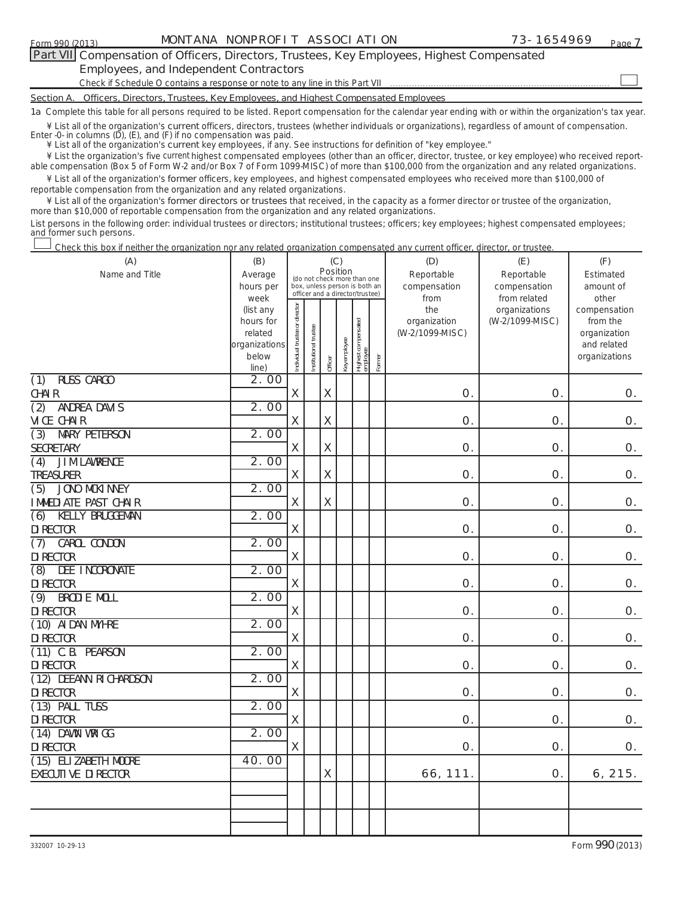$\mathcal{L}_{\mathcal{A}}$ 

### **Part VII Compensation of Officers, Directors, Trustees, Key Employees, Highest Compensated Employees, and Independent Contractors**

Check if Schedule O contains a response or note to any line in this Part VII

**Section A. Officers, Directors, Trustees, Key Employees, and Highest Compensated Employees**

**1a**  Complete this table for all persons required to be listed. Report compensation for the calendar year ending with or within the organization's tax year.

**current**  ¥ List all of the organization's officers, directors, trustees (whether individuals or organizations), regardless of amount of compensation. Enter -0- in columns (D), (E), and (F) if no compensation was paid.

**current**  ¥ List all of the organization's **current** key employees, if any. See instructions for definition of "key employee."

 **current** ¥ List the organization's five highest compensated employees (other than an officer, director, trustee, or key employee) who received report-¥ List all of the organization's **former** officers, key employees, and highest compensated employees who received more than \$100,000 of able compensation (Box 5 of Form W-2 and/or Box 7 of Form 1099-MISC) of more than \$100,000 from the organization and any related organizations.

**former directors or trustees**  ¥ List all of the organization's that received, in the capacity as a former director or trustee of the organization, reportable compensation from the organization and any related organizations.

more than \$10,000 of reportable compensation from the organization and any related organizations.

List persons in the following order: individual trustees or directors; institutional trustees; officers; key employees; highest compensated employees; and former such persons.

Check this box if neither the organization nor any related organization compensated any current officer, director, or trustee.  $\mathcal{L}_{\mathcal{A}}$ 

| (A)                                           | (B)                  |                                |                       | (C)<br>Position           |              |                                                                  |        | (D)                 | (E)             | (F)                      |
|-----------------------------------------------|----------------------|--------------------------------|-----------------------|---------------------------|--------------|------------------------------------------------------------------|--------|---------------------|-----------------|--------------------------|
| Name and Title                                | Average              |                                |                       |                           |              | (do not check more than one                                      |        | Reportable          | Reportable      | Estimated                |
|                                               | hours per            |                                |                       |                           |              | box, unless person is both an<br>officer and a director/trustee) |        | compensation        | compensation    | amount of                |
|                                               | week                 |                                |                       |                           |              |                                                                  |        | from                | from related    | other                    |
|                                               | (list any            |                                |                       |                           |              |                                                                  |        | the<br>organization | organizations   | compensation             |
|                                               | hours for<br>related |                                |                       |                           |              |                                                                  |        | (W-2/1099-MISC)     | (W-2/1099-MISC) | from the<br>organization |
|                                               | organizations        |                                |                       |                           |              |                                                                  |        |                     |                 | and related              |
|                                               | below                | Individual trustee or director | Institutional trustee |                           | Key employee | Highest compensated<br>employee                                  |        |                     |                 | organizations            |
|                                               | line)                |                                |                       | Officer                   |              |                                                                  | Former |                     |                 |                          |
| RUSS CARGO<br>$\overline{(1)}$                | 2.00                 |                                |                       |                           |              |                                                                  |        |                     |                 |                          |
| <b>CHAIR</b>                                  |                      | X                              |                       | X                         |              |                                                                  |        | Ο.                  | O.              | $O_{\cdot}$              |
| $\overline{(2)}$<br>ANDREA DAVIS              | 2.00                 |                                |                       |                           |              |                                                                  |        |                     |                 |                          |
| VICE CHAIR                                    |                      | $\boldsymbol{\mathsf{X}}$      |                       | X                         |              |                                                                  |        | 0.                  | O.              | O.                       |
| <b>MARY PETERSON</b><br>(3)                   | 2.00                 |                                |                       |                           |              |                                                                  |        |                     |                 |                          |
| SECRETARY                                     |                      | $\mathsf X$                    |                       | $\mathsf X$               |              |                                                                  |        | 0.                  | O.              | O.                       |
| JIM LAWRENCE<br>$\overline{(4)}$              | 2.00                 |                                |                       |                           |              |                                                                  |        |                     |                 |                          |
| TREASURER                                     |                      | X                              |                       | $\boldsymbol{\mathsf{X}}$ |              |                                                                  |        | 0.                  | O.              | O.                       |
| JONO MCKINNEY<br>(5)                          | 2.00                 |                                |                       |                           |              |                                                                  |        |                     |                 |                          |
| IMMEDIATE PAST CHAIR                          |                      | X                              |                       | X                         |              |                                                                  |        | 0.                  | O.              | Ο.                       |
| KELLY BRUGGEMAN<br>$\overline{(6)}$           | 2.00                 |                                |                       |                           |              |                                                                  |        |                     |                 |                          |
| DI RECTOR                                     |                      | X                              |                       |                           |              |                                                                  |        | Ο.                  | O.              | O.                       |
| CAROL CONDON<br>(7)                           | 2.00                 |                                |                       |                           |              |                                                                  |        |                     |                 |                          |
| DI RECTOR                                     |                      | X                              |                       |                           |              |                                                                  |        | 0.                  | O.              | Ο.                       |
| DEE INCORONATE<br>(8)                         | 2.00                 |                                |                       |                           |              |                                                                  |        |                     |                 |                          |
| <b>DI RECTOR</b>                              |                      | X                              |                       |                           |              |                                                                  |        | 0.                  | 0.              | Ο.                       |
| <b>BRODIE MOLL</b><br>(9)<br><b>DI RECTOR</b> | 2.00                 | $\mathsf X$                    |                       |                           |              |                                                                  |        | 0.                  | O.              | Ο.                       |
| (10) AIDAN MYHRE                              | 2.00                 |                                |                       |                           |              |                                                                  |        |                     |                 |                          |
| <b>DI RECTOR</b>                              |                      | X                              |                       |                           |              |                                                                  |        | 0.                  | O.              | O.                       |
| $(11)$ C.B. PEARSON                           | 2.00                 |                                |                       |                           |              |                                                                  |        |                     |                 |                          |
| <b>DI RECTOR</b>                              |                      | $\mathsf X$                    |                       |                           |              |                                                                  |        | O.                  | O.              | Ο.                       |
| (12) DEEANN RICHARDSON                        | 2.00                 |                                |                       |                           |              |                                                                  |        |                     |                 |                          |
| <b>DI RECTOR</b>                              |                      | $\mathsf X$                    |                       |                           |              |                                                                  |        | 0.                  | O.              | O.                       |
| $\overline{(13)}$ PAUL TUSS                   | 2.00                 |                                |                       |                           |              |                                                                  |        |                     |                 |                          |
| DI RECTOR                                     |                      | $\mathsf X$                    |                       |                           |              |                                                                  |        | 0.                  | O.              | O.                       |
| $\overline{(14)}$ DAWN WRIGG                  | 2.00                 |                                |                       |                           |              |                                                                  |        |                     |                 |                          |
| DI RECTOR                                     |                      | X                              |                       |                           |              |                                                                  |        | 0.                  | O.              | 0.                       |
| (15) ELIZABETH MOORE                          | 40.00                |                                |                       |                           |              |                                                                  |        |                     |                 |                          |
| EXECUTIVE DIRECTOR                            |                      |                                |                       | X                         |              |                                                                  |        | 66, 111.            | O.              | 6, 215.                  |
|                                               |                      |                                |                       |                           |              |                                                                  |        |                     |                 |                          |
|                                               |                      |                                |                       |                           |              |                                                                  |        |                     |                 |                          |
|                                               |                      |                                |                       |                           |              |                                                                  |        |                     |                 |                          |
|                                               |                      |                                |                       |                           |              |                                                                  |        |                     |                 |                          |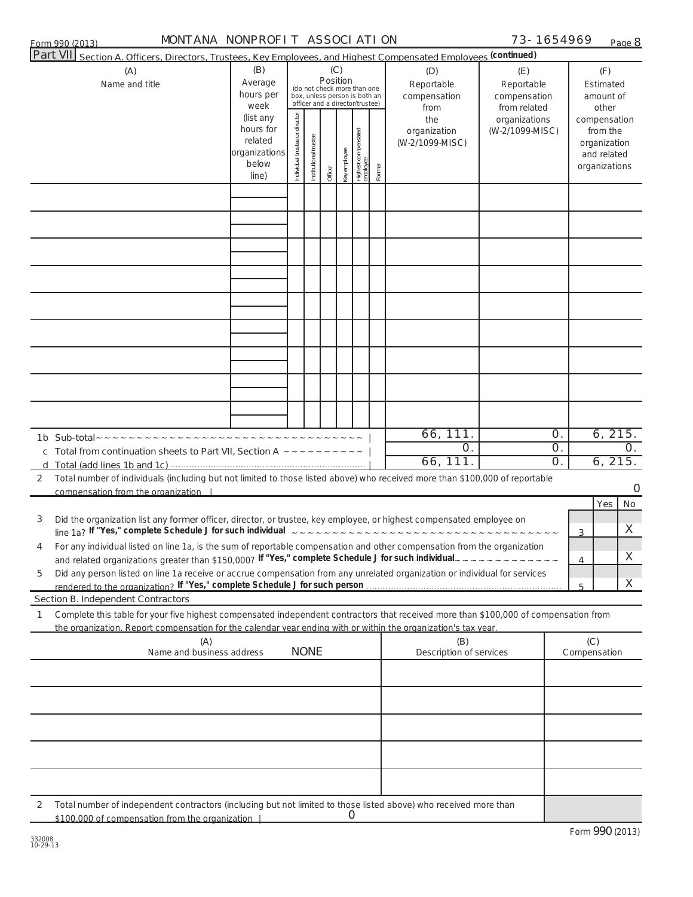| Form 990<br>(0.012)<br>$\mathbf{u}$ | <b>ON</b><br><b>MON</b><br>ONPROFI<br>SSOC<br>ANA<br>$\mathbf{v}$<br>Λ.<br>NK.<br>$\mathbf{A}$ | 90- | $\overline{\phantom{0}}$<br>Page |
|-------------------------------------|------------------------------------------------------------------------------------------------|-----|----------------------------------|
| $   -$<br>$-$                       |                                                                                                |     |                                  |

**8**

| MONTANA NONPROFIT ASSOCIATION<br>Form 990 (2013)                                                                                                                                                                                                                              |                                                                      |                                |                       |                                                                                                                    |              |                                 |        |                                           | 73-1654969                                        |                      |                                         | Page 8                        |
|-------------------------------------------------------------------------------------------------------------------------------------------------------------------------------------------------------------------------------------------------------------------------------|----------------------------------------------------------------------|--------------------------------|-----------------------|--------------------------------------------------------------------------------------------------------------------|--------------|---------------------------------|--------|-------------------------------------------|---------------------------------------------------|----------------------|-----------------------------------------|-------------------------------|
| Part VII Section A. Officers, Directors, Trustees, Key Employees, and Highest Compensated Employees (continued)                                                                                                                                                               |                                                                      |                                |                       |                                                                                                                    |              |                                 |        |                                           |                                                   |                      |                                         |                               |
| (A)<br>Name and title                                                                                                                                                                                                                                                         | (B)<br>Average<br>hours per<br>week                                  |                                |                       | (C)<br>Position<br>(do not check more than one<br>box, unless person is both an<br>officer and a director/trustee) |              |                                 |        | (D)<br>Reportable<br>compensation<br>from | (E)<br>Reportable<br>compensation<br>from related |                      | (F)<br>Estimated<br>amount of<br>other  |                               |
|                                                                                                                                                                                                                                                                               | (list any<br>hours for<br>related<br>organizations<br>below<br>line) | Individual trustee or director | Institutional trustee | Officer                                                                                                            | Key employee | Highest compensated<br>employee | Former | the<br>organization<br>(W-2/1099-MISC)    | organizations<br>(W-2/1099-MISC)                  |                      | from the<br>organization<br>and related | compensation<br>organizations |
|                                                                                                                                                                                                                                                                               |                                                                      |                                |                       |                                                                                                                    |              |                                 |        |                                           |                                                   |                      |                                         |                               |
|                                                                                                                                                                                                                                                                               |                                                                      |                                |                       |                                                                                                                    |              |                                 |        |                                           |                                                   |                      |                                         |                               |
|                                                                                                                                                                                                                                                                               |                                                                      |                                |                       |                                                                                                                    |              |                                 |        |                                           |                                                   |                      |                                         |                               |
|                                                                                                                                                                                                                                                                               |                                                                      |                                |                       |                                                                                                                    |              |                                 |        |                                           |                                                   |                      |                                         |                               |
|                                                                                                                                                                                                                                                                               |                                                                      |                                |                       |                                                                                                                    |              |                                 |        |                                           |                                                   |                      |                                         |                               |
|                                                                                                                                                                                                                                                                               |                                                                      |                                |                       |                                                                                                                    |              |                                 |        |                                           |                                                   |                      |                                         |                               |
|                                                                                                                                                                                                                                                                               |                                                                      |                                |                       |                                                                                                                    |              |                                 |        |                                           |                                                   |                      |                                         |                               |
|                                                                                                                                                                                                                                                                               |                                                                      |                                |                       |                                                                                                                    |              |                                 |        |                                           |                                                   |                      |                                         |                               |
|                                                                                                                                                                                                                                                                               |                                                                      |                                |                       |                                                                                                                    |              |                                 |        |                                           |                                                   |                      |                                         |                               |
|                                                                                                                                                                                                                                                                               |                                                                      |                                |                       |                                                                                                                    |              |                                 |        |                                           |                                                   |                      |                                         |                               |
|                                                                                                                                                                                                                                                                               |                                                                      |                                |                       |                                                                                                                    |              |                                 |        | 66, 111.                                  |                                                   | $\mathsf{O}.$        |                                         | 6, 215.                       |
|                                                                                                                                                                                                                                                                               |                                                                      |                                |                       |                                                                                                                    |              |                                 |        | Ο.<br>66, 111.                            |                                                   | 0.<br>O <sub>1</sub> |                                         | $\Omega$ .<br>6, 215.         |
| Total number of individuals (including but not limited to those listed above) who received more than \$100,000 of reportable<br>2<br>compensation from the organization                                                                                                       |                                                                      |                                |                       |                                                                                                                    |              |                                 |        |                                           |                                                   |                      |                                         | O                             |
|                                                                                                                                                                                                                                                                               |                                                                      |                                |                       |                                                                                                                    |              |                                 |        |                                           |                                                   |                      | Yes                                     | No.                           |
| Did the organization list any former officer, director, or trustee, key employee, or highest compensated employee on<br>3                                                                                                                                                     |                                                                      |                                |                       |                                                                                                                    |              |                                 |        |                                           |                                                   | 3                    |                                         | X                             |
| For any individual listed on line 1a, is the sum of reportable compensation and other compensation from the organization<br>and related organizations greater than \$150,000? If "Yes," complete Schedule J for such individual $z \sim z \sim z \sim z \sim z \sim z \sim z$ |                                                                      |                                |                       |                                                                                                                    |              |                                 |        |                                           |                                                   | 4                    |                                         | X                             |
| Did any person listed on line 1a receive or accrue compensation from any unrelated organization or individual for services<br>5                                                                                                                                               |                                                                      |                                |                       |                                                                                                                    |              |                                 |        |                                           |                                                   |                      |                                         | X                             |
| <b>Section B. Independent Contractors</b>                                                                                                                                                                                                                                     |                                                                      |                                |                       |                                                                                                                    |              |                                 |        |                                           |                                                   | 5                    |                                         |                               |
| Complete this table for your five highest compensated independent contractors that received more than \$100,000 of compensation from<br>1<br>the organization. Report compensation for the calendar year ending with or within the organization's tax year.                   |                                                                      |                                |                       |                                                                                                                    |              |                                 |        |                                           |                                                   |                      |                                         |                               |
| (A)<br>Name and business address                                                                                                                                                                                                                                              |                                                                      |                                | <b>NONE</b>           |                                                                                                                    |              |                                 |        | (B)<br>Description of services            |                                                   |                      | (C)<br>Compensation                     |                               |
|                                                                                                                                                                                                                                                                               |                                                                      |                                |                       |                                                                                                                    |              |                                 |        |                                           |                                                   |                      |                                         |                               |
|                                                                                                                                                                                                                                                                               |                                                                      |                                |                       |                                                                                                                    |              |                                 |        |                                           |                                                   |                      |                                         |                               |
|                                                                                                                                                                                                                                                                               |                                                                      |                                |                       |                                                                                                                    |              |                                 |        |                                           |                                                   |                      |                                         |                               |
|                                                                                                                                                                                                                                                                               |                                                                      |                                |                       |                                                                                                                    |              |                                 |        |                                           |                                                   |                      |                                         |                               |
|                                                                                                                                                                                                                                                                               |                                                                      |                                |                       |                                                                                                                    |              |                                 |        |                                           |                                                   |                      |                                         |                               |
|                                                                                                                                                                                                                                                                               |                                                                      |                                |                       |                                                                                                                    |              |                                 |        |                                           |                                                   |                      |                                         |                               |
| Total number of independent contractors (including but not limited to those listed above) who received more than<br>2<br>\$100,000 of compensation from the organization                                                                                                      |                                                                      |                                |                       |                                                                                                                    | Ő            |                                 |        |                                           |                                                   |                      |                                         |                               |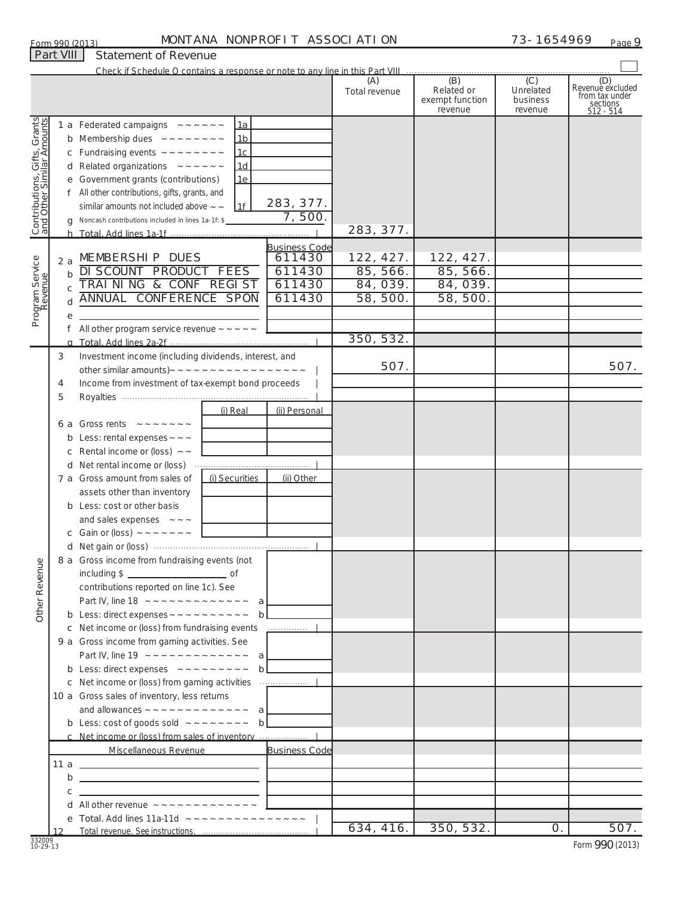### Form 990 (2013) MONTANA NONPROFIT ASSOCIATION  $73-1654969$  Page

|                                                           |             |                                                                                             |                      | (A)           | (B)                           | (C)                   | (D)<br>Revenuè excluded |
|-----------------------------------------------------------|-------------|---------------------------------------------------------------------------------------------|----------------------|---------------|-------------------------------|-----------------------|-------------------------|
|                                                           |             |                                                                                             |                      | Total revenue | Related or<br>exempt function | Unrelated<br>business | from tax under          |
|                                                           |             |                                                                                             |                      |               | revenue                       | revenue               | sections<br>512 - 514   |
| Contributions, Gifts, Grants<br>and Other Similar Amounts |             | 1 a Federated campaigns $\sim  \sim$ $\sim$ $\sim$ $\sim$<br>1a                             |                      |               |                               |                       |                         |
|                                                           |             | <b>b</b> Membership dues $\sim$ $\sim$ $\sim$ $\sim$ $\sim$ $\sim$ $\sim$<br>1 <sub>b</sub> |                      |               |                               |                       |                         |
|                                                           |             | Fundraising events $\sim$ $\sim$ $\sim$ $\sim$ $\sim$ $\sim$ $\sim$<br>1c                   |                      |               |                               |                       |                         |
|                                                           |             | <b>d</b> Related organizations $\sim$ $\sim$ $\sim$ $\sim$ $\sim$ $\sim$<br>1d              |                      |               |                               |                       |                         |
|                                                           |             | e Government grants (contributions)<br>1e                                                   |                      |               |                               |                       |                         |
|                                                           |             | f All other contributions, gifts, grants, and                                               |                      |               |                               |                       |                         |
|                                                           |             | similar amounts not included above $\sim$ $\sim$<br>1f                                      | 283, 377.            |               |                               |                       |                         |
|                                                           |             | Noncash contributions included in lines 1a-1f: \$                                           | 7,500.               |               |                               |                       |                         |
|                                                           |             |                                                                                             |                      | 283, 377.     |                               |                       |                         |
|                                                           |             |                                                                                             | <b>Business Code</b> |               |                               |                       |                         |
|                                                           | 2a          | MEMBERSHIP DUES                                                                             | 611430               | 122, 427.     | 122, 427.                     |                       |                         |
|                                                           | $\mathbf b$ | <b>DI SCOUNT PRODUCT FEES</b>                                                               | 611430               | 85, 566.      | 85, 566.                      |                       |                         |
|                                                           | C           | TRAINING & CONF REGIST                                                                      | 611430               | 84, 039.      | 84, 039.                      |                       |                         |
|                                                           |             | ANNUAL CONFERENCE SPON                                                                      | 611430               | 58, 500.      | 58, 500.                      |                       |                         |
| Program Service<br>Revenue                                |             |                                                                                             |                      |               |                               |                       |                         |
|                                                           |             | All other program service revenue $\sim$ $\sim$ $\sim$ $\sim$ $\sim$                        |                      |               |                               |                       |                         |
|                                                           |             |                                                                                             |                      | 350, 532.     |                               |                       |                         |
|                                                           |             | Investment income (including dividends, interest, and                                       |                      |               |                               |                       |                         |
|                                                           | 3           |                                                                                             |                      | 507.          |                               |                       | 507.                    |
|                                                           |             |                                                                                             |                      |               |                               |                       |                         |
|                                                           | 4           | Income from investment of tax-exempt bond proceeds                                          |                      |               |                               |                       |                         |
|                                                           | 5           | (i) Real                                                                                    | (ii) Personal        |               |                               |                       |                         |
|                                                           |             |                                                                                             |                      |               |                               |                       |                         |
|                                                           |             | 6 a Gross rents $\sim$ $\sim$ $\sim$ $\sim$ $\sim$ $\sim$ $\sim$                            |                      |               |                               |                       |                         |
|                                                           | b           | Less: rental expenses $\sim$ $\sim$ $\sim$                                                  |                      |               |                               |                       |                         |
|                                                           |             | Rental income or (loss) $\sim$ ~                                                            |                      |               |                               |                       |                         |
|                                                           |             | d Net rental income or (loss)                                                               |                      |               |                               |                       |                         |
|                                                           |             | (i) Securities<br>7 a Gross amount from sales of                                            | (ii) Other           |               |                               |                       |                         |
|                                                           |             | assets other than inventory                                                                 |                      |               |                               |                       |                         |
|                                                           |             | <b>b</b> Less: cost or other basis                                                          |                      |               |                               |                       |                         |
|                                                           |             | and sales expenses $\sim$ $\sim$ $\sim$                                                     |                      |               |                               |                       |                         |
|                                                           |             | c Gain or (loss) $\sim$ $\sim$ $\sim$ $\sim$ $\sim$ $\sim$ $\sim$                           |                      |               |                               |                       |                         |
|                                                           |             |                                                                                             |                      |               |                               |                       |                         |
| anu                                                       |             | 8 a Gross income from fundraising events (not                                               |                      |               |                               |                       |                         |
|                                                           |             |                                                                                             |                      |               |                               |                       |                         |
|                                                           |             | contributions reported on line 1c). See                                                     |                      |               |                               |                       |                         |
| Other Rever                                               |             |                                                                                             |                      |               |                               |                       |                         |
|                                                           |             |                                                                                             |                      |               |                               |                       |                         |
|                                                           |             |                                                                                             |                      |               |                               |                       |                         |
|                                                           |             | 9 a Gross income from gaming activities. See                                                |                      |               |                               |                       |                         |
|                                                           |             |                                                                                             |                      |               |                               |                       |                         |
|                                                           |             | <b>b</b> Less: direct expenses $\sim \sim \sim \sim \sim \sim \sim \sim b$                  |                      |               |                               |                       |                         |
|                                                           |             |                                                                                             |                      |               |                               |                       |                         |
|                                                           |             | 10 a Gross sales of inventory, less returns                                                 |                      |               |                               |                       |                         |
|                                                           |             | and allowances $\sim \sim \sim \sim \sim \sim \sim \sim \sim \sim \sim a$                   |                      |               |                               |                       |                         |
|                                                           |             | <b>b</b> Less: cost of goods sold $\sim \sim \sim \sim \sim \sim \sim b$                    |                      |               |                               |                       |                         |
|                                                           |             |                                                                                             |                      |               |                               |                       |                         |
|                                                           |             | Miscellaneous Revenue                                                                       | <b>Business Code</b> |               |                               |                       |                         |
|                                                           |             |                                                                                             |                      |               |                               |                       |                         |
|                                                           |             |                                                                                             |                      |               |                               |                       |                         |
|                                                           | c           |                                                                                             |                      |               |                               |                       |                         |
|                                                           |             |                                                                                             |                      |               |                               |                       |                         |
|                                                           |             |                                                                                             |                      | 634, 416.     | 350, 532.                     | $\mathcal{O}$ .       | 507.                    |
|                                                           | 12          |                                                                                             |                      |               |                               |                       |                         |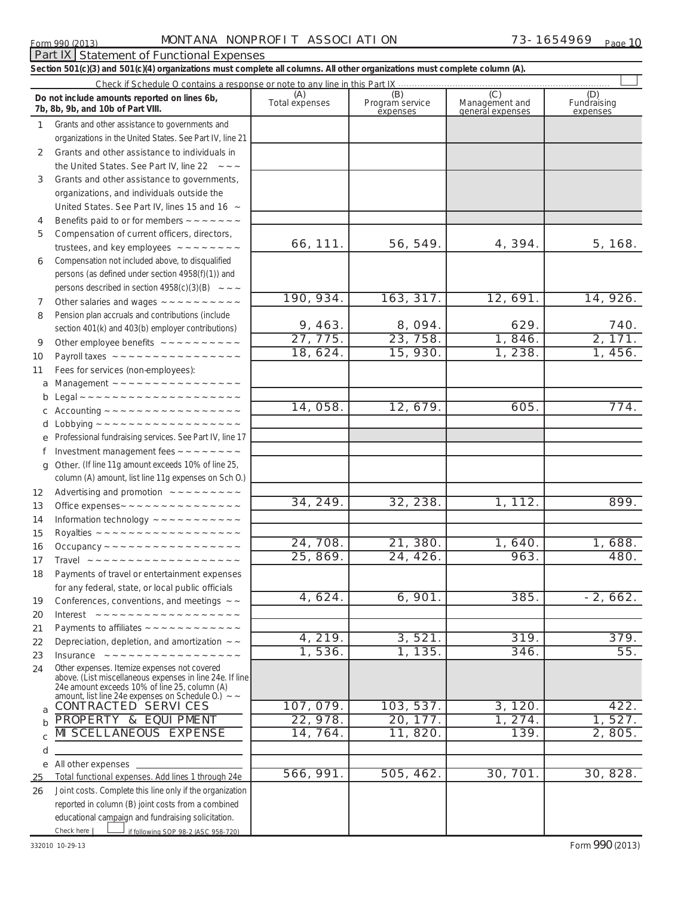### Form 990 (2013) MONTANA NONPROFIT ASSOCI ATI ON  $73-1654969$   $_{\text{Paqe}}$

### if following SOP 98-2 (ASC 958-720) **Total functional expenses.**  Add lines 1 through 24e Joint costs. Complete this line only if the organization **(A)** (**B**) **(C)** (**C)** (**D) (D)** Total expenses Program service Management and Fundraising **1 2 3 4 5 6 7 8 9 10 11 a** Management ~~~~~~~~~~~~~~~~ **b c d e f g 12 13 14 15 16 17 18 19 20 21 22 23 24 a b c d e 25 26** *Section 501(c)(3) and 501(c)(4) organizations must complete all columns. All other organizations must complete column (A).* Grants and other assistance to governments and organizations in the United States. See Part IV, line 21 Compensation not included above, to disqualified persons (as defined under section 4958(f)(1)) and persons described in section  $4958(c)(3)(B) \sim 40$ Pension plan accruals and contributions (include section 401(k) and 403(b) employer contributions) Professional fundraising services. See Part IV, line 17 Other. (If line 11g amount exceeds 10% of line 25, column (A) amount, list line 11g expenses on Sch O.) Other expenses. Itemize expenses not covered above. (List miscellaneous expenses in line 24e. If line 24e amount exceeds 10% of line 25, column (A) amount, list line 24e expenses on Schedule O.) reported in column (B) joint costs from a combined educational campaign and fundraising solicitation. Check if Schedule O contains a response or note to any line in this Part IX Program service expenses Management and general expenses Fundraising expenses Grants and other assistance to individuals in the United States. See Part IV, line 22 Grants and other assistance to governments, organizations, and individuals outside the United States. See Part IV, lines 15 and 16  $\sim$ Benefits paid to or for members  $\sim \sim \sim \sim \sim \sim$ Compensation of current officers, directors, trustees, and key employees  $\sim \sim \sim \sim \sim \sim \sim$ Other salaries and wages ~~~~~~~~~~ Other employee benefits ~~~~~~~~~~ Payroll taxes ~~~~~~~~~~~~~~~~ Fees for services (non-employees): Legal ~~~~~~~~~~~~~~~~~~~~~ Accounting ~~~~~~~~~~~~~~~~~ Lobbying ~~~~~~~~~~~~~~~~~~ Investment management fees  $\sim \sim \sim \sim \sim \sim \sim$ Advertising and promotion  $\sim \sim \sim \sim \sim \sim \sim \sim \sim$ Office expenses  $\sim \sim \sim \sim \sim \sim \sim \sim \sim \sim \sim \sim \sim \sim \sim$ Information technology  $\sim \sim \sim \sim \sim \sim \sim \sim \sim \sim$ Royalties ~~~~~~~~~~~~~~~~~~ Occupancy ~~~~~~~~~~~~~~~~~ Travel ~~~~~~~~~~~~~~~~~~~~ Payments of travel or entertainment expenses for any federal, state, or local public officials Conferences, conventions, and meetings  $\sim$   $\sim$ Interest ~~~~~~~~~~~~~~~~ Payments to affiliates  $\sim \sim \sim \sim \sim \sim \sim \sim \sim \sim \sim \sim$ Depreciation, depletion, and amortization  $\sim$ Insurance ~~~~~~~~~~~~~~~~ \_<br>∼~ All other expenses Check here | *Do not include amounts reported on lines 6b, 7b, 8b, 9b, and 10b of Part VIII.*  $\mathcal{L}_{\mathcal{A}}$  $\overline{\phantom{a}}$ 66,111. 56,549. 4,394. 5,168. 190,934. 163,317. 12,691. 14,926. 9, 463. | 8, 094. | 629. | 740. 27,775. 23,758. 1,846. 2,171. 18,624. 15,930. 1,238. 1,456. 14, 058. 12, 679. 605. 774. 34,249. 32,238. 1,112. 899. 24,708. 21,380. 1,640. 1,688. 25, 869. 24, 426. 963. 25, 869.  $4,624.$  6,901. 385. -2,662. 4,219. 3,521. 319. 379. 1, 536. | 1, 135. | 346. | 55. CONTRACTED SERVICES | 107, 079. | 103, 537. | 3, 120. | 422. PROPERTY & EQUIPMENT 22,978. 20, 177. 1,274. 1,527. MISCELLANEOUS EXPENSE | 14,764. | 11,820. | 139. | 2,805. 566,991. 505,462. 30,701. 30,828.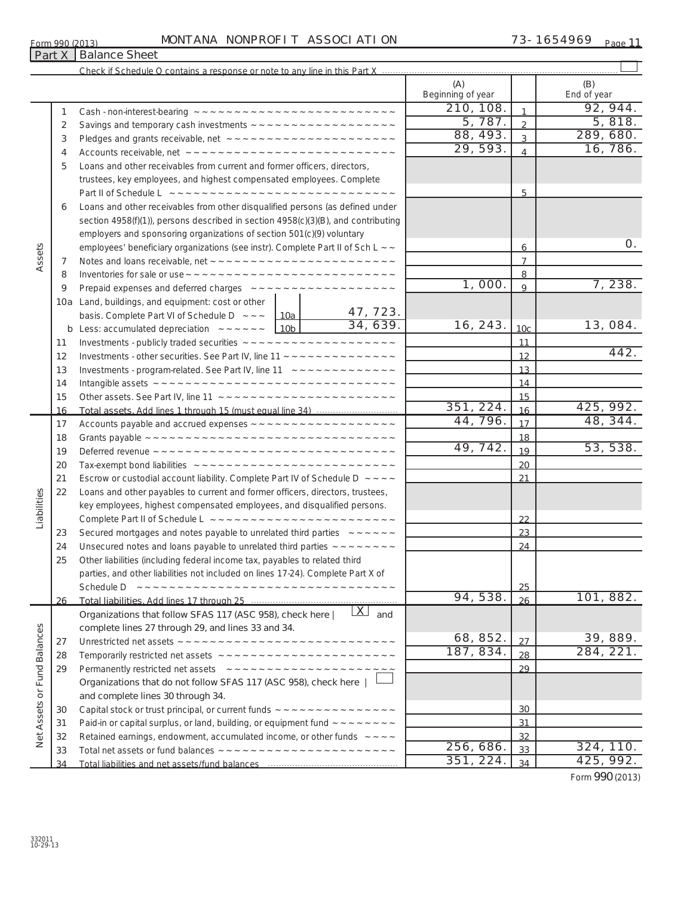|     |  | MONTANA NONPROFIT ASSOCIATION |  |
|-----|--|-------------------------------|--|
| - 1 |  |                               |  |

 $\begin{array}{c} \hline \end{array}$ 

## Form 990 (2013) MONTANA NONPROFIT ASSOCI ATI ON 73-1654969 <sub>Page</sub> 11

Check if Schedule O contains a response or note to any line in this Part X .....

| 210, 108.<br>92, 944.<br>$\mathbf{1}$<br>1<br>5, 787.<br>5,818.<br>$\overline{2}$<br>2<br>88, 493.<br>289, 680.<br>$\overline{3}$<br>3<br>29, 593.<br>16, 786.<br>4<br>4<br>Loans and other receivables from current and former officers, directors,<br>5<br>trustees, key employees, and highest compensated employees. Complete<br>Part II of Schedule L ~~~~~~~~~~~~~~~~~~~~~~~~~~~~~<br>5<br>Loans and other receivables from other disqualified persons (as defined under<br>6<br>section 4958(f)(1)), persons described in section 4958(c)(3)(B), and contributing<br>employers and sponsoring organizations of section 501(c)(9) voluntary<br>Ο.<br>Assets<br>employees' beneficiary organizations (see instr). Complete Part II of Sch L ~~<br>6<br>$\overline{7}$<br>7<br>8<br>8<br>7,238.<br>1,000.<br>9<br>9<br>10a Land, buildings, and equipment: cost or other<br>47, 723.<br>basis. Complete Part VI of Schedule D $\sim \sim \sim$ 10a  <br>$\frac{34,639.}{ }$<br>16, 243.<br>13, 084.<br>10 <sub>c</sub><br><b>b</b> Less: accumulated depreciation $\sim \sim \sim \sim \sim \sim 10b$<br>11<br>11<br>442.<br>12<br>12<br>Investments - program-related. See Part IV, line 11 $\sim$ ~ ~ ~ ~ ~ ~ ~ ~ ~ ~ ~ ~<br>13<br>13<br>14<br>14<br>15<br>15<br>351, 224.<br>425, 992.<br>16<br>16<br>44, 796.<br>48, 344.<br>17<br>17<br>18<br>18<br>49, 742.<br>53, 538.<br>19<br>19<br>20<br>20<br>Escrow or custodial account liability. Complete Part IV of Schedule D $\sim$ $\sim$ $\sim$ $\sim$<br>21<br>21<br>Liabilities<br>Loans and other payables to current and former officers, directors, trustees,<br>22<br>key employees, highest compensated employees, and disqualified persons.<br>22<br>Secured mortgages and notes payable to unrelated third parties $\sim$ $\sim$ $\sim$ $\sim$ $\sim$ $\sim$<br>23<br>23<br>Unsecured notes and loans payable to unrelated third parties $\sim$ $\sim$ $\sim$ $\sim$ $\sim$ $\sim$ $\sim$<br>24<br>24<br>Other liabilities (including federal income tax, payables to related third<br>25<br>parties, and other liabilities not included on lines 17-24). Complete Part X of<br>つら<br>Schedule D<br>94, 538.<br>101, 882.<br>26<br>26<br><u>  X  </u><br>Organizations that follow SFAS 117 (ASC 958), check here<br>and<br>Net Assets or Fund Balances<br>complete lines 27 through 29, and lines 33 and 34.<br>68, 852.<br>39, 889.<br>27<br>27<br>187, 834.<br>284, 221.<br>28<br>28<br>29<br>29<br>Organizations that do not follow SFAS 117 (ASC 958), check here  <br>and complete lines 30 through 34.<br>30<br>30<br>Paid-in or capital surplus, or land, building, or equipment fund $\sim \sim \sim \sim \sim \sim \sim$<br><u>31</u><br>31<br>Retained earnings, endowment, accumulated income, or other funds $\sim$ $\sim$ $\sim$ $\sim$<br>32<br>32<br>256, 686.<br>324, 110.<br>33<br>33<br>351, 224.<br>425, 992.<br>34<br>34 |  |  | (A)<br>Beginning of year |  | (B)<br>End of year |
|----------------------------------------------------------------------------------------------------------------------------------------------------------------------------------------------------------------------------------------------------------------------------------------------------------------------------------------------------------------------------------------------------------------------------------------------------------------------------------------------------------------------------------------------------------------------------------------------------------------------------------------------------------------------------------------------------------------------------------------------------------------------------------------------------------------------------------------------------------------------------------------------------------------------------------------------------------------------------------------------------------------------------------------------------------------------------------------------------------------------------------------------------------------------------------------------------------------------------------------------------------------------------------------------------------------------------------------------------------------------------------------------------------------------------------------------------------------------------------------------------------------------------------------------------------------------------------------------------------------------------------------------------------------------------------------------------------------------------------------------------------------------------------------------------------------------------------------------------------------------------------------------------------------------------------------------------------------------------------------------------------------------------------------------------------------------------------------------------------------------------------------------------------------------------------------------------------------------------------------------------------------------------------------------------------------------------------------------------------------------------------------------------------------------------------------------------------------------------------------------------------------------------------------------------------------------------------------------------------------------------------------------------------------------------------------------------------------------------------------------------------------------------------------------------------------------------------------------------------------------------------------------------------------|--|--|--------------------------|--|--------------------|
|                                                                                                                                                                                                                                                                                                                                                                                                                                                                                                                                                                                                                                                                                                                                                                                                                                                                                                                                                                                                                                                                                                                                                                                                                                                                                                                                                                                                                                                                                                                                                                                                                                                                                                                                                                                                                                                                                                                                                                                                                                                                                                                                                                                                                                                                                                                                                                                                                                                                                                                                                                                                                                                                                                                                                                                                                                                                                                                |  |  |                          |  |                    |
|                                                                                                                                                                                                                                                                                                                                                                                                                                                                                                                                                                                                                                                                                                                                                                                                                                                                                                                                                                                                                                                                                                                                                                                                                                                                                                                                                                                                                                                                                                                                                                                                                                                                                                                                                                                                                                                                                                                                                                                                                                                                                                                                                                                                                                                                                                                                                                                                                                                                                                                                                                                                                                                                                                                                                                                                                                                                                                                |  |  |                          |  |                    |
|                                                                                                                                                                                                                                                                                                                                                                                                                                                                                                                                                                                                                                                                                                                                                                                                                                                                                                                                                                                                                                                                                                                                                                                                                                                                                                                                                                                                                                                                                                                                                                                                                                                                                                                                                                                                                                                                                                                                                                                                                                                                                                                                                                                                                                                                                                                                                                                                                                                                                                                                                                                                                                                                                                                                                                                                                                                                                                                |  |  |                          |  |                    |
|                                                                                                                                                                                                                                                                                                                                                                                                                                                                                                                                                                                                                                                                                                                                                                                                                                                                                                                                                                                                                                                                                                                                                                                                                                                                                                                                                                                                                                                                                                                                                                                                                                                                                                                                                                                                                                                                                                                                                                                                                                                                                                                                                                                                                                                                                                                                                                                                                                                                                                                                                                                                                                                                                                                                                                                                                                                                                                                |  |  |                          |  |                    |
|                                                                                                                                                                                                                                                                                                                                                                                                                                                                                                                                                                                                                                                                                                                                                                                                                                                                                                                                                                                                                                                                                                                                                                                                                                                                                                                                                                                                                                                                                                                                                                                                                                                                                                                                                                                                                                                                                                                                                                                                                                                                                                                                                                                                                                                                                                                                                                                                                                                                                                                                                                                                                                                                                                                                                                                                                                                                                                                |  |  |                          |  |                    |
|                                                                                                                                                                                                                                                                                                                                                                                                                                                                                                                                                                                                                                                                                                                                                                                                                                                                                                                                                                                                                                                                                                                                                                                                                                                                                                                                                                                                                                                                                                                                                                                                                                                                                                                                                                                                                                                                                                                                                                                                                                                                                                                                                                                                                                                                                                                                                                                                                                                                                                                                                                                                                                                                                                                                                                                                                                                                                                                |  |  |                          |  |                    |
|                                                                                                                                                                                                                                                                                                                                                                                                                                                                                                                                                                                                                                                                                                                                                                                                                                                                                                                                                                                                                                                                                                                                                                                                                                                                                                                                                                                                                                                                                                                                                                                                                                                                                                                                                                                                                                                                                                                                                                                                                                                                                                                                                                                                                                                                                                                                                                                                                                                                                                                                                                                                                                                                                                                                                                                                                                                                                                                |  |  |                          |  |                    |
|                                                                                                                                                                                                                                                                                                                                                                                                                                                                                                                                                                                                                                                                                                                                                                                                                                                                                                                                                                                                                                                                                                                                                                                                                                                                                                                                                                                                                                                                                                                                                                                                                                                                                                                                                                                                                                                                                                                                                                                                                                                                                                                                                                                                                                                                                                                                                                                                                                                                                                                                                                                                                                                                                                                                                                                                                                                                                                                |  |  |                          |  |                    |
|                                                                                                                                                                                                                                                                                                                                                                                                                                                                                                                                                                                                                                                                                                                                                                                                                                                                                                                                                                                                                                                                                                                                                                                                                                                                                                                                                                                                                                                                                                                                                                                                                                                                                                                                                                                                                                                                                                                                                                                                                                                                                                                                                                                                                                                                                                                                                                                                                                                                                                                                                                                                                                                                                                                                                                                                                                                                                                                |  |  |                          |  |                    |
|                                                                                                                                                                                                                                                                                                                                                                                                                                                                                                                                                                                                                                                                                                                                                                                                                                                                                                                                                                                                                                                                                                                                                                                                                                                                                                                                                                                                                                                                                                                                                                                                                                                                                                                                                                                                                                                                                                                                                                                                                                                                                                                                                                                                                                                                                                                                                                                                                                                                                                                                                                                                                                                                                                                                                                                                                                                                                                                |  |  |                          |  |                    |
|                                                                                                                                                                                                                                                                                                                                                                                                                                                                                                                                                                                                                                                                                                                                                                                                                                                                                                                                                                                                                                                                                                                                                                                                                                                                                                                                                                                                                                                                                                                                                                                                                                                                                                                                                                                                                                                                                                                                                                                                                                                                                                                                                                                                                                                                                                                                                                                                                                                                                                                                                                                                                                                                                                                                                                                                                                                                                                                |  |  |                          |  |                    |
|                                                                                                                                                                                                                                                                                                                                                                                                                                                                                                                                                                                                                                                                                                                                                                                                                                                                                                                                                                                                                                                                                                                                                                                                                                                                                                                                                                                                                                                                                                                                                                                                                                                                                                                                                                                                                                                                                                                                                                                                                                                                                                                                                                                                                                                                                                                                                                                                                                                                                                                                                                                                                                                                                                                                                                                                                                                                                                                |  |  |                          |  |                    |
|                                                                                                                                                                                                                                                                                                                                                                                                                                                                                                                                                                                                                                                                                                                                                                                                                                                                                                                                                                                                                                                                                                                                                                                                                                                                                                                                                                                                                                                                                                                                                                                                                                                                                                                                                                                                                                                                                                                                                                                                                                                                                                                                                                                                                                                                                                                                                                                                                                                                                                                                                                                                                                                                                                                                                                                                                                                                                                                |  |  |                          |  |                    |
|                                                                                                                                                                                                                                                                                                                                                                                                                                                                                                                                                                                                                                                                                                                                                                                                                                                                                                                                                                                                                                                                                                                                                                                                                                                                                                                                                                                                                                                                                                                                                                                                                                                                                                                                                                                                                                                                                                                                                                                                                                                                                                                                                                                                                                                                                                                                                                                                                                                                                                                                                                                                                                                                                                                                                                                                                                                                                                                |  |  |                          |  |                    |
|                                                                                                                                                                                                                                                                                                                                                                                                                                                                                                                                                                                                                                                                                                                                                                                                                                                                                                                                                                                                                                                                                                                                                                                                                                                                                                                                                                                                                                                                                                                                                                                                                                                                                                                                                                                                                                                                                                                                                                                                                                                                                                                                                                                                                                                                                                                                                                                                                                                                                                                                                                                                                                                                                                                                                                                                                                                                                                                |  |  |                          |  |                    |
|                                                                                                                                                                                                                                                                                                                                                                                                                                                                                                                                                                                                                                                                                                                                                                                                                                                                                                                                                                                                                                                                                                                                                                                                                                                                                                                                                                                                                                                                                                                                                                                                                                                                                                                                                                                                                                                                                                                                                                                                                                                                                                                                                                                                                                                                                                                                                                                                                                                                                                                                                                                                                                                                                                                                                                                                                                                                                                                |  |  |                          |  |                    |
|                                                                                                                                                                                                                                                                                                                                                                                                                                                                                                                                                                                                                                                                                                                                                                                                                                                                                                                                                                                                                                                                                                                                                                                                                                                                                                                                                                                                                                                                                                                                                                                                                                                                                                                                                                                                                                                                                                                                                                                                                                                                                                                                                                                                                                                                                                                                                                                                                                                                                                                                                                                                                                                                                                                                                                                                                                                                                                                |  |  |                          |  |                    |
|                                                                                                                                                                                                                                                                                                                                                                                                                                                                                                                                                                                                                                                                                                                                                                                                                                                                                                                                                                                                                                                                                                                                                                                                                                                                                                                                                                                                                                                                                                                                                                                                                                                                                                                                                                                                                                                                                                                                                                                                                                                                                                                                                                                                                                                                                                                                                                                                                                                                                                                                                                                                                                                                                                                                                                                                                                                                                                                |  |  |                          |  |                    |
|                                                                                                                                                                                                                                                                                                                                                                                                                                                                                                                                                                                                                                                                                                                                                                                                                                                                                                                                                                                                                                                                                                                                                                                                                                                                                                                                                                                                                                                                                                                                                                                                                                                                                                                                                                                                                                                                                                                                                                                                                                                                                                                                                                                                                                                                                                                                                                                                                                                                                                                                                                                                                                                                                                                                                                                                                                                                                                                |  |  |                          |  |                    |
|                                                                                                                                                                                                                                                                                                                                                                                                                                                                                                                                                                                                                                                                                                                                                                                                                                                                                                                                                                                                                                                                                                                                                                                                                                                                                                                                                                                                                                                                                                                                                                                                                                                                                                                                                                                                                                                                                                                                                                                                                                                                                                                                                                                                                                                                                                                                                                                                                                                                                                                                                                                                                                                                                                                                                                                                                                                                                                                |  |  |                          |  |                    |
|                                                                                                                                                                                                                                                                                                                                                                                                                                                                                                                                                                                                                                                                                                                                                                                                                                                                                                                                                                                                                                                                                                                                                                                                                                                                                                                                                                                                                                                                                                                                                                                                                                                                                                                                                                                                                                                                                                                                                                                                                                                                                                                                                                                                                                                                                                                                                                                                                                                                                                                                                                                                                                                                                                                                                                                                                                                                                                                |  |  |                          |  |                    |
|                                                                                                                                                                                                                                                                                                                                                                                                                                                                                                                                                                                                                                                                                                                                                                                                                                                                                                                                                                                                                                                                                                                                                                                                                                                                                                                                                                                                                                                                                                                                                                                                                                                                                                                                                                                                                                                                                                                                                                                                                                                                                                                                                                                                                                                                                                                                                                                                                                                                                                                                                                                                                                                                                                                                                                                                                                                                                                                |  |  |                          |  |                    |
|                                                                                                                                                                                                                                                                                                                                                                                                                                                                                                                                                                                                                                                                                                                                                                                                                                                                                                                                                                                                                                                                                                                                                                                                                                                                                                                                                                                                                                                                                                                                                                                                                                                                                                                                                                                                                                                                                                                                                                                                                                                                                                                                                                                                                                                                                                                                                                                                                                                                                                                                                                                                                                                                                                                                                                                                                                                                                                                |  |  |                          |  |                    |
|                                                                                                                                                                                                                                                                                                                                                                                                                                                                                                                                                                                                                                                                                                                                                                                                                                                                                                                                                                                                                                                                                                                                                                                                                                                                                                                                                                                                                                                                                                                                                                                                                                                                                                                                                                                                                                                                                                                                                                                                                                                                                                                                                                                                                                                                                                                                                                                                                                                                                                                                                                                                                                                                                                                                                                                                                                                                                                                |  |  |                          |  |                    |
|                                                                                                                                                                                                                                                                                                                                                                                                                                                                                                                                                                                                                                                                                                                                                                                                                                                                                                                                                                                                                                                                                                                                                                                                                                                                                                                                                                                                                                                                                                                                                                                                                                                                                                                                                                                                                                                                                                                                                                                                                                                                                                                                                                                                                                                                                                                                                                                                                                                                                                                                                                                                                                                                                                                                                                                                                                                                                                                |  |  |                          |  |                    |
|                                                                                                                                                                                                                                                                                                                                                                                                                                                                                                                                                                                                                                                                                                                                                                                                                                                                                                                                                                                                                                                                                                                                                                                                                                                                                                                                                                                                                                                                                                                                                                                                                                                                                                                                                                                                                                                                                                                                                                                                                                                                                                                                                                                                                                                                                                                                                                                                                                                                                                                                                                                                                                                                                                                                                                                                                                                                                                                |  |  |                          |  |                    |
|                                                                                                                                                                                                                                                                                                                                                                                                                                                                                                                                                                                                                                                                                                                                                                                                                                                                                                                                                                                                                                                                                                                                                                                                                                                                                                                                                                                                                                                                                                                                                                                                                                                                                                                                                                                                                                                                                                                                                                                                                                                                                                                                                                                                                                                                                                                                                                                                                                                                                                                                                                                                                                                                                                                                                                                                                                                                                                                |  |  |                          |  |                    |
|                                                                                                                                                                                                                                                                                                                                                                                                                                                                                                                                                                                                                                                                                                                                                                                                                                                                                                                                                                                                                                                                                                                                                                                                                                                                                                                                                                                                                                                                                                                                                                                                                                                                                                                                                                                                                                                                                                                                                                                                                                                                                                                                                                                                                                                                                                                                                                                                                                                                                                                                                                                                                                                                                                                                                                                                                                                                                                                |  |  |                          |  |                    |
|                                                                                                                                                                                                                                                                                                                                                                                                                                                                                                                                                                                                                                                                                                                                                                                                                                                                                                                                                                                                                                                                                                                                                                                                                                                                                                                                                                                                                                                                                                                                                                                                                                                                                                                                                                                                                                                                                                                                                                                                                                                                                                                                                                                                                                                                                                                                                                                                                                                                                                                                                                                                                                                                                                                                                                                                                                                                                                                |  |  |                          |  |                    |
|                                                                                                                                                                                                                                                                                                                                                                                                                                                                                                                                                                                                                                                                                                                                                                                                                                                                                                                                                                                                                                                                                                                                                                                                                                                                                                                                                                                                                                                                                                                                                                                                                                                                                                                                                                                                                                                                                                                                                                                                                                                                                                                                                                                                                                                                                                                                                                                                                                                                                                                                                                                                                                                                                                                                                                                                                                                                                                                |  |  |                          |  |                    |
|                                                                                                                                                                                                                                                                                                                                                                                                                                                                                                                                                                                                                                                                                                                                                                                                                                                                                                                                                                                                                                                                                                                                                                                                                                                                                                                                                                                                                                                                                                                                                                                                                                                                                                                                                                                                                                                                                                                                                                                                                                                                                                                                                                                                                                                                                                                                                                                                                                                                                                                                                                                                                                                                                                                                                                                                                                                                                                                |  |  |                          |  |                    |
|                                                                                                                                                                                                                                                                                                                                                                                                                                                                                                                                                                                                                                                                                                                                                                                                                                                                                                                                                                                                                                                                                                                                                                                                                                                                                                                                                                                                                                                                                                                                                                                                                                                                                                                                                                                                                                                                                                                                                                                                                                                                                                                                                                                                                                                                                                                                                                                                                                                                                                                                                                                                                                                                                                                                                                                                                                                                                                                |  |  |                          |  |                    |
|                                                                                                                                                                                                                                                                                                                                                                                                                                                                                                                                                                                                                                                                                                                                                                                                                                                                                                                                                                                                                                                                                                                                                                                                                                                                                                                                                                                                                                                                                                                                                                                                                                                                                                                                                                                                                                                                                                                                                                                                                                                                                                                                                                                                                                                                                                                                                                                                                                                                                                                                                                                                                                                                                                                                                                                                                                                                                                                |  |  |                          |  |                    |
|                                                                                                                                                                                                                                                                                                                                                                                                                                                                                                                                                                                                                                                                                                                                                                                                                                                                                                                                                                                                                                                                                                                                                                                                                                                                                                                                                                                                                                                                                                                                                                                                                                                                                                                                                                                                                                                                                                                                                                                                                                                                                                                                                                                                                                                                                                                                                                                                                                                                                                                                                                                                                                                                                                                                                                                                                                                                                                                |  |  |                          |  |                    |
|                                                                                                                                                                                                                                                                                                                                                                                                                                                                                                                                                                                                                                                                                                                                                                                                                                                                                                                                                                                                                                                                                                                                                                                                                                                                                                                                                                                                                                                                                                                                                                                                                                                                                                                                                                                                                                                                                                                                                                                                                                                                                                                                                                                                                                                                                                                                                                                                                                                                                                                                                                                                                                                                                                                                                                                                                                                                                                                |  |  |                          |  |                    |
|                                                                                                                                                                                                                                                                                                                                                                                                                                                                                                                                                                                                                                                                                                                                                                                                                                                                                                                                                                                                                                                                                                                                                                                                                                                                                                                                                                                                                                                                                                                                                                                                                                                                                                                                                                                                                                                                                                                                                                                                                                                                                                                                                                                                                                                                                                                                                                                                                                                                                                                                                                                                                                                                                                                                                                                                                                                                                                                |  |  |                          |  |                    |
|                                                                                                                                                                                                                                                                                                                                                                                                                                                                                                                                                                                                                                                                                                                                                                                                                                                                                                                                                                                                                                                                                                                                                                                                                                                                                                                                                                                                                                                                                                                                                                                                                                                                                                                                                                                                                                                                                                                                                                                                                                                                                                                                                                                                                                                                                                                                                                                                                                                                                                                                                                                                                                                                                                                                                                                                                                                                                                                |  |  |                          |  |                    |
|                                                                                                                                                                                                                                                                                                                                                                                                                                                                                                                                                                                                                                                                                                                                                                                                                                                                                                                                                                                                                                                                                                                                                                                                                                                                                                                                                                                                                                                                                                                                                                                                                                                                                                                                                                                                                                                                                                                                                                                                                                                                                                                                                                                                                                                                                                                                                                                                                                                                                                                                                                                                                                                                                                                                                                                                                                                                                                                |  |  |                          |  |                    |
|                                                                                                                                                                                                                                                                                                                                                                                                                                                                                                                                                                                                                                                                                                                                                                                                                                                                                                                                                                                                                                                                                                                                                                                                                                                                                                                                                                                                                                                                                                                                                                                                                                                                                                                                                                                                                                                                                                                                                                                                                                                                                                                                                                                                                                                                                                                                                                                                                                                                                                                                                                                                                                                                                                                                                                                                                                                                                                                |  |  |                          |  |                    |
|                                                                                                                                                                                                                                                                                                                                                                                                                                                                                                                                                                                                                                                                                                                                                                                                                                                                                                                                                                                                                                                                                                                                                                                                                                                                                                                                                                                                                                                                                                                                                                                                                                                                                                                                                                                                                                                                                                                                                                                                                                                                                                                                                                                                                                                                                                                                                                                                                                                                                                                                                                                                                                                                                                                                                                                                                                                                                                                |  |  |                          |  |                    |
|                                                                                                                                                                                                                                                                                                                                                                                                                                                                                                                                                                                                                                                                                                                                                                                                                                                                                                                                                                                                                                                                                                                                                                                                                                                                                                                                                                                                                                                                                                                                                                                                                                                                                                                                                                                                                                                                                                                                                                                                                                                                                                                                                                                                                                                                                                                                                                                                                                                                                                                                                                                                                                                                                                                                                                                                                                                                                                                |  |  |                          |  |                    |
|                                                                                                                                                                                                                                                                                                                                                                                                                                                                                                                                                                                                                                                                                                                                                                                                                                                                                                                                                                                                                                                                                                                                                                                                                                                                                                                                                                                                                                                                                                                                                                                                                                                                                                                                                                                                                                                                                                                                                                                                                                                                                                                                                                                                                                                                                                                                                                                                                                                                                                                                                                                                                                                                                                                                                                                                                                                                                                                |  |  |                          |  |                    |
|                                                                                                                                                                                                                                                                                                                                                                                                                                                                                                                                                                                                                                                                                                                                                                                                                                                                                                                                                                                                                                                                                                                                                                                                                                                                                                                                                                                                                                                                                                                                                                                                                                                                                                                                                                                                                                                                                                                                                                                                                                                                                                                                                                                                                                                                                                                                                                                                                                                                                                                                                                                                                                                                                                                                                                                                                                                                                                                |  |  |                          |  |                    |
|                                                                                                                                                                                                                                                                                                                                                                                                                                                                                                                                                                                                                                                                                                                                                                                                                                                                                                                                                                                                                                                                                                                                                                                                                                                                                                                                                                                                                                                                                                                                                                                                                                                                                                                                                                                                                                                                                                                                                                                                                                                                                                                                                                                                                                                                                                                                                                                                                                                                                                                                                                                                                                                                                                                                                                                                                                                                                                                |  |  |                          |  |                    |
|                                                                                                                                                                                                                                                                                                                                                                                                                                                                                                                                                                                                                                                                                                                                                                                                                                                                                                                                                                                                                                                                                                                                                                                                                                                                                                                                                                                                                                                                                                                                                                                                                                                                                                                                                                                                                                                                                                                                                                                                                                                                                                                                                                                                                                                                                                                                                                                                                                                                                                                                                                                                                                                                                                                                                                                                                                                                                                                |  |  |                          |  |                    |
|                                                                                                                                                                                                                                                                                                                                                                                                                                                                                                                                                                                                                                                                                                                                                                                                                                                                                                                                                                                                                                                                                                                                                                                                                                                                                                                                                                                                                                                                                                                                                                                                                                                                                                                                                                                                                                                                                                                                                                                                                                                                                                                                                                                                                                                                                                                                                                                                                                                                                                                                                                                                                                                                                                                                                                                                                                                                                                                |  |  |                          |  |                    |
|                                                                                                                                                                                                                                                                                                                                                                                                                                                                                                                                                                                                                                                                                                                                                                                                                                                                                                                                                                                                                                                                                                                                                                                                                                                                                                                                                                                                                                                                                                                                                                                                                                                                                                                                                                                                                                                                                                                                                                                                                                                                                                                                                                                                                                                                                                                                                                                                                                                                                                                                                                                                                                                                                                                                                                                                                                                                                                                |  |  |                          |  |                    |
|                                                                                                                                                                                                                                                                                                                                                                                                                                                                                                                                                                                                                                                                                                                                                                                                                                                                                                                                                                                                                                                                                                                                                                                                                                                                                                                                                                                                                                                                                                                                                                                                                                                                                                                                                                                                                                                                                                                                                                                                                                                                                                                                                                                                                                                                                                                                                                                                                                                                                                                                                                                                                                                                                                                                                                                                                                                                                                                |  |  |                          |  |                    |

Form **990** (2013)

| Form 990 (2013) |                              |  |
|-----------------|------------------------------|--|
|                 | <b>Part X   Balance Shee</b> |  |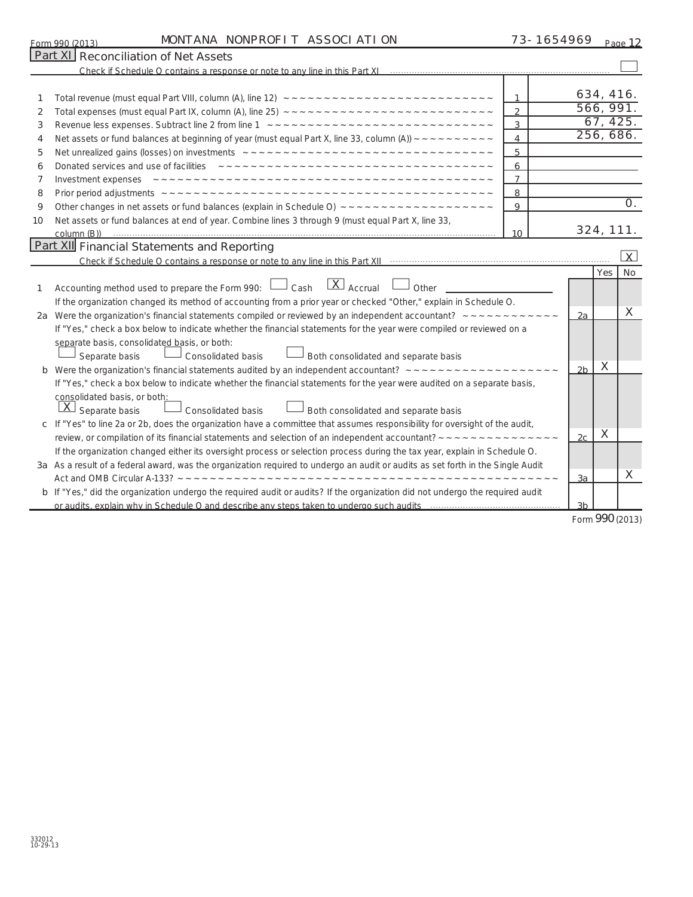| Form 990 (2013) | MON <sup>-</sup><br>I ANA            | ATI ON<br>ASSOCI<br>NONPROFI | Page |
|-----------------|--------------------------------------|------------------------------|------|
|                 | Dart YI Doconciliation of Not Accote |                              |      |

73-1654969 <sub>Page</sub> 12

|    | Part XI Reconciliation of Net Assets                                                                                                                        |                |                |            |                 |  |
|----|-------------------------------------------------------------------------------------------------------------------------------------------------------------|----------------|----------------|------------|-----------------|--|
|    |                                                                                                                                                             |                |                |            |                 |  |
|    |                                                                                                                                                             | 1              |                | 634, 416.  |                 |  |
| 2  |                                                                                                                                                             | $\overline{2}$ |                | 566, 991.  |                 |  |
| 3  |                                                                                                                                                             | 3              |                | 67, 425.   |                 |  |
| 4  | Net assets or fund balances at beginning of year (must equal Part X, line 33, column (A)) $\sim \sim \sim \sim \sim \sim \sim \sim \sim$                    | $\overline{4}$ | 256, 686.      |            |                 |  |
| 5  |                                                                                                                                                             | 5              |                |            |                 |  |
| 6  |                                                                                                                                                             | 6              |                |            |                 |  |
| 7  |                                                                                                                                                             | $\overline{7}$ |                |            |                 |  |
| 8  |                                                                                                                                                             | 8              |                |            |                 |  |
| 9  |                                                                                                                                                             | 9              |                |            | O <sub>1</sub>  |  |
| 10 | Net assets or fund balances at end of year. Combine lines 3 through 9 (must equal Part X, line 33,                                                          |                |                |            |                 |  |
|    |                                                                                                                                                             | 10             |                | 324, 111.  |                 |  |
|    | <b>Part XII</b> Financial Statements and Reporting                                                                                                          |                |                |            |                 |  |
|    |                                                                                                                                                             |                |                |            | $\overline{X}$  |  |
|    |                                                                                                                                                             |                |                | <b>Yes</b> | No              |  |
| 1  | $\overline{X}$ Accrual<br>Accounting method used to prepare the Form 990: $\Box$ Cash<br>Other                                                              |                |                |            |                 |  |
|    | If the organization changed its method of accounting from a prior year or checked "Other," explain in Schedule O.                                           |                |                |            | X               |  |
|    | 2a Were the organization's financial statements compiled or reviewed by an independent accountant? $\sim \sim \sim \sim \sim \sim \sim \sim \sim \sim \sim$ |                | 2a             |            |                 |  |
|    | If "Yes," check a box below to indicate whether the financial statements for the year were compiled or reviewed on a                                        |                |                |            |                 |  |
|    | separate basis, consolidated basis, or both:                                                                                                                |                |                |            |                 |  |
|    | Consolidated basis<br>Both consolidated and separate basis<br>Separate basis                                                                                |                |                | X          |                 |  |
|    |                                                                                                                                                             |                | 2 <sub>b</sub> |            |                 |  |
|    | If "Yes," check a box below to indicate whether the financial statements for the year were audited on a separate basis,<br>consolidated basis, or both:     |                |                |            |                 |  |
|    | $\vert X \vert$<br>Separate basis<br>$\perp$ Both consolidated and separate basis<br>Consolidated basis                                                     |                |                |            |                 |  |
|    | c If "Yes" to line 2a or 2b, does the organization have a committee that assumes responsibility for oversight of the audit,                                 |                |                |            |                 |  |
|    |                                                                                                                                                             |                | 2c             | X          |                 |  |
|    | If the organization changed either its oversight process or selection process during the tax year, explain in Schedule O.                                   |                |                |            |                 |  |
|    | 3a As a result of a federal award, was the organization required to undergo an audit or audits as set forth in the Single Audit                             |                |                |            |                 |  |
|    |                                                                                                                                                             |                | 3a             |            | X               |  |
|    | b If "Yes," did the organization undergo the required audit or audits? If the organization did not undergo the required audit                               |                |                |            |                 |  |
|    |                                                                                                                                                             |                | 3b             |            |                 |  |
|    |                                                                                                                                                             |                |                |            | Form 990 (2013) |  |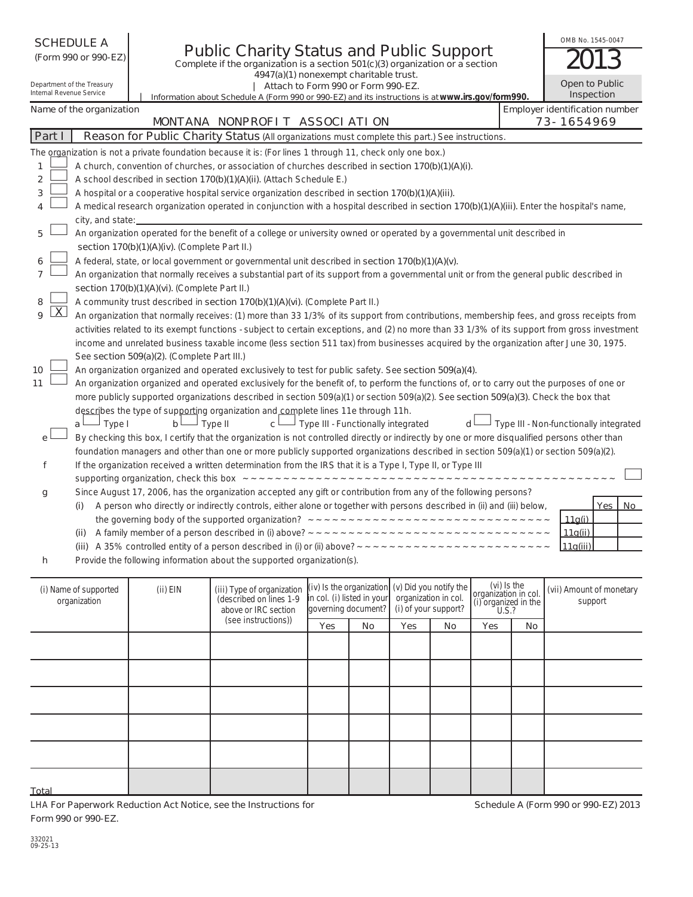| OMB No. 1545-0047<br><b>SCHEDULE A</b><br><b>Public Charity Status and Public Support</b><br>(Form 990 or 990-EZ)<br>Complete if the organization is a section 501(c)(3) organization or a section<br>4947(a)(1) nonexempt charitable trust. |                                                                                                                                            |                                               |                                                                                                                                               |                                                   |                                    |                                                                        |     |     |                                                                      |  |                          |            |    |
|----------------------------------------------------------------------------------------------------------------------------------------------------------------------------------------------------------------------------------------------|--------------------------------------------------------------------------------------------------------------------------------------------|-----------------------------------------------|-----------------------------------------------------------------------------------------------------------------------------------------------|---------------------------------------------------|------------------------------------|------------------------------------------------------------------------|-----|-----|----------------------------------------------------------------------|--|--------------------------|------------|----|
| Internal Revenue Service                                                                                                                                                                                                                     | Department of the Treasury                                                                                                                 |                                               | Attach to Form 990 or Form 990-EZ.<br>Information about Schedule A (Form 990 or 990-EZ) and its instructions is at www.irs.gov/form990.       |                                                   |                                    |                                                                        |     |     |                                                                      |  | Open to Public           | Inspection |    |
|                                                                                                                                                                                                                                              | Name of the organization                                                                                                                   |                                               | MONTANA NONPROFIT ASSOCIATION                                                                                                                 |                                                   |                                    |                                                                        |     |     | Employer identification number                                       |  | 73-1654969               |            |    |
| Part I                                                                                                                                                                                                                                       |                                                                                                                                            |                                               | Reason for Public Charity Status (All organizations must complete this part.) See instructions.                                               |                                                   |                                    |                                                                        |     |     |                                                                      |  |                          |            |    |
|                                                                                                                                                                                                                                              |                                                                                                                                            |                                               | The organization is not a private foundation because it is: (For lines 1 through 11, check only one box.)                                     |                                                   |                                    |                                                                        |     |     |                                                                      |  |                          |            |    |
| 1                                                                                                                                                                                                                                            |                                                                                                                                            |                                               | A church, convention of churches, or association of churches described in section 170(b)(1)(A)(i).                                            |                                                   |                                    |                                                                        |     |     |                                                                      |  |                          |            |    |
| 2                                                                                                                                                                                                                                            |                                                                                                                                            |                                               | A school described in section 170(b)(1)(A)(ii). (Attach Schedule E.)                                                                          |                                                   |                                    |                                                                        |     |     |                                                                      |  |                          |            |    |
| 3                                                                                                                                                                                                                                            |                                                                                                                                            |                                               | A hospital or a cooperative hospital service organization described in section 170(b)(1)(A)(iii).                                             |                                                   |                                    |                                                                        |     |     |                                                                      |  |                          |            |    |
| 4                                                                                                                                                                                                                                            | A medical research organization operated in conjunction with a hospital described in section 170(b)(1)(A)(iii). Enter the hospital's name, |                                               |                                                                                                                                               |                                                   |                                    |                                                                        |     |     |                                                                      |  |                          |            |    |
|                                                                                                                                                                                                                                              | city, and state:                                                                                                                           |                                               |                                                                                                                                               |                                                   |                                    |                                                                        |     |     |                                                                      |  |                          |            |    |
| 5                                                                                                                                                                                                                                            |                                                                                                                                            |                                               | An organization operated for the benefit of a college or university owned or operated by a governmental unit described in                     |                                                   |                                    |                                                                        |     |     |                                                                      |  |                          |            |    |
|                                                                                                                                                                                                                                              |                                                                                                                                            | section 170(b)(1)(A)(iv). (Complete Part II.) |                                                                                                                                               |                                                   |                                    |                                                                        |     |     |                                                                      |  |                          |            |    |
|                                                                                                                                                                                                                                              |                                                                                                                                            |                                               | A federal, state, or local government or governmental unit described in section 170(b)(1)(A)(v).                                              |                                                   |                                    |                                                                        |     |     |                                                                      |  |                          |            |    |
| 7                                                                                                                                                                                                                                            |                                                                                                                                            |                                               | An organization that normally receives a substantial part of its support from a governmental unit or from the general public described in     |                                                   |                                    |                                                                        |     |     |                                                                      |  |                          |            |    |
|                                                                                                                                                                                                                                              |                                                                                                                                            | section 170(b)(1)(A)(vi). (Complete Part II.) |                                                                                                                                               |                                                   |                                    |                                                                        |     |     |                                                                      |  |                          |            |    |
| 8                                                                                                                                                                                                                                            |                                                                                                                                            |                                               | A community trust described in section 170(b)(1)(A)(vi). (Complete Part II.)                                                                  |                                                   |                                    |                                                                        |     |     |                                                                      |  |                          |            |    |
| $\overline{\mathsf{X}}$<br>9                                                                                                                                                                                                                 |                                                                                                                                            |                                               | An organization that normally receives: (1) more than 33 1/3% of its support from contributions, membership fees, and gross receipts from     |                                                   |                                    |                                                                        |     |     |                                                                      |  |                          |            |    |
|                                                                                                                                                                                                                                              |                                                                                                                                            |                                               | activities related to its exempt functions - subject to certain exceptions, and (2) no more than 33 1/3% of its support from gross investment |                                                   |                                    |                                                                        |     |     |                                                                      |  |                          |            |    |
|                                                                                                                                                                                                                                              |                                                                                                                                            |                                               | income and unrelated business taxable income (less section 511 tax) from businesses acquired by the organization after June 30, 1975.         |                                                   |                                    |                                                                        |     |     |                                                                      |  |                          |            |    |
|                                                                                                                                                                                                                                              |                                                                                                                                            | See section 509(a)(2). (Complete Part III.)   |                                                                                                                                               |                                                   |                                    |                                                                        |     |     |                                                                      |  |                          |            |    |
| 10                                                                                                                                                                                                                                           |                                                                                                                                            |                                               | An organization organized and operated exclusively to test for public safety. See section 509(a)(4).                                          |                                                   |                                    |                                                                        |     |     |                                                                      |  |                          |            |    |
| 11                                                                                                                                                                                                                                           |                                                                                                                                            |                                               | An organization organized and operated exclusively for the benefit of, to perform the functions of, or to carry out the purposes of one or    |                                                   |                                    |                                                                        |     |     |                                                                      |  |                          |            |    |
|                                                                                                                                                                                                                                              |                                                                                                                                            |                                               | more publicly supported organizations described in section 509(a)(1) or section 509(a)(2). See section 509(a)(3). Check the box that          |                                                   |                                    |                                                                        |     |     |                                                                      |  |                          |            |    |
|                                                                                                                                                                                                                                              | $\Box$ Type I<br>a ∟                                                                                                                       | b∟                                            | describes the type of supporting organization and complete lines 11e through 11h.<br>– Type II<br>$c^{\perp}$                                 |                                                   | Type III - Functionally integrated |                                                                        | d l |     | Type III - Non-functionally integrated                               |  |                          |            |    |
| e                                                                                                                                                                                                                                            |                                                                                                                                            |                                               | By checking this box, I certify that the organization is not controlled directly or indirectly by one or more disqualified persons other than |                                                   |                                    |                                                                        |     |     |                                                                      |  |                          |            |    |
|                                                                                                                                                                                                                                              |                                                                                                                                            |                                               | foundation managers and other than one or more publicly supported organizations described in section 509(a)(1) or section 509(a)(2).          |                                                   |                                    |                                                                        |     |     |                                                                      |  |                          |            |    |
| f                                                                                                                                                                                                                                            |                                                                                                                                            |                                               | If the organization received a written determination from the IRS that it is a Type I, Type II, or Type III                                   |                                                   |                                    |                                                                        |     |     |                                                                      |  |                          |            |    |
|                                                                                                                                                                                                                                              |                                                                                                                                            |                                               |                                                                                                                                               |                                                   |                                    |                                                                        |     |     |                                                                      |  |                          |            |    |
| g                                                                                                                                                                                                                                            |                                                                                                                                            |                                               | Since August 17, 2006, has the organization accepted any gift or contribution from any of the following persons?                              |                                                   |                                    |                                                                        |     |     |                                                                      |  |                          |            |    |
|                                                                                                                                                                                                                                              | (i)                                                                                                                                        |                                               | A person who directly or indirectly controls, either alone or together with persons described in (ii) and (iii) below,                        |                                                   |                                    |                                                                        |     |     |                                                                      |  |                          | Yes        | No |
|                                                                                                                                                                                                                                              |                                                                                                                                            |                                               |                                                                                                                                               |                                                   |                                    |                                                                        |     |     |                                                                      |  | 11a(i)                   |            |    |
|                                                                                                                                                                                                                                              |                                                                                                                                            |                                               |                                                                                                                                               |                                                   |                                    |                                                                        |     |     |                                                                      |  | 11q(ii)                  |            |    |
|                                                                                                                                                                                                                                              |                                                                                                                                            |                                               | (iii) A 35% controlled entity of a person described in (i) or (ii) above? $\sim \sim \sim \sim \sim \sim \sim \sim \sim$                      |                                                   |                                    |                                                                        |     |     |                                                                      |  | 11g(iii)                 |            |    |
| h                                                                                                                                                                                                                                            |                                                                                                                                            |                                               | Provide the following information about the supported organization(s).                                                                        |                                                   |                                    |                                                                        |     |     |                                                                      |  |                          |            |    |
|                                                                                                                                                                                                                                              |                                                                                                                                            |                                               |                                                                                                                                               |                                                   |                                    |                                                                        |     |     |                                                                      |  |                          |            |    |
|                                                                                                                                                                                                                                              | (i) Name of supported<br>organization                                                                                                      | $(ii)$ EIN                                    | (iii) Type of organization<br>(described on lines 1-9<br>above or IRC section                                                                 | in col. (i) listed in your<br>governing document? | (iv) Is the organization           | (v) Did you notify the<br>organization in col.<br>(i) of your support? |     |     | (vi) Is the<br>organization in col.<br>(i) organized in the<br>U.S.? |  | (vii) Amount of monetary | support    |    |
|                                                                                                                                                                                                                                              |                                                                                                                                            |                                               | (see instructions))                                                                                                                           | Yes                                               | No                                 | Yes                                                                    | No  | Yes | No                                                                   |  |                          |            |    |
|                                                                                                                                                                                                                                              |                                                                                                                                            |                                               |                                                                                                                                               |                                                   |                                    |                                                                        |     |     |                                                                      |  |                          |            |    |

**Schedule A (Form 990 or 990-EZ) 2013**

**Total**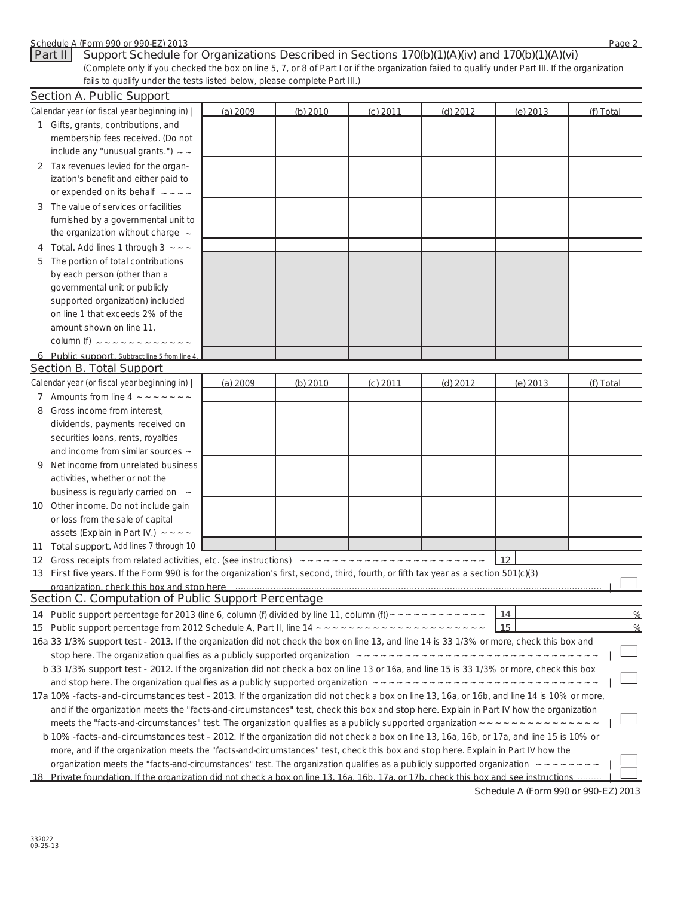| Schedule A (Form 990 or 990-EZ) 2013<br>Support Schedule for Organizations Described in Sections 170(b)(1)(A)(iv) and 170(b)(1)(A)(vi)<br>Part II<br>(Complete only if you checked the box on line 5, 7, or 8 of Part I or if the organization failed to qualify under Part III. If the organization                         |          |          |            |            |            | Page 2        |
|------------------------------------------------------------------------------------------------------------------------------------------------------------------------------------------------------------------------------------------------------------------------------------------------------------------------------|----------|----------|------------|------------|------------|---------------|
| fails to qualify under the tests listed below, please complete Part III.)                                                                                                                                                                                                                                                    |          |          |            |            |            |               |
| <b>Section A. Public Support</b>                                                                                                                                                                                                                                                                                             |          |          |            |            |            |               |
| Calendar year (or fiscal year beginning in)                                                                                                                                                                                                                                                                                  | (a) 2009 | (b) 2010 | $(c)$ 2011 | $(d)$ 2012 | $(e)$ 2013 | (f) Total     |
| 1 Gifts, grants, contributions, and                                                                                                                                                                                                                                                                                          |          |          |            |            |            |               |
| membership fees received. (Do not                                                                                                                                                                                                                                                                                            |          |          |            |            |            |               |
| include any "unusual grants.") $\sim$ $\sim$                                                                                                                                                                                                                                                                                 |          |          |            |            |            |               |
| 2 Tax revenues levied for the organ-                                                                                                                                                                                                                                                                                         |          |          |            |            |            |               |
| ization's benefit and either paid to<br>or expended on its behalf $\sim$ $\sim$ $\sim$ $\sim$                                                                                                                                                                                                                                |          |          |            |            |            |               |
|                                                                                                                                                                                                                                                                                                                              |          |          |            |            |            |               |
| The value of services or facilities<br>3                                                                                                                                                                                                                                                                                     |          |          |            |            |            |               |
| furnished by a governmental unit to<br>the organization without charge $\sim$                                                                                                                                                                                                                                                |          |          |            |            |            |               |
|                                                                                                                                                                                                                                                                                                                              |          |          |            |            |            |               |
| Total. Add lines 1 through $3 \sim -1$<br>The portion of total contributions                                                                                                                                                                                                                                                 |          |          |            |            |            |               |
| 5<br>by each person (other than a                                                                                                                                                                                                                                                                                            |          |          |            |            |            |               |
| governmental unit or publicly                                                                                                                                                                                                                                                                                                |          |          |            |            |            |               |
| supported organization) included                                                                                                                                                                                                                                                                                             |          |          |            |            |            |               |
| on line 1 that exceeds 2% of the                                                                                                                                                                                                                                                                                             |          |          |            |            |            |               |
| amount shown on line 11,                                                                                                                                                                                                                                                                                                     |          |          |            |            |            |               |
| column (f) $2222222222222222222$                                                                                                                                                                                                                                                                                             |          |          |            |            |            |               |
| 6 Public support, Subtract line 5 from line 4.                                                                                                                                                                                                                                                                               |          |          |            |            |            |               |
| <b>Section B. Total Support</b>                                                                                                                                                                                                                                                                                              |          |          |            |            |            |               |
| Calendar year (or fiscal year beginning in)                                                                                                                                                                                                                                                                                  | (a) 2009 | (b) 2010 | $(c)$ 2011 | $(d)$ 2012 | $(e)$ 2013 | (f) Total     |
| 7 Amounts from line 4 $\sim$ $\sim$ $\sim$ $\sim$ $\sim$ $\sim$                                                                                                                                                                                                                                                              |          |          |            |            |            |               |
| Gross income from interest,<br>8                                                                                                                                                                                                                                                                                             |          |          |            |            |            |               |
| dividends, payments received on                                                                                                                                                                                                                                                                                              |          |          |            |            |            |               |
| securities loans, rents, royalties                                                                                                                                                                                                                                                                                           |          |          |            |            |            |               |
| and income from similar sources $\sim$                                                                                                                                                                                                                                                                                       |          |          |            |            |            |               |
| Net income from unrelated business<br>9                                                                                                                                                                                                                                                                                      |          |          |            |            |            |               |
| activities, whether or not the                                                                                                                                                                                                                                                                                               |          |          |            |            |            |               |
| business is regularly carried on ~                                                                                                                                                                                                                                                                                           |          |          |            |            |            |               |
| 10 Other income. Do not include gain                                                                                                                                                                                                                                                                                         |          |          |            |            |            |               |
| or loss from the sale of capital                                                                                                                                                                                                                                                                                             |          |          |            |            |            |               |
| assets (Explain in Part IV.) $\sim$ $\sim$ $\sim$                                                                                                                                                                                                                                                                            |          |          |            |            |            |               |
| <b>Total support.</b> Add lines 7 through 10<br>11                                                                                                                                                                                                                                                                           |          |          |            |            |            |               |
| 12                                                                                                                                                                                                                                                                                                                           |          |          |            |            | 12         |               |
| First five years. If the Form 990 is for the organization's first, second, third, fourth, or fifth tax year as a section 501(c)(3)<br>13                                                                                                                                                                                     |          |          |            |            |            |               |
| organization, check this box and stop here consumed and according to the control of the state of the control of the control of the control of the control of the control of the control of the control of the control of the c                                                                                               |          |          |            |            |            |               |
| <b>Section C. Computation of Public Support Percentage</b>                                                                                                                                                                                                                                                                   |          |          |            |            |            |               |
| Public support percentage for 2013 (line 6, column (f) divided by line 11, column (f)) $\sim \sim \sim \sim \sim \sim \sim \sim \sim \sim \sim$<br>14                                                                                                                                                                        |          |          |            |            | 14         | %             |
| 15                                                                                                                                                                                                                                                                                                                           |          |          |            |            |            | $\frac{0}{6}$ |
| 16a 33 1/3% support test - 2013. If the organization did not check the box on line 13, and line 14 is 33 1/3% or more, check this box and                                                                                                                                                                                    |          |          |            |            |            |               |
|                                                                                                                                                                                                                                                                                                                              |          |          |            |            |            |               |
| b 33 1/3% support test - 2012. If the organization did not check a box on line 13 or 16a, and line 15 is 33 1/3% or more, check this box                                                                                                                                                                                     |          |          |            |            |            |               |
|                                                                                                                                                                                                                                                                                                                              |          |          |            |            |            |               |
| 17a 10% -facts-and-circumstances test - 2013. If the organization did not check a box on line 13, 16a, or 16b, and line 14 is 10% or more,                                                                                                                                                                                   |          |          |            |            |            |               |
| and if the organization meets the "facts-and-circumstances" test, check this box and stop here. Explain in Part IV how the organization<br>meets the "facts-and-circumstances" test. The organization qualifies as a publicly supported organization $\sim \sim \sim \sim \sim \sim \sim \sim \sim \sim \sim \sim \sim \sim$ |          |          |            |            |            |               |
|                                                                                                                                                                                                                                                                                                                              |          |          |            |            |            |               |
| b 10% -facts-and-circumstances test - 2012. If the organization did not check a box on line 13, 16a, 16b, or 17a, and line 15 is 10% or<br>more, and if the organization meets the "facts-and-circumstances" test, check this box and stop here. Explain in Part IV how the                                                  |          |          |            |            |            |               |
| organization meets the "facts-and-circumstances" test. The organization qualifies as a publicly supported organization $\sim\sim\sim\sim\sim\sim\sim\sim$                                                                                                                                                                    |          |          |            |            |            |               |
| 18 Private foundation. If the organization did not check a box on line 13, 16a, 16b, 17a, or 17b, check this box and see instructions                                                                                                                                                                                        |          |          |            |            |            |               |

**Schedule A (Form 990 or 990-EZ) 2013**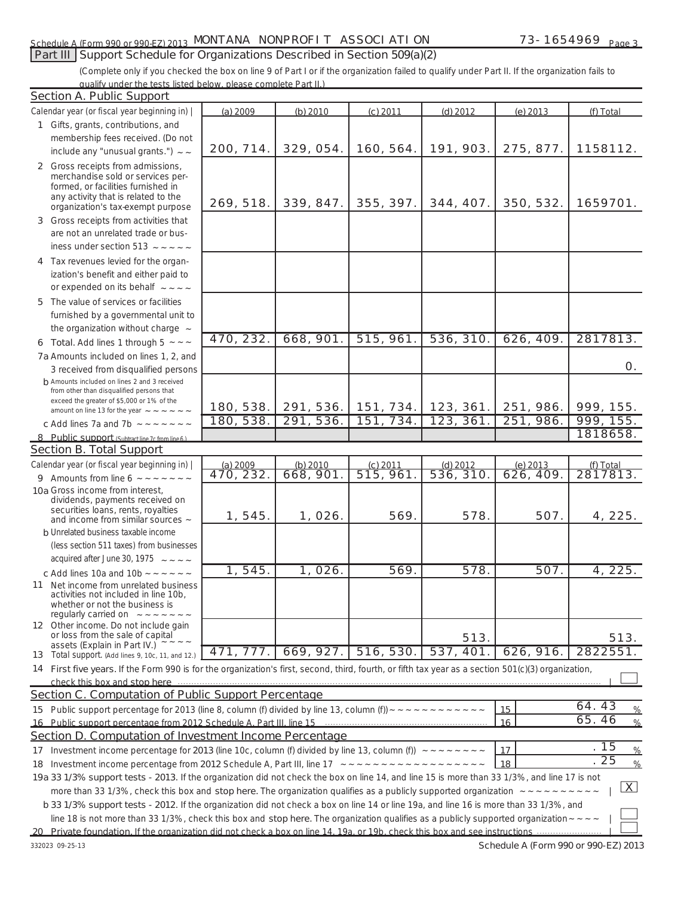### Schedule A (Form 990 or 990-EZ) 2013. MUN LANA NUNPRUFT LASSUCI ATTUN. The magnetic of the 1654 969 page MONTANA NONPROFIT ASSOCIATION 73-1654969

### **Part III Support Schedule for Organizations Described in Section 509(a)(2)**

(Complete only if you checked the box on line 9 of Part I or if the organization failed to qualify under Part II. If the organization fails to qualify under the tests listed below, please complete Part II.)

|    | <b>Section A. Public Support</b>                                                                                                                                                                                               |                       |                       |                         |                         |                       |                       |
|----|--------------------------------------------------------------------------------------------------------------------------------------------------------------------------------------------------------------------------------|-----------------------|-----------------------|-------------------------|-------------------------|-----------------------|-----------------------|
|    | Calendar year (or fiscal year beginning in)                                                                                                                                                                                    | (a) 2009              | $(b)$ 2010            | $(c)$ 2011              | $(d)$ 2012              | (e) 2013              | (f) Total             |
|    | 1 Gifts, grants, contributions, and                                                                                                                                                                                            |                       |                       |                         |                         |                       |                       |
|    | membership fees received. (Do not                                                                                                                                                                                              |                       |                       |                         |                         |                       |                       |
|    | include any "unusual grants.") $\sim$ $\sim$                                                                                                                                                                                   | 200, 714.             | 329, 054.             | 160, 564.               | 191, 903.               | 275, 877.             | 1158112.              |
|    | 2 Gross receipts from admissions,<br>merchandise sold or services per-                                                                                                                                                         |                       |                       |                         |                         |                       |                       |
|    | formed, or facilities furnished in<br>any activity that is related to the<br>organization's tax-exempt purpose                                                                                                                 | 269, 518.             | 339, 847.             | 355, 397.               | 344, 407.               | 350, 532.             | 1659701.              |
|    | 3 Gross receipts from activities that                                                                                                                                                                                          |                       |                       |                         |                         |                       |                       |
|    | are not an unrelated trade or bus-                                                                                                                                                                                             |                       |                       |                         |                         |                       |                       |
|    | iness under section 513 $\sim$ $\sim$ $\sim$ $\sim$ $\sim$                                                                                                                                                                     |                       |                       |                         |                         |                       |                       |
|    | 4 Tax revenues levied for the organ-<br>ization's benefit and either paid to<br>or expended on its behalf $\sim$ $\sim$ $\sim$ $\sim$                                                                                          |                       |                       |                         |                         |                       |                       |
|    | 5 The value of services or facilities                                                                                                                                                                                          |                       |                       |                         |                         |                       |                       |
|    | furnished by a governmental unit to<br>the organization without charge $\sim$                                                                                                                                                  |                       |                       |                         |                         |                       |                       |
|    | 6 Total. Add lines 1 through 5 $\sim$ $\sim$ $\sim$                                                                                                                                                                            | 470, 232.             | 668,901.              | 515, 961.               | 536, 310.               | 626, 409.             | 2817813.              |
|    | 7a Amounts included on lines 1, 2, and                                                                                                                                                                                         |                       |                       |                         |                         |                       |                       |
|    | 3 received from disqualified persons                                                                                                                                                                                           |                       |                       |                         |                         |                       | 0.                    |
|    | h Amounts included on lines 2 and 3 received                                                                                                                                                                                   |                       |                       |                         |                         |                       |                       |
|    | from other than disqualified persons that                                                                                                                                                                                      |                       |                       |                         |                         |                       |                       |
|    | exceed the greater of \$5,000 or 1% of the                                                                                                                                                                                     | 180, 538.             | 291, 536.             | 151, 734.               | 123, 361.               | 251, 986.             | 999, 155.             |
|    | amount on line 13 for the year $\sim$ $\sim$ $\sim$ $\sim$ $\sim$ $\sim$                                                                                                                                                       | 180, 538.             | 291, 536.             | 151, 734.               | 123, 361.               | 251, 986.             | 999, 155.             |
|    | c Add lines 7a and 7b $\sim$ $\sim$ $\sim$ $\sim$ $\sim$ $\sim$                                                                                                                                                                |                       |                       |                         |                         |                       | 1818658.              |
|    | 8 Public support (Subtract line 7c from line 6.)                                                                                                                                                                               |                       |                       |                         |                         |                       |                       |
|    | <b>Section B. Total Support</b>                                                                                                                                                                                                |                       |                       |                         |                         |                       |                       |
|    | Calendar year (or fiscal year beginning in)                                                                                                                                                                                    | (a) 2009<br>470, 232. | (b) 2010<br>668, 901. | $(c)$ 2011<br>515, 961. | $(d)$ 2012<br>536, 310. | (e) 2013<br>626, 409. | (f) Total<br>2817813. |
|    | 9 Amounts from line 6 $\sim$ $\sim$ $\sim$ $\sim$ $\sim$ $\sim$ $\sim$                                                                                                                                                         |                       |                       |                         |                         |                       |                       |
|    | 10a Gross income from interest,<br>dividends, payments received on                                                                                                                                                             |                       |                       |                         |                         |                       |                       |
|    | securities loans, rents, royalties<br>and income from similar sources $\sim$                                                                                                                                                   | 1, 545.               | 1, 026.               | 569.                    | 578.                    | 507.                  | 4, 225.               |
|    | <b>b</b> Unrelated business taxable income                                                                                                                                                                                     |                       |                       |                         |                         |                       |                       |
|    | (less section 511 taxes) from businesses                                                                                                                                                                                       |                       |                       |                         |                         |                       |                       |
|    | acquired after June 30, 1975 $\sim$ $\sim$ $\sim$ $\sim$                                                                                                                                                                       |                       |                       |                         |                         |                       |                       |
|    | c Add lines 10a and 10b $\sim$ $\sim$ $\sim$ $\sim$ $\sim$                                                                                                                                                                     | 1, 545.               | 1,026.                | 569.                    | 578.                    | 507.                  | 4, 225.               |
|    | 11 Net income from unrelated business<br>activities not included in line 10b,<br>whether or not the business is<br>regularly carried on $\sim$ $\sim$ $\sim$ $\sim$ $\sim$ $\sim$                                              |                       |                       |                         |                         |                       |                       |
|    | 12 Other income. Do not include gain<br>or loss from the sale of capital                                                                                                                                                       |                       |                       |                         | 513.                    |                       | 513.                  |
|    | assets (Explain in Part IV.)<br>13 Total support. (Add lines 9, 10c, 11, and 12.)                                                                                                                                              | 471, 777.             | 669, 927.             | 516, 530.               | 537, 401.               | 626, 916.             | 2822551.              |
|    | 14 First five years. If the Form 990 is for the organization's first, second, third, fourth, or fifth tax year as a section 501(c)(3) organization,                                                                            |                       |                       |                         |                         |                       |                       |
|    | check this box and stop here measurement contracts and the contract of the contract of the state of the contract of the contract of the contract of the contract of the contract of the contract of the contract of the contra |                       |                       |                         |                         |                       |                       |
|    | Section C. Computation of Public Support Percentage                                                                                                                                                                            |                       |                       |                         |                         |                       |                       |
|    |                                                                                                                                                                                                                                |                       |                       |                         |                         |                       | 64.43                 |
| 15 | Public support percentage for 2013 (line 8, column (f) divided by line 13, column (f) $\sim \sim \sim \sim \sim \sim \sim \sim \sim \sim \sim$                                                                                 |                       |                       |                         |                         | 15                    | %<br>65.46            |
|    |                                                                                                                                                                                                                                |                       |                       |                         |                         | 16                    | $\frac{0}{6}$         |
|    | Section D. Computation of Investment Income Percentage                                                                                                                                                                         |                       |                       |                         |                         |                       | 15                    |
| 17 | Investment income percentage for 2013 (line 10c, column (f) divided by line 13, column (f) $\sim$ $\sim$ $\sim$ $\sim$ $\sim$ $\sim$                                                                                           |                       |                       |                         |                         | 17                    | $\frac{0}{2}$<br>.25  |
| 18 |                                                                                                                                                                                                                                |                       |                       |                         |                         | 18                    | %                     |
|    | 19a 33 1/3% support tests - 2013. If the organization did not check the box on line 14, and line 15 is more than 33 1/3%, and line 17 is not                                                                                   |                       |                       |                         |                         |                       | $\vert$ X             |
|    | b 33 1/3% support tests - 2012. If the organization did not check a box on line 14 or line 19a, and line 16 is more than 33 1/3%, and                                                                                          |                       |                       |                         |                         |                       |                       |
|    | line 18 is not more than 33 1/3%, check this box and stop here. The organization qualifies as a publicly supported organization $\sim \sim \sim$                                                                               |                       |                       |                         |                         |                       |                       |
|    |                                                                                                                                                                                                                                |                       |                       |                         |                         |                       |                       |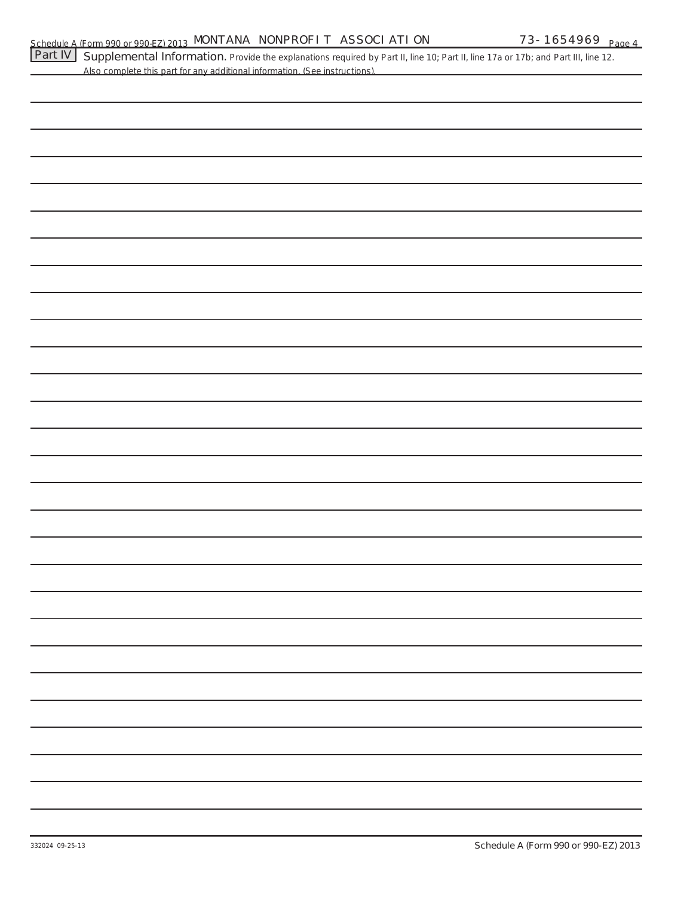| Part IV | Supplemental Information. Provide the explanations required by Part II, line 10; Part II, line 17a or 17b; and Part III, line 12.<br>Also complete this part for any additional information. (See instructions). |
|---------|------------------------------------------------------------------------------------------------------------------------------------------------------------------------------------------------------------------|
|         |                                                                                                                                                                                                                  |
|         |                                                                                                                                                                                                                  |
|         |                                                                                                                                                                                                                  |
|         |                                                                                                                                                                                                                  |
|         |                                                                                                                                                                                                                  |
|         |                                                                                                                                                                                                                  |
|         |                                                                                                                                                                                                                  |
|         |                                                                                                                                                                                                                  |
|         |                                                                                                                                                                                                                  |
|         |                                                                                                                                                                                                                  |
|         |                                                                                                                                                                                                                  |
|         |                                                                                                                                                                                                                  |
|         |                                                                                                                                                                                                                  |
|         |                                                                                                                                                                                                                  |
|         |                                                                                                                                                                                                                  |
|         |                                                                                                                                                                                                                  |
|         |                                                                                                                                                                                                                  |
|         |                                                                                                                                                                                                                  |
|         |                                                                                                                                                                                                                  |
|         |                                                                                                                                                                                                                  |
|         |                                                                                                                                                                                                                  |
|         |                                                                                                                                                                                                                  |
|         |                                                                                                                                                                                                                  |
|         |                                                                                                                                                                                                                  |
|         |                                                                                                                                                                                                                  |
|         |                                                                                                                                                                                                                  |
|         |                                                                                                                                                                                                                  |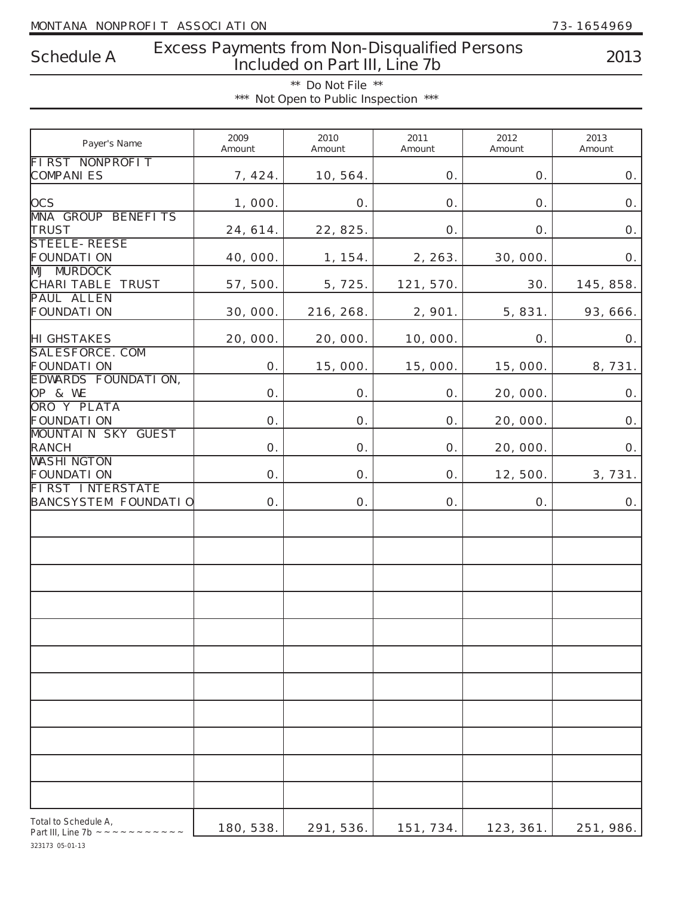# **Excess Payments from Non-Disqualified Persons Included on Part III, Line 7b Schedule A 2013**

**\*\* Do Not File \*\* \*\*\* Not Open to Public Inspection \*\*\***

| Payer's Name                                                   | 2009<br>Amount | 2010<br>Amount | 2011<br>Amount | 2012<br>Amount | 2013<br>Amount |
|----------------------------------------------------------------|----------------|----------------|----------------|----------------|----------------|
| <b>FIRST NONPROFIT</b><br><b>COMPANIES</b>                     | 7, 424.        | 10, 564.       | 0.             | O.             | Ο.             |
| <b>OCS</b>                                                     | 1,000.         | 0.             | 0.             | 0.             | Ο.             |
| <b>MNA GROUP BENEFITS</b><br>TRUST                             | 24, 614.       | 22, 825.       | 0.             | 0.             | Ο.             |
| <b>STEELE-REESE</b><br><b>FOUNDATI ON</b><br><b>MJ MURDOCK</b> | 40, 000.       | 1, 154.        | 2, 263.        | 30, 000.       | Ο.             |
| CHARI TABLE TRUST<br><b>PAUL ALLEN</b>                         | 57, 500.       | 5, 725.        | 121, 570.      | 30.            | 145, 858.      |
| <b>FOUNDATI ON</b>                                             | 30, 000.       | 216, 268.      | 2, 901.        | 5, 831.        | 93, 666.       |
| <b>HI GHSTAKES</b><br>SALESFORCE. COM                          | 20, 000.       | 20, 000.       | 10,000.        | O.             | 0.             |
| <b>FOUNDATI ON</b><br>EDWARDS FOUNDATION,                      | O.             | 15,000.        | 15,000.        | 15,000.        | 8,731.         |
| OP & WE<br>ORO Y PLATA                                         | 0.             | 0.             | Ο.             | 20, 000.       | Ο.             |
| <b>FOUNDATION</b><br><b>MOUNTAIN SKY GUEST</b>                 | 0.             | 0.             | Ο.             | 20, 000.       | Ο.             |
| <b>RANCH</b><br><b>WASHI NGTON</b>                             | 0.             | Ο.             | 0.             | 20, 000.       | Ο.             |
| <b>FOUNDATI ON</b><br><b>FIRST INTERSTATE</b>                  | 0.             | Ο.             | 0.             | 12, 500.       | 3, 731.        |
| <b>BANCSYSTEM FOUNDATIO</b>                                    | 0.             | Ο.             | 0.             | O.             | Ο.             |
|                                                                |                |                |                |                |                |
|                                                                |                |                |                |                |                |
|                                                                |                |                |                |                |                |
|                                                                |                |                |                |                |                |
|                                                                |                |                |                |                |                |
|                                                                |                |                |                |                |                |
|                                                                |                |                |                |                |                |
|                                                                |                |                |                |                |                |
|                                                                |                |                |                |                |                |
|                                                                |                |                |                |                |                |
| Total to Schedule A,                                           | 180, 538.      | 291, 536.      | 151, 734.      | 123, 361.      | 251, 986.      |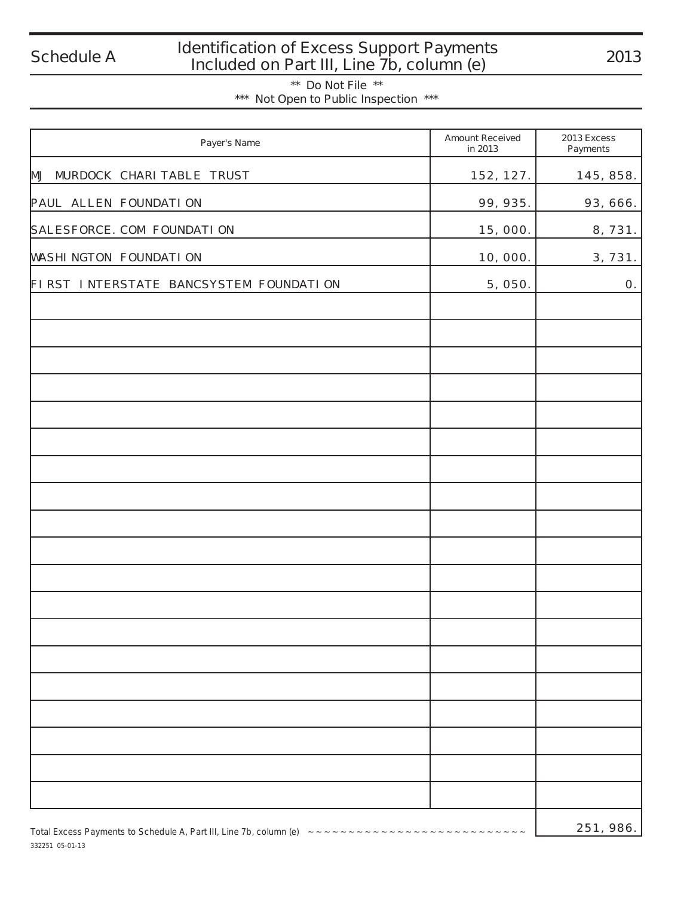332251 05-01-13

# **Identification of Excess Support Payments Included on Part III, Line 7b, column (e) Schedule A 2013**

**\*\* Do Not File \*\* \*\*\* Not Open to Public Inspection \*\*\***

| Payer's Name                                                              | <b>Amount Received</b><br>in 2013 | 2013 Excess<br>Payments |
|---------------------------------------------------------------------------|-----------------------------------|-------------------------|
| MJ MURDOCK CHARI TABLE TRUST                                              | 152, 127.                         | 145, 858.               |
| PAUL ALLEN FOUNDATION                                                     | 99, 935.                          | 93, 666.                |
| SALESFORCE. COM FOUNDATION                                                | 15, 000.                          | 8,731.                  |
| <b>WASHI NGTON FOUNDATI ON</b>                                            | 10, 000.                          | 3, 731.                 |
| FIRST INTERSTATE BANCSYSTEM FOUNDATION                                    | 5, 050.                           | 0.                      |
|                                                                           |                                   |                         |
|                                                                           |                                   |                         |
|                                                                           |                                   |                         |
|                                                                           |                                   |                         |
|                                                                           |                                   |                         |
|                                                                           |                                   |                         |
|                                                                           |                                   |                         |
|                                                                           |                                   |                         |
|                                                                           |                                   |                         |
|                                                                           |                                   |                         |
|                                                                           |                                   |                         |
|                                                                           |                                   |                         |
|                                                                           |                                   |                         |
|                                                                           |                                   |                         |
|                                                                           |                                   |                         |
|                                                                           |                                   |                         |
|                                                                           |                                   |                         |
|                                                                           |                                   |                         |
|                                                                           |                                   |                         |
| Total Excess Payments to Schedule A, Part III, Line 7b, column (e) ~~~~~~ | 251, 986.                         |                         |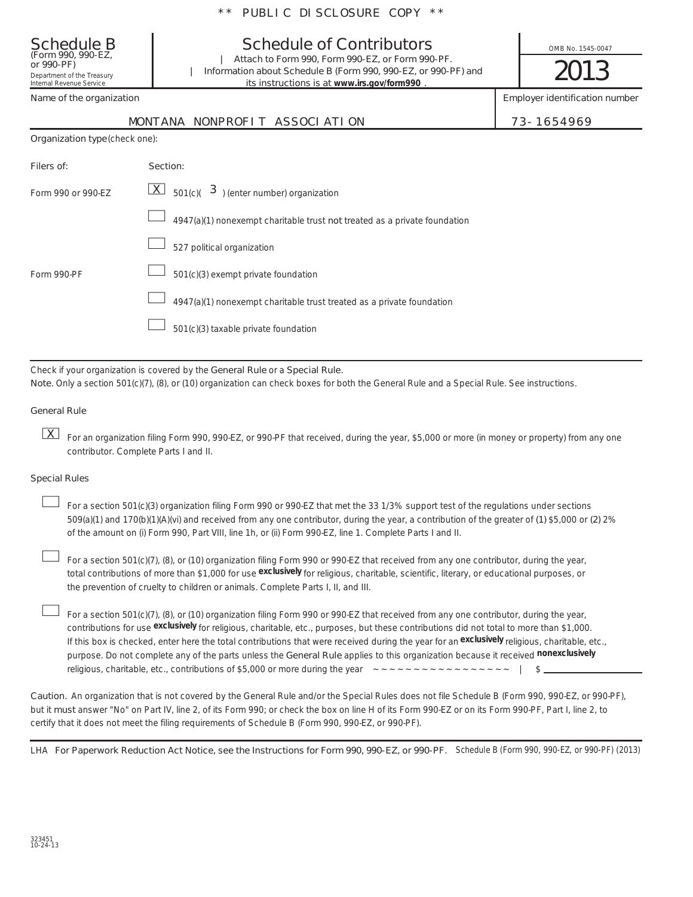| <b>Schedule B</b><br>(Form 990, 990-EZ,<br>or 990-PF)<br>Department of the Treasury<br>Internal Revenue Service | <b>Schedule of Contributors</b><br>Attach to Form 990, Form 990-EZ, or Form 990-PF.<br>Information about Schedule B (Form 990, 990-EZ, or 990-PF) and<br>its instructions is at www.irs.gov/form990. |  | OMB No. 1545-0047<br>2013      |  |
|-----------------------------------------------------------------------------------------------------------------|------------------------------------------------------------------------------------------------------------------------------------------------------------------------------------------------------|--|--------------------------------|--|
| Name of the organization                                                                                        |                                                                                                                                                                                                      |  | Employer identification number |  |
|                                                                                                                 | MONTANA NONPROFIT ASSOCIATION                                                                                                                                                                        |  | 73-1654969                     |  |
| Organization type (check one):                                                                                  |                                                                                                                                                                                                      |  |                                |  |
| Filers of:                                                                                                      | Section:                                                                                                                                                                                             |  |                                |  |
| Form 990 or 990-EZ                                                                                              | $\lfloor \chi \rfloor$ 501(c)( 3) (enter number) organization                                                                                                                                        |  |                                |  |
|                                                                                                                 | 4947(a)(1) nonexempt charitable trust not treated as a private foundation                                                                                                                            |  |                                |  |
|                                                                                                                 | 527 political organization                                                                                                                                                                           |  |                                |  |
| Form 990-PF                                                                                                     | 501(c)(3) exempt private foundation                                                                                                                                                                  |  |                                |  |
|                                                                                                                 | 4947(a)(1) nonexempt charitable trust treated as a private foundation                                                                                                                                |  |                                |  |

501(c)(3) taxable private foundation  $\overline{\phantom{a}}$ 

Check if your organization is covered by the **General Rule** or a **Special Rule**.

**Note.**  Only a section 501(c)(7), (8), or (10) organization can check boxes for both the General Rule and a Special Rule. See instructions.

### **General Rule**

For an organization filing Form 990, 990-EZ, or 990-PF that received, during the year, \$5,000 or more (in money or property) from any one Xcontributor. Complete Parts I and II.

### **Special Rules**

509(a)(1) and 170(b)(1)(A)(vi) and received from any one contributor, during the year, a contribution of the greater of (1) \$5,000 or (2) 2% For a section 501(c)(3) organization filing Form 990 or 990-EZ that met the 33 1/3% support test of the regulations under sections of the amount on (i) Form 990, Part VIII, line 1h, or (ii) Form 990-EZ, line 1. Complete Parts I and II.  $\mathcal{L}_{\mathcal{A}}$ 

total contributions of more than \$1,000 for use *exclusively* for religious, charitable, scientific, literary, or educational purposes, or For a section 501(c)(7), (8), or (10) organization filing Form 990 or 990-EZ that received from any one contributor, during the year, the prevention of cruelty to children or animals. Complete Parts I, II, and III.  $\mathcal{L}_{\mathcal{A}}$ 

purpose. Do not complete any of the parts unless the General Rule applies to this organization because it received *nonexclusively* contributions for use *exclusively* for religious, charitable, etc., purposes, but these contributions did not total to more than \$1,000. If this box is checked, enter here the total contributions that were received during the year for an *exclusively* religious, charitable, etc., For a section 501(c)(7), (8), or (10) organization filing Form 990 or 990-EZ that received from any one contributor, during the year, religious, charitable, etc., contributions of \$5,000 or more during the year ~~~~~~~~~~~~~~~~~ | \$  $\mathcal{L}_{\mathcal{A}}$ 

Caution. An organization that is not covered by the General Rule and/or the Special Rules does not file Schedule B (Form 990, 990-EZ, or 990-PF).  **must** but it answer "No" on Part IV, line 2, of its Form 990; or check the box on line H of its Form 990-EZ or on its Form 990-PF, Part I, line 2, to certify that it does not meet the filing requirements of Schedule B (Form 990, 990-EZ, or 990-PF).

LHA For Paperwork Reduction Act Notice, see the Instructions for Form 990, 990-EZ, or 990-PF. Schedule B (Form 990, 990-EZ, or 990-PF) (2013)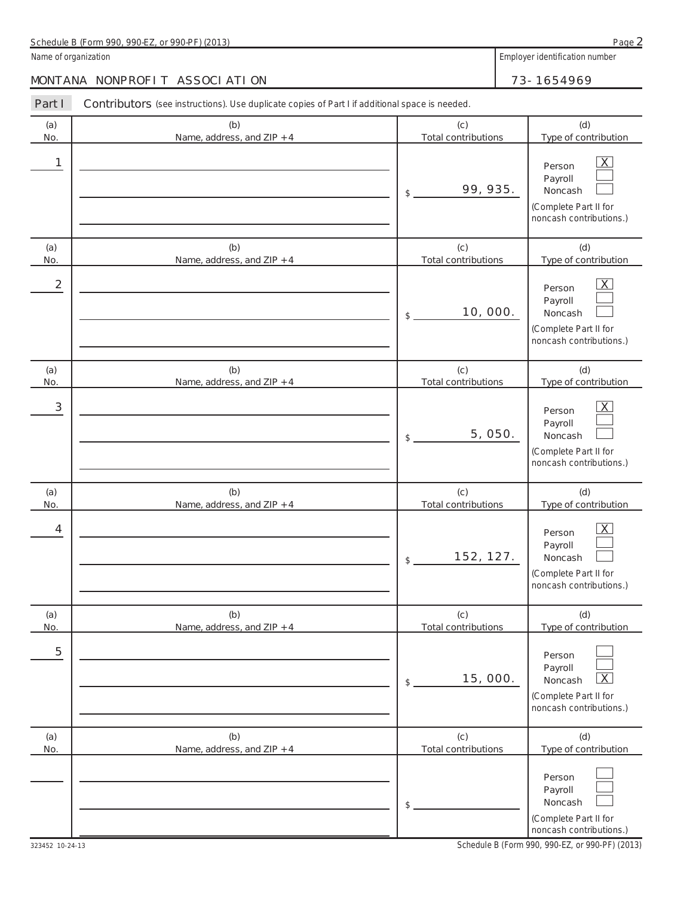| (2013)<br>$\sim$ $\sim$<br>000F<br>$, \rightarrow 0$ -PF'<br>000<br>990<br>D<br>Form<br>Schedule<br>. or '<br>uu<br>D.<br>プリー | Page |
|-------------------------------------------------------------------------------------------------------------------------------|------|
|                                                                                                                               |      |

Name of organization **Name of organization Employer identification** number

323452 10-24-13

**Part I** Contributors (see instructions). Use duplicate copies of Part I if additional space is needed.

| Pall I         | <b>COLILIBUTORS</b> (See instructions). Ose duplicate copies of Part Fill additional space is needed. |                                   |                                                                                                             |
|----------------|-------------------------------------------------------------------------------------------------------|-----------------------------------|-------------------------------------------------------------------------------------------------------------|
| (a)<br>No.     | (b)<br>Name, address, and ZIP + 4                                                                     | (c)<br><b>Total contributions</b> | (d)<br>Type of contribution                                                                                 |
| 1              |                                                                                                       | 99, 935.<br>\$                    | $\overline{X}$<br>Person<br>Payroll<br>Noncash<br>(Complete Part II for<br>noncash contributions.)          |
| (a)<br>No.     | (b)<br>Name, address, and ZIP + 4                                                                     | (c)<br><b>Total contributions</b> | (d)<br>Type of contribution                                                                                 |
| $\overline{2}$ |                                                                                                       | 10, 000.<br>\$                    | $\overline{X}$<br>Person<br>Payroll<br>Noncash<br>(Complete Part II for<br>noncash contributions.)          |
| (a)<br>No.     | (b)<br>Name, address, and ZIP + 4                                                                     | (c)<br><b>Total contributions</b> | (d)<br>Type of contribution                                                                                 |
| 3              |                                                                                                       | 5, 050.<br>\$                     | $\overline{X}$<br>Person<br>Payroll<br>Noncash<br>(Complete Part II for<br>noncash contributions.)          |
| (a)<br>No.     | (b)<br>Name, address, and ZIP + 4                                                                     | (c)<br><b>Total contributions</b> | (d)<br>Type of contribution                                                                                 |
| 4              |                                                                                                       | 152, 127.<br>\$                   | $\overline{\mathsf{X}}$<br>Person<br>Payroll<br>Noncash<br>(Complete Part II for<br>noncash contributions.) |
| (a)<br>No.     | (b)<br>Name, address, and ZIP + 4                                                                     | (c)<br><b>Total contributions</b> | (d)<br>Type of contribution                                                                                 |
| 5              |                                                                                                       | 15,000.<br>\$                     | Person<br>Payroll<br>$\overline{\mathsf{X}}$<br>Noncash<br>(Complete Part II for<br>noncash contributions.) |
| (a)<br>No.     | (b)<br>Name, address, and ZIP + 4                                                                     | (c)<br><b>Total contributions</b> | (d)<br>Type of contribution                                                                                 |
|                |                                                                                                       | \$                                | Person<br>Payroll<br>Noncash<br>(Complete Part II for<br>noncash contributions.)                            |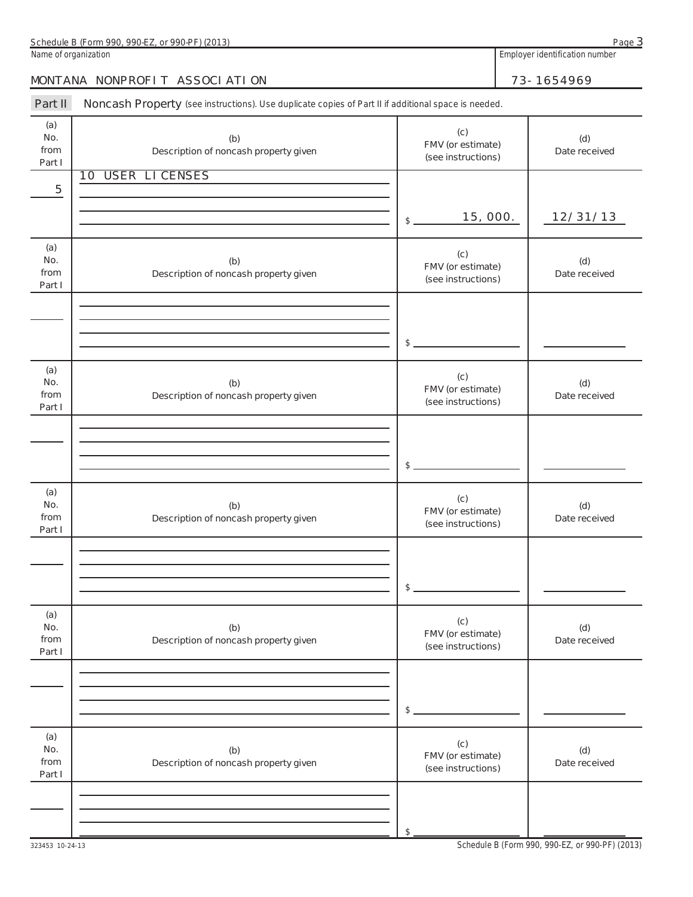| $\sim$<br>(2013)<br>DE.<br>$\cap$<br>oon<br>990<br>Schedule<br>-orm<br>or '<br>◡<br>uu<br>$ -$<br>プリー<br>−.<br>◡<br>$\overline{\phantom{a}}$<br>. | Panc<br>uu |
|---------------------------------------------------------------------------------------------------------------------------------------------------|------------|
|                                                                                                                                                   |            |

**Name of organization Employer identification number Employer identification number** 

**3**

### MONTANA NONPROFIT ASSOCIATION 73-1654969

Part II Noncash Property (see instructions). Use duplicate copies of Part II if additional space is needed.

| (a)<br>No.<br>from<br>Part I | (b)<br>Description of noncash property given | (c)<br>FMV (or estimate)<br>(see instructions) | (d)<br>Date received |
|------------------------------|----------------------------------------------|------------------------------------------------|----------------------|
| 5                            | <b>10 USER LI CENSES</b>                     |                                                |                      |
|                              |                                              | 15, 000.<br>$$ -$                              | 12/31/13             |
| (a)                          |                                              |                                                |                      |
| No.<br>from<br>Part I        | (b)<br>Description of noncash property given | (c)<br>FMV (or estimate)<br>(see instructions) | (d)<br>Date received |
|                              |                                              |                                                |                      |
|                              |                                              | $\frac{1}{2}$                                  |                      |
|                              |                                              |                                                |                      |
| (a)<br>No.<br>from<br>Part I | (b)<br>Description of noncash property given | (c)<br>FMV (or estimate)<br>(see instructions) | (d)<br>Date received |
|                              |                                              |                                                |                      |
|                              |                                              | $\frac{1}{2}$                                  |                      |
|                              |                                              |                                                |                      |
| (a)<br>No.<br>from<br>Part I | (b)<br>Description of noncash property given | (c)<br>FMV (or estimate)<br>(see instructions) | (d)<br>Date received |
|                              |                                              |                                                |                      |
|                              |                                              | $\frac{1}{2}$                                  |                      |
|                              |                                              |                                                |                      |
| (a)<br>No.<br>from<br>Part I | (b)<br>Description of noncash property given | (c)<br>FMV (or estimate)<br>(see instructions) | (d)<br>Date received |
|                              |                                              |                                                |                      |
|                              |                                              | $\mathsf S$ .                                  |                      |
| (a)                          |                                              |                                                |                      |
| No.<br>from<br>Part I        | (b)<br>Description of noncash property given | (c)<br>FMV (or estimate)<br>(see instructions) | (d)<br>Date received |
|                              |                                              |                                                |                      |
|                              |                                              | \$                                             |                      |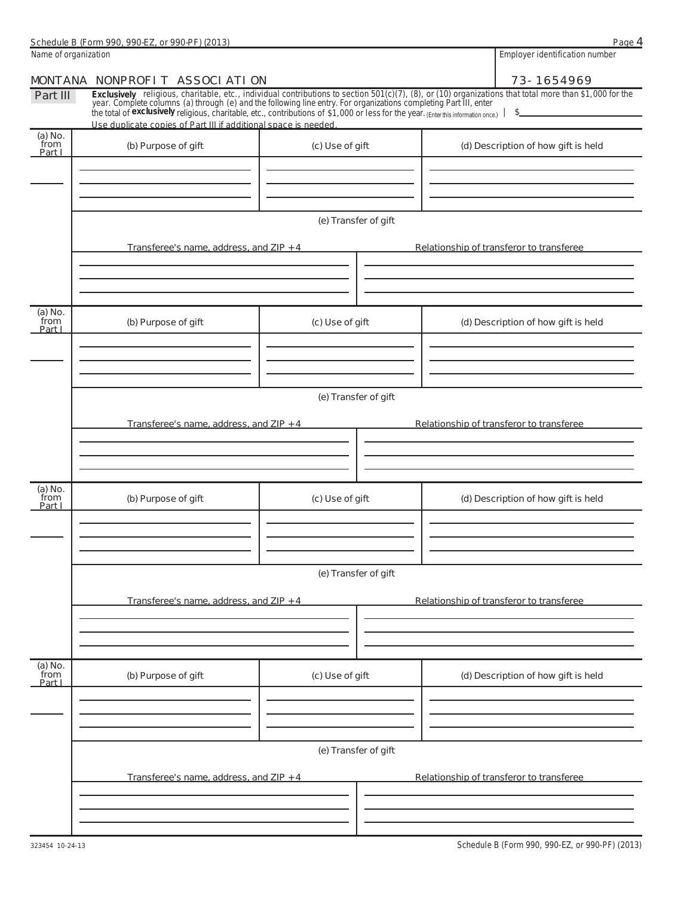**4**

| Name of organization      |                                                                                                                                                                                                                                                                                                        | Employer identification number |  |                                          |  |
|---------------------------|--------------------------------------------------------------------------------------------------------------------------------------------------------------------------------------------------------------------------------------------------------------------------------------------------------|--------------------------------|--|------------------------------------------|--|
|                           | MONTANA NONPROFIT ASSOCIATION                                                                                                                                                                                                                                                                          | 73-1654969                     |  |                                          |  |
| Part III                  | <i>Exclusively</i> religious, charitable, etc., individual contributions to section 501(c)(7), (8), or (10) organizations that total more than \$1,000 for the year. Complete columns (a) through (e) and the following line entry.<br>Use duplicate copies of Part III if additional space is needed. |                                |  | $\frac{1}{2}$                            |  |
| (a) No.<br>from<br>Part I | (b) Purpose of gift                                                                                                                                                                                                                                                                                    | (c) Use of gift                |  | (d) Description of how gift is held      |  |
|                           |                                                                                                                                                                                                                                                                                                        | (e) Transfer of gift           |  |                                          |  |
|                           | Transferee's name, address, and ZIP + 4                                                                                                                                                                                                                                                                |                                |  | Relationship of transferor to transferee |  |
| (a) No.<br>from<br>Part I | (b) Purpose of gift                                                                                                                                                                                                                                                                                    | (c) Use of gift                |  | (d) Description of how gift is held      |  |
|                           | Transferee's name, address, and ZIP + 4                                                                                                                                                                                                                                                                | (e) Transfer of gift           |  | Relationship of transferor to transferee |  |
| (a) No.<br>from<br>Part I | (b) Purpose of gift                                                                                                                                                                                                                                                                                    | (c) Use of gift                |  | (d) Description of how gift is held      |  |
|                           | Transferee's name, address, and ZIP + 4                                                                                                                                                                                                                                                                | (e) Transfer of gift           |  | Relationship of transferor to transferee |  |
|                           |                                                                                                                                                                                                                                                                                                        |                                |  |                                          |  |
| (a) No.<br>from<br>Part I | (b) Purpose of gift                                                                                                                                                                                                                                                                                    | (c) Use of gift                |  | (d) Description of how gift is held      |  |
|                           |                                                                                                                                                                                                                                                                                                        | (e) Transfer of gift           |  |                                          |  |
|                           | Transferee's name, address, and ZIP + 4                                                                                                                                                                                                                                                                |                                |  | Relationship of transferor to transferee |  |
|                           |                                                                                                                                                                                                                                                                                                        |                                |  |                                          |  |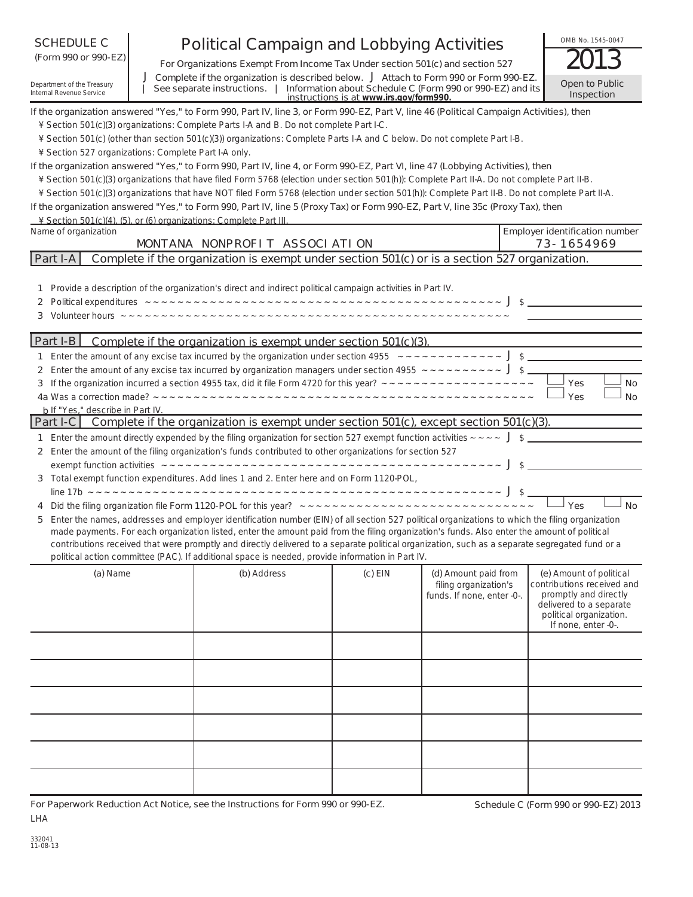| <b>SCHEDULE C</b><br>(Form 990 or 990-EZ)<br>Department of the Treasury<br>Internal Revenue Service | <b>Political Campaign and Lobbying Activities</b><br>For Organizations Exempt From Income Tax Under section 501(c) and section 527<br>J Complete if the organization is described below. J Attach to Form 990 or Form 990-EZ.<br>See separate instructions.   Information about Schedule C (Form 990 or 990-EZ) and its                                                                                                                                                                                                                                                  |                                                                                                                                                                                                                                                                                                                                                                                                                                                                                                                                                                                                                                           |                                         |                                                                             |  | OMB No. 1545-0047<br>Open to Public                                                                                                                         |
|-----------------------------------------------------------------------------------------------------|--------------------------------------------------------------------------------------------------------------------------------------------------------------------------------------------------------------------------------------------------------------------------------------------------------------------------------------------------------------------------------------------------------------------------------------------------------------------------------------------------------------------------------------------------------------------------|-------------------------------------------------------------------------------------------------------------------------------------------------------------------------------------------------------------------------------------------------------------------------------------------------------------------------------------------------------------------------------------------------------------------------------------------------------------------------------------------------------------------------------------------------------------------------------------------------------------------------------------------|-----------------------------------------|-----------------------------------------------------------------------------|--|-------------------------------------------------------------------------------------------------------------------------------------------------------------|
|                                                                                                     |                                                                                                                                                                                                                                                                                                                                                                                                                                                                                                                                                                          |                                                                                                                                                                                                                                                                                                                                                                                                                                                                                                                                                                                                                                           | instructions is at www.irs.gov/form990. |                                                                             |  | Inspection                                                                                                                                                  |
| ¥ Section 527 organizations: Complete Part I-A only.                                                |                                                                                                                                                                                                                                                                                                                                                                                                                                                                                                                                                                          | If the organization answered "Yes," to Form 990, Part IV, line 3, or Form 990-EZ, Part V, line 46 (Political Campaign Activities), then<br>¥ Section 501(c)(3) organizations: Complete Parts I-A and B. Do not complete Part I-C.<br>¥ Section 501(c) (other than section 501(c)(3)) organizations: Complete Parts I-A and C below. Do not complete Part I-B.                                                                                                                                                                                                                                                                             |                                         |                                                                             |  |                                                                                                                                                             |
|                                                                                                     |                                                                                                                                                                                                                                                                                                                                                                                                                                                                                                                                                                          | If the organization answered "Yes," to Form 990, Part IV, line 4, or Form 990-EZ, Part VI, line 47 (Lobbying Activities), then<br>¥ Section 501(c)(3) organizations that have filed Form 5768 (election under section 501(h)): Complete Part II-A. Do not complete Part II-B.<br>¥ Section 501(c)(3) organizations that have NOT filed Form 5768 (election under section 501(h)): Complete Part II-B. Do not complete Part II-A.<br>If the organization answered "Yes," to Form 990, Part IV, line 5 (Proxy Tax) or Form 990-EZ, Part V, line 35c (Proxy Tax), then<br>¥ Section 501(c)(4), (5), or (6) organizations: Complete Part III. |                                         |                                                                             |  |                                                                                                                                                             |
| Name of organization                                                                                |                                                                                                                                                                                                                                                                                                                                                                                                                                                                                                                                                                          | MONTANA NONPROFIT ASSOCIATION                                                                                                                                                                                                                                                                                                                                                                                                                                                                                                                                                                                                             |                                         |                                                                             |  | Employer identification number<br>73-1654969                                                                                                                |
| Part I-A                                                                                            |                                                                                                                                                                                                                                                                                                                                                                                                                                                                                                                                                                          | Complete if the organization is exempt under section 501(c) or is a section 527 organization.                                                                                                                                                                                                                                                                                                                                                                                                                                                                                                                                             |                                         |                                                                             |  |                                                                                                                                                             |
| 2                                                                                                   |                                                                                                                                                                                                                                                                                                                                                                                                                                                                                                                                                                          | 1 Provide a description of the organization's direct and indirect political campaign activities in Part IV.                                                                                                                                                                                                                                                                                                                                                                                                                                                                                                                               |                                         |                                                                             |  |                                                                                                                                                             |
| Part I-B                                                                                            |                                                                                                                                                                                                                                                                                                                                                                                                                                                                                                                                                                          | Complete if the organization is exempt under section 501(c)(3).                                                                                                                                                                                                                                                                                                                                                                                                                                                                                                                                                                           |                                         |                                                                             |  |                                                                                                                                                             |
| b If "Yes." describe in Part IV.                                                                    |                                                                                                                                                                                                                                                                                                                                                                                                                                                                                                                                                                          | 2 Enter the amount of any excise tax incurred by organization managers under section 4955 $\sim \sim \sim \sim \sim \sim \sim \sim \sim 1$ \$                                                                                                                                                                                                                                                                                                                                                                                                                                                                                             |                                         |                                                                             |  | Yes<br><b>No</b><br>Yes<br><b>No</b>                                                                                                                        |
| Part I-C                                                                                            |                                                                                                                                                                                                                                                                                                                                                                                                                                                                                                                                                                          | Complete if the organization is exempt under section 501(c), except section 501(c)(3).                                                                                                                                                                                                                                                                                                                                                                                                                                                                                                                                                    |                                         |                                                                             |  |                                                                                                                                                             |
|                                                                                                     |                                                                                                                                                                                                                                                                                                                                                                                                                                                                                                                                                                          | 1 Enter the amount directly expended by the filing organization for section 527 exempt function activities $\sim \sim \sim 3$ \$<br>2 Enter the amount of the filing organization's funds contributed to other organizations for section 527<br>3 Total exempt function expenditures. Add lines 1 and 2. Enter here and on Form 1120-POL,                                                                                                                                                                                                                                                                                                 |                                         |                                                                             |  |                                                                                                                                                             |
|                                                                                                     | Yes<br><b>No</b><br>Enter the names, addresses and employer identification number (EIN) of all section 527 political organizations to which the filing organization<br>made payments. For each organization listed, enter the amount paid from the filing organization's funds. Also enter the amount of political<br>contributions received that were promptly and directly delivered to a separate political organization, such as a separate segregated fund or a<br>political action committee (PAC). If additional space is needed, provide information in Part IV. |                                                                                                                                                                                                                                                                                                                                                                                                                                                                                                                                                                                                                                           |                                         |                                                                             |  |                                                                                                                                                             |
| (a) Name                                                                                            |                                                                                                                                                                                                                                                                                                                                                                                                                                                                                                                                                                          | (b) Address                                                                                                                                                                                                                                                                                                                                                                                                                                                                                                                                                                                                                               | $(c)$ EIN                               | (d) Amount paid from<br>filing organization's<br>funds. If none, enter -0-. |  | (e) Amount of political<br>contributions received and<br>promptly and directly<br>delivered to a separate<br>political organization.<br>If none, enter -0-. |
|                                                                                                     |                                                                                                                                                                                                                                                                                                                                                                                                                                                                                                                                                                          |                                                                                                                                                                                                                                                                                                                                                                                                                                                                                                                                                                                                                                           |                                         |                                                                             |  |                                                                                                                                                             |
|                                                                                                     |                                                                                                                                                                                                                                                                                                                                                                                                                                                                                                                                                                          |                                                                                                                                                                                                                                                                                                                                                                                                                                                                                                                                                                                                                                           |                                         |                                                                             |  |                                                                                                                                                             |
|                                                                                                     |                                                                                                                                                                                                                                                                                                                                                                                                                                                                                                                                                                          |                                                                                                                                                                                                                                                                                                                                                                                                                                                                                                                                                                                                                                           |                                         |                                                                             |  |                                                                                                                                                             |
|                                                                                                     |                                                                                                                                                                                                                                                                                                                                                                                                                                                                                                                                                                          |                                                                                                                                                                                                                                                                                                                                                                                                                                                                                                                                                                                                                                           |                                         |                                                                             |  |                                                                                                                                                             |
|                                                                                                     |                                                                                                                                                                                                                                                                                                                                                                                                                                                                                                                                                                          |                                                                                                                                                                                                                                                                                                                                                                                                                                                                                                                                                                                                                                           |                                         |                                                                             |  |                                                                                                                                                             |
|                                                                                                     |                                                                                                                                                                                                                                                                                                                                                                                                                                                                                                                                                                          |                                                                                                                                                                                                                                                                                                                                                                                                                                                                                                                                                                                                                                           |                                         |                                                                             |  |                                                                                                                                                             |

**For Paperwork Reduction Act Notice, see the Instructions for Form 990 or 990-EZ. Schedule C (Form 990 or 990-EZ) 2013** LHA

332041 11-08-13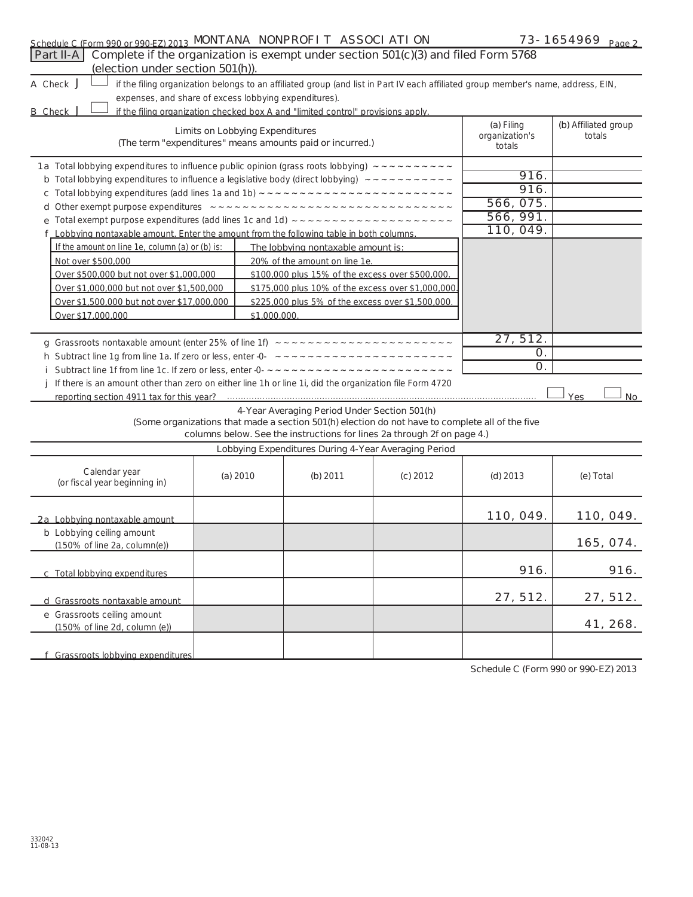| Schedule C (Form 990 or 990-EZ) 2013 MONTANA NONPROFIT ASSOCI ATI ON |  |  | 73-1654969<br>Page 2 |
|----------------------------------------------------------------------|--|--|----------------------|
|----------------------------------------------------------------------|--|--|----------------------|

| Part II-A<br>Complete if the organization is exempt under section 501(c)(3) and filed Form 5768<br>(election under section 501(h)).            |                                                       |                                                                                  |                                                                                                                                                                            |                                        |                                |  |  |  |  |
|------------------------------------------------------------------------------------------------------------------------------------------------|-------------------------------------------------------|----------------------------------------------------------------------------------|----------------------------------------------------------------------------------------------------------------------------------------------------------------------------|----------------------------------------|--------------------------------|--|--|--|--|
| A Check J<br>if the filing organization belongs to an affiliated group (and list in Part IV each affiliated group member's name, address, EIN, |                                                       |                                                                                  |                                                                                                                                                                            |                                        |                                |  |  |  |  |
|                                                                                                                                                | expenses, and share of excess lobbying expenditures). |                                                                                  |                                                                                                                                                                            |                                        |                                |  |  |  |  |
| <b>B</b> Check                                                                                                                                 |                                                       | if the filing organization checked box A and "limited control" provisions apply. |                                                                                                                                                                            |                                        |                                |  |  |  |  |
|                                                                                                                                                | <b>Limits on Lobbying Expenditures</b>                | (The term "expenditures" means amounts paid or incurred.)                        |                                                                                                                                                                            | (a) Filing<br>organization's<br>totals | (b) Affiliated group<br>totals |  |  |  |  |
| 1a Total lobbying expenditures to influence public opinion (grass roots lobbying) ~~~~~~~~~~~                                                  |                                                       |                                                                                  |                                                                                                                                                                            |                                        |                                |  |  |  |  |
| <b>b</b> Total lobbying expenditures to influence a legislative body (direct lobbying) $\sim \sim \sim \sim \sim \sim \sim \sim \sim \sim$     |                                                       |                                                                                  |                                                                                                                                                                            | 916.                                   |                                |  |  |  |  |
|                                                                                                                                                |                                                       |                                                                                  |                                                                                                                                                                            | 916.                                   |                                |  |  |  |  |
|                                                                                                                                                |                                                       |                                                                                  |                                                                                                                                                                            | 566, 075.                              |                                |  |  |  |  |
|                                                                                                                                                |                                                       |                                                                                  |                                                                                                                                                                            | 566, 991.                              |                                |  |  |  |  |
| f Lobbying nontaxable amount. Enter the amount from the following table in both columns.                                                       |                                                       |                                                                                  |                                                                                                                                                                            | 110, 049.                              |                                |  |  |  |  |
| If the amount on line 1e, column (a) or (b) is:                                                                                                |                                                       | The lobbying nontaxable amount is:                                               |                                                                                                                                                                            |                                        |                                |  |  |  |  |
| Not over \$500,000                                                                                                                             |                                                       | 20% of the amount on line 1e.                                                    |                                                                                                                                                                            |                                        |                                |  |  |  |  |
| Over \$500,000 but not over \$1,000,000                                                                                                        |                                                       | \$100,000 plus 15% of the excess over \$500,000.                                 |                                                                                                                                                                            |                                        |                                |  |  |  |  |
| Over \$1,000,000 but not over \$1,500,000                                                                                                      |                                                       | \$175,000 plus 10% of the excess over \$1,000,000.                               |                                                                                                                                                                            |                                        |                                |  |  |  |  |
| Over \$1,500,000 but not over \$17,000,000                                                                                                     |                                                       | \$225,000 plus 5% of the excess over \$1,500,000.                                |                                                                                                                                                                            |                                        |                                |  |  |  |  |
| Over \$17,000,000                                                                                                                              | \$1,000,000.                                          |                                                                                  |                                                                                                                                                                            |                                        |                                |  |  |  |  |
|                                                                                                                                                |                                                       |                                                                                  |                                                                                                                                                                            |                                        |                                |  |  |  |  |
|                                                                                                                                                |                                                       |                                                                                  |                                                                                                                                                                            | 27, 512.                               |                                |  |  |  |  |
|                                                                                                                                                | 0.                                                    |                                                                                  |                                                                                                                                                                            |                                        |                                |  |  |  |  |
|                                                                                                                                                |                                                       |                                                                                  |                                                                                                                                                                            | 0.                                     |                                |  |  |  |  |
| j If there is an amount other than zero on either line 1h or line 1i, did the organization file Form 4720                                      |                                                       |                                                                                  |                                                                                                                                                                            |                                        |                                |  |  |  |  |
| reporting section 4911 tax for this year?                                                                                                      |                                                       |                                                                                  |                                                                                                                                                                            |                                        | Yes<br>No                      |  |  |  |  |
|                                                                                                                                                |                                                       | 4-Year Averaging Period Under Section 501(h)                                     | (Some organizations that made a section 501(h) election do not have to complete all of the five<br>columns below. See the instructions for lines 2a through 2f on page 4.) |                                        |                                |  |  |  |  |
|                                                                                                                                                |                                                       | Lobbying Expenditures During 4-Year Averaging Period                             |                                                                                                                                                                            |                                        |                                |  |  |  |  |
| Calendar year<br>(or fiscal year beginning in)                                                                                                 | (a) 2010                                              | (b) 2011                                                                         | $(c)$ 2012                                                                                                                                                                 | $(d)$ 2013                             | (e) Total                      |  |  |  |  |
| 2a Lobbying nontaxable amount                                                                                                                  |                                                       |                                                                                  |                                                                                                                                                                            | 110, 049.                              | 110, 049.                      |  |  |  |  |
| <b>b</b> Lobbying ceiling amount<br>(150% of line 2a, column(e))                                                                               |                                                       |                                                                                  |                                                                                                                                                                            |                                        | 165, 074.                      |  |  |  |  |
| c Total lobbying expenditures                                                                                                                  |                                                       |                                                                                  |                                                                                                                                                                            | 916.                                   | 916.                           |  |  |  |  |
| d Grassroots nontaxable amount                                                                                                                 |                                                       |                                                                                  |                                                                                                                                                                            | 27, 512.                               | 27, 512.                       |  |  |  |  |
| e Grassroots ceiling amount<br>(150% of line 2d, column (e))                                                                                   |                                                       |                                                                                  |                                                                                                                                                                            |                                        | 41, 268.                       |  |  |  |  |
| f Grassroots lobbving expenditures                                                                                                             |                                                       |                                                                                  |                                                                                                                                                                            |                                        |                                |  |  |  |  |

**Schedule C (Form 990 or 990-EZ) 2013**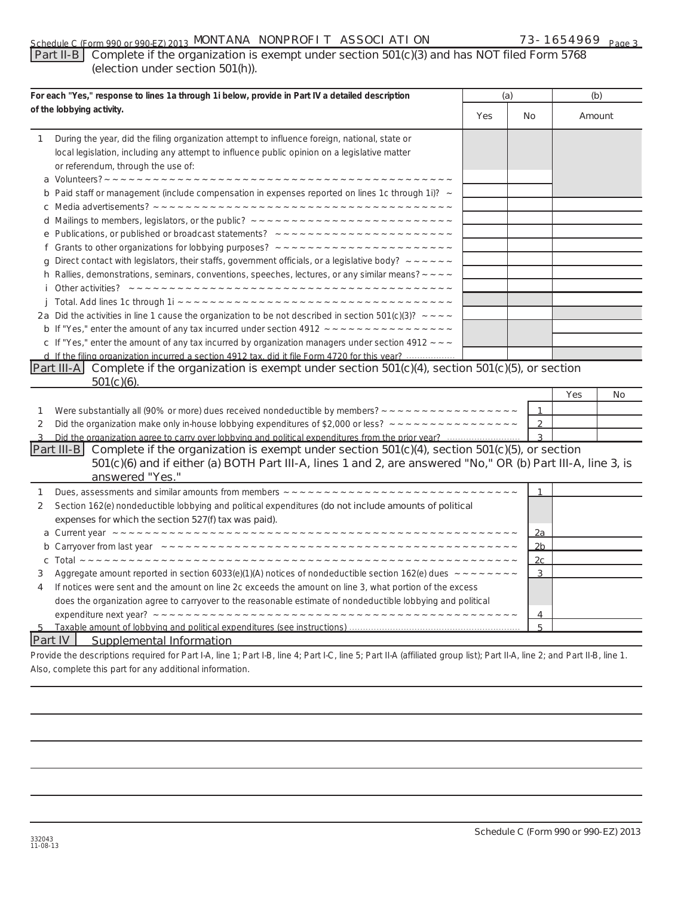### **Part II-B Complete if the organization is exempt under section 501(c)(3) and has NOT filed Form 5768 (election under section 501(h)).**

| For each "Yes," response to lines 1a through 1i below, provide in Part IV a detailed description |                                                                                                                                                                                                                                     | (a)                                                             |                | (b)    |    |
|--------------------------------------------------------------------------------------------------|-------------------------------------------------------------------------------------------------------------------------------------------------------------------------------------------------------------------------------------|-----------------------------------------------------------------|----------------|--------|----|
|                                                                                                  | of the lobbying activity.                                                                                                                                                                                                           |                                                                 |                | Amount |    |
| 1                                                                                                | During the year, did the filing organization attempt to influence foreign, national, state or<br>local legislation, including any attempt to influence public opinion on a legislative matter<br>or referendum, through the use of: |                                                                 |                |        |    |
|                                                                                                  | <b>b</b> Paid staff or management (include compensation in expenses reported on lines 1c through 1i)? $\sim$                                                                                                                        |                                                                 |                |        |    |
|                                                                                                  |                                                                                                                                                                                                                                     |                                                                 |                |        |    |
|                                                                                                  |                                                                                                                                                                                                                                     |                                                                 |                |        |    |
|                                                                                                  |                                                                                                                                                                                                                                     |                                                                 |                |        |    |
|                                                                                                  |                                                                                                                                                                                                                                     |                                                                 |                |        |    |
|                                                                                                  | g Direct contact with legislators, their staffs, government officials, or a legislative body? $\sim$ $\sim$ $\sim$ $\sim$ $\sim$                                                                                                    |                                                                 |                |        |    |
|                                                                                                  | <b>h</b> Rallies, demonstrations, seminars, conventions, speeches, lectures, or any similar means? $\sim \sim \sim$                                                                                                                 |                                                                 |                |        |    |
|                                                                                                  |                                                                                                                                                                                                                                     |                                                                 |                |        |    |
| j.                                                                                               |                                                                                                                                                                                                                                     |                                                                 |                |        |    |
|                                                                                                  | 2a Did the activities in line 1 cause the organization to be not described in section 501(c)(3)? $\sim$ $\sim$ $\sim$                                                                                                               |                                                                 |                |        |    |
|                                                                                                  |                                                                                                                                                                                                                                     |                                                                 |                |        |    |
|                                                                                                  | c If "Yes," enter the amount of any tax incurred by organization managers under section 4912 $\sim$ $\sim$                                                                                                                          |                                                                 |                |        |    |
|                                                                                                  | d If the filing organization incurred a section 4912 tax, did it file Form 4720 for this year?                                                                                                                                      |                                                                 |                |        |    |
|                                                                                                  | Part III-A Complete if the organization is exempt under section 501(c)(4), section 501(c)(5), or section                                                                                                                            |                                                                 |                |        |    |
|                                                                                                  | $501(c)(6)$ .                                                                                                                                                                                                                       |                                                                 |                |        |    |
|                                                                                                  |                                                                                                                                                                                                                                     |                                                                 |                | Yes    | No |
| 1                                                                                                |                                                                                                                                                                                                                                     |                                                                 | 1              |        |    |
| 2                                                                                                |                                                                                                                                                                                                                                     |                                                                 | $\overline{2}$ |        |    |
|                                                                                                  |                                                                                                                                                                                                                                     |                                                                 | $\overline{3}$ |        |    |
|                                                                                                  | Part III-B Complete if the organization is exempt under section $501(c)(4)$ , section $501(c)(5)$ , or section<br>501(c)(6) and if either (a) BOTH Part III-A, lines 1 and 2, are answered "No," OR (b) Part III-A, line 3, is      |                                                                 |                |        |    |
|                                                                                                  | answered "Yes."                                                                                                                                                                                                                     |                                                                 |                |        |    |
|                                                                                                  |                                                                                                                                                                                                                                     |                                                                 |                |        |    |
| 1                                                                                                | Section 162(e) nondeductible lobbying and political expenditures (do not include amounts of political                                                                                                                               |                                                                 | 1              |        |    |
| 2                                                                                                |                                                                                                                                                                                                                                     |                                                                 |                |        |    |
|                                                                                                  | expenses for which the section 527(f) tax was paid).                                                                                                                                                                                |                                                                 | 2a             |        |    |
|                                                                                                  |                                                                                                                                                                                                                                     |                                                                 | 2 <sub>b</sub> |        |    |
| с                                                                                                |                                                                                                                                                                                                                                     |                                                                 | 2 <sub>c</sub> |        |    |
| 3                                                                                                | Aggregate amount reported in section 6033(e)(1)(A) notices of nondeductible section 162(e) dues $\sim \sim \sim \sim \sim \sim \sim \sim$                                                                                           |                                                                 | 3              |        |    |
| 4                                                                                                | If notices were sent and the amount on line 2c exceeds the amount on line 3, what portion of the excess                                                                                                                             |                                                                 |                |        |    |
|                                                                                                  | does the organization agree to carryover to the reasonable estimate of nondeductible lobbying and political                                                                                                                         |                                                                 |                |        |    |
|                                                                                                  |                                                                                                                                                                                                                                     |                                                                 | 4              |        |    |
|                                                                                                  |                                                                                                                                                                                                                                     |                                                                 | 5              |        |    |
|                                                                                                  | <b>Part IV</b><br><b>Supplemental Information</b>                                                                                                                                                                                   |                                                                 |                |        |    |
|                                                                                                  | $\mathbf{a}$ and $\mathbf{a}$ and $\mathbf{a}$ and $\mathbf{a}$ and $\mathbf{a}$ and $\mathbf{a}$ and $\mathbf{a}$ and $\mathbf{a}$ and $\mathbf{a}$                                                                                | $\mathbf{u}$ and $\mathbf{v}$ and $\mathbf{v}$ and $\mathbf{v}$ |                |        |    |

Provide the descriptions required for Part I-A, line 1; Part I-B, line 4; Part I-C, line 5; Part II-A (affiliated group list); Part II-A, line 2; and Part II-B, line 1. Also, complete this part for any additional information.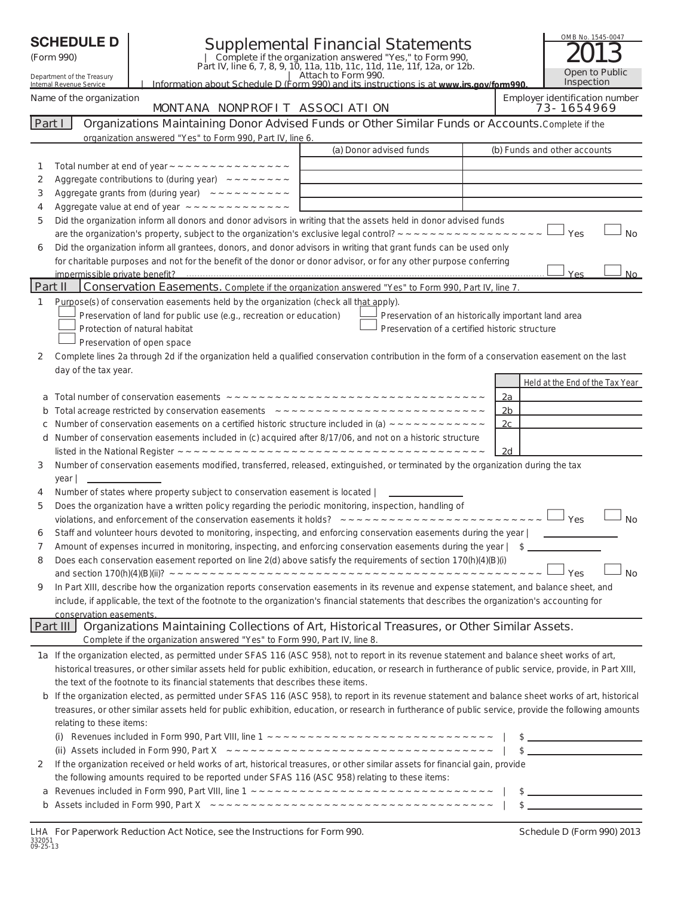|         | <b>SCHEDULE D</b><br><b>Supplemental Financial Statements</b><br>Complete if the organization answered "Yes," to Form 990,<br>Part IV, line 6, 7, 8, 9, 10, 11a, 11b, 11c, 11d, 11e, 11f, 12a, or 12b.<br>(Form 990)<br>  Attach to Form 990.<br>Department of the Treasury<br>Internal Revenue Service<br>Information about Schedule D (Form 990) and its instructions is at www irs gov/form990 |                               |                                                                                           |                                                                                                                                                           |  | OMB No. 1545-0047<br>Open to Public<br>Inspection |                                              |
|---------|---------------------------------------------------------------------------------------------------------------------------------------------------------------------------------------------------------------------------------------------------------------------------------------------------------------------------------------------------------------------------------------------------|-------------------------------|-------------------------------------------------------------------------------------------|-----------------------------------------------------------------------------------------------------------------------------------------------------------|--|---------------------------------------------------|----------------------------------------------|
|         | Name of the organization                                                                                                                                                                                                                                                                                                                                                                          |                               | MONTANA NONPROFIT ASSOCIATION                                                             |                                                                                                                                                           |  |                                                   | Employer identification number<br>73-1654969 |
| Part I  |                                                                                                                                                                                                                                                                                                                                                                                                   |                               |                                                                                           | Organizations Maintaining Donor Advised Funds or Other Similar Funds or Accounts. Complete if the                                                         |  |                                                   |                                              |
|         |                                                                                                                                                                                                                                                                                                                                                                                                   |                               | organization answered "Yes" to Form 990, Part IV, line 6.                                 |                                                                                                                                                           |  |                                                   |                                              |
|         |                                                                                                                                                                                                                                                                                                                                                                                                   |                               |                                                                                           | (a) Donor advised funds                                                                                                                                   |  |                                                   | (b) Funds and other accounts                 |
| 1       |                                                                                                                                                                                                                                                                                                                                                                                                   |                               |                                                                                           |                                                                                                                                                           |  |                                                   |                                              |
| 2<br>3  |                                                                                                                                                                                                                                                                                                                                                                                                   |                               | Aggregate contributions to (during year) $\sim$ $\sim$ $\sim$ $\sim$ $\sim$ $\sim$ $\sim$ |                                                                                                                                                           |  |                                                   |                                              |
| 4       |                                                                                                                                                                                                                                                                                                                                                                                                   |                               |                                                                                           |                                                                                                                                                           |  |                                                   |                                              |
| 5       |                                                                                                                                                                                                                                                                                                                                                                                                   |                               |                                                                                           | Did the organization inform all donors and donor advisors in writing that the assets held in donor advised funds                                          |  |                                                   |                                              |
|         |                                                                                                                                                                                                                                                                                                                                                                                                   |                               |                                                                                           |                                                                                                                                                           |  |                                                   | Yes<br><b>No</b>                             |
| 6       |                                                                                                                                                                                                                                                                                                                                                                                                   |                               |                                                                                           | Did the organization inform all grantees, donors, and donor advisors in writing that grant funds can be used only                                         |  |                                                   |                                              |
|         |                                                                                                                                                                                                                                                                                                                                                                                                   |                               |                                                                                           | for charitable purposes and not for the benefit of the donor or donor advisor, or for any other purpose conferring                                        |  |                                                   |                                              |
|         |                                                                                                                                                                                                                                                                                                                                                                                                   |                               |                                                                                           |                                                                                                                                                           |  |                                                   | Yes<br><b>No</b>                             |
| Part II |                                                                                                                                                                                                                                                                                                                                                                                                   |                               |                                                                                           | Conservation Easements. Complete if the organization answered "Yes" to Form 990, Part IV, line 7.                                                         |  |                                                   |                                              |
| 1       |                                                                                                                                                                                                                                                                                                                                                                                                   |                               | Preservation of land for public use (e.g., recreation or education)                       | Purpose(s) of conservation easements held by the organization (check all that apply).<br>Preservation of an historically important land area              |  |                                                   |                                              |
|         |                                                                                                                                                                                                                                                                                                                                                                                                   | Protection of natural habitat |                                                                                           | Preservation of a certified historic structure                                                                                                            |  |                                                   |                                              |
|         |                                                                                                                                                                                                                                                                                                                                                                                                   | Preservation of open space    |                                                                                           |                                                                                                                                                           |  |                                                   |                                              |
| 2       |                                                                                                                                                                                                                                                                                                                                                                                                   |                               |                                                                                           | Complete lines 2a through 2d if the organization held a qualified conservation contribution in the form of a conservation easement on the last            |  |                                                   |                                              |
|         | day of the tax year.                                                                                                                                                                                                                                                                                                                                                                              |                               |                                                                                           |                                                                                                                                                           |  |                                                   | Held at the End of the Tax Year              |
|         |                                                                                                                                                                                                                                                                                                                                                                                                   |                               |                                                                                           |                                                                                                                                                           |  | 2a                                                |                                              |
| b       |                                                                                                                                                                                                                                                                                                                                                                                                   |                               |                                                                                           |                                                                                                                                                           |  | 2 <sub>b</sub>                                    |                                              |
| с       |                                                                                                                                                                                                                                                                                                                                                                                                   |                               |                                                                                           |                                                                                                                                                           |  | 2c                                                |                                              |
| d       |                                                                                                                                                                                                                                                                                                                                                                                                   |                               |                                                                                           | Number of conservation easements included in (c) acquired after 8/17/06, and not on a historic structure                                                  |  | 2d                                                |                                              |
| 3       |                                                                                                                                                                                                                                                                                                                                                                                                   |                               |                                                                                           | Number of conservation easements modified, transferred, released, extinguished, or terminated by the organization during the tax                          |  |                                                   |                                              |
| 4       | <u> 1990 - Andrea State Barbara, poet</u><br>year                                                                                                                                                                                                                                                                                                                                                 |                               | Number of states where property subject to conservation easement is located               | <u> 1990 - Jan Albert Barbara, mana</u>                                                                                                                   |  |                                                   |                                              |
| 5       |                                                                                                                                                                                                                                                                                                                                                                                                   |                               |                                                                                           | Does the organization have a written policy regarding the periodic monitoring, inspection, handling of                                                    |  |                                                   |                                              |
|         |                                                                                                                                                                                                                                                                                                                                                                                                   |                               |                                                                                           |                                                                                                                                                           |  |                                                   | Yes<br><b>No</b>                             |
|         |                                                                                                                                                                                                                                                                                                                                                                                                   |                               |                                                                                           | Staff and volunteer hours devoted to monitoring, inspecting, and enforcing conservation easements during the year                                         |  |                                                   |                                              |
| 7       |                                                                                                                                                                                                                                                                                                                                                                                                   |                               |                                                                                           | Amount of expenses incurred in monitoring, inspecting, and enforcing conservation easements during the year   \$                                          |  |                                                   |                                              |
| 8       |                                                                                                                                                                                                                                                                                                                                                                                                   |                               |                                                                                           | Does each conservation easement reported on line 2(d) above satisfy the requirements of section 170(h)(4)(B)(i)                                           |  |                                                   |                                              |
|         |                                                                                                                                                                                                                                                                                                                                                                                                   |                               |                                                                                           |                                                                                                                                                           |  |                                                   | ⊓Yes<br><b>No</b>                            |
| 9       |                                                                                                                                                                                                                                                                                                                                                                                                   |                               |                                                                                           | In Part XIII, describe how the organization reports conservation easements in its revenue and expense statement, and balance sheet, and                   |  |                                                   |                                              |
|         |                                                                                                                                                                                                                                                                                                                                                                                                   |                               |                                                                                           | include, if applicable, the text of the footnote to the organization's financial statements that describes the organization's accounting for              |  |                                                   |                                              |
|         | conservation easements.<br>Part III                                                                                                                                                                                                                                                                                                                                                               |                               |                                                                                           | Organizations Maintaining Collections of Art, Historical Treasures, or Other Similar Assets.                                                              |  |                                                   |                                              |
|         |                                                                                                                                                                                                                                                                                                                                                                                                   |                               | Complete if the organization answered "Yes" to Form 990, Part IV, line 8.                 |                                                                                                                                                           |  |                                                   |                                              |
|         |                                                                                                                                                                                                                                                                                                                                                                                                   |                               |                                                                                           | 1a If the organization elected, as permitted under SFAS 116 (ASC 958), not to report in its revenue statement and balance sheet works of art,             |  |                                                   |                                              |
|         |                                                                                                                                                                                                                                                                                                                                                                                                   |                               |                                                                                           | historical treasures, or other similar assets held for public exhibition, education, or research in furtherance of public service, provide, in Part XIII, |  |                                                   |                                              |
|         |                                                                                                                                                                                                                                                                                                                                                                                                   |                               | the text of the footnote to its financial statements that describes these items.          |                                                                                                                                                           |  |                                                   |                                              |
|         |                                                                                                                                                                                                                                                                                                                                                                                                   |                               |                                                                                           | b If the organization elected, as permitted under SFAS 116 (ASC 958), to report in its revenue statement and balance sheet works of art, historical       |  |                                                   |                                              |
|         |                                                                                                                                                                                                                                                                                                                                                                                                   |                               |                                                                                           | treasures, or other similar assets held for public exhibition, education, or research in furtherance of public service, provide the following amounts     |  |                                                   |                                              |
|         | relating to these items:                                                                                                                                                                                                                                                                                                                                                                          |                               |                                                                                           |                                                                                                                                                           |  |                                                   |                                              |
|         |                                                                                                                                                                                                                                                                                                                                                                                                   |                               |                                                                                           |                                                                                                                                                           |  |                                                   | $\frac{1}{2}$                                |
|         |                                                                                                                                                                                                                                                                                                                                                                                                   |                               |                                                                                           |                                                                                                                                                           |  |                                                   |                                              |
| 2       |                                                                                                                                                                                                                                                                                                                                                                                                   |                               |                                                                                           | If the organization received or held works of art, historical treasures, or other similar assets for financial gain, provide                              |  |                                                   |                                              |
| a       |                                                                                                                                                                                                                                                                                                                                                                                                   |                               |                                                                                           | the following amounts required to be reported under SFAS 116 (ASC 958) relating to these items:                                                           |  |                                                   | $\frac{1}{2}$                                |
| b       |                                                                                                                                                                                                                                                                                                                                                                                                   |                               |                                                                                           |                                                                                                                                                           |  |                                                   | $\frac{1}{2}$                                |
|         |                                                                                                                                                                                                                                                                                                                                                                                                   |                               |                                                                                           |                                                                                                                                                           |  |                                                   |                                              |

|          |  |  | LHA For Paperwork Reduction Act Notice, see the Instructions for Form 990 |  |  |
|----------|--|--|---------------------------------------------------------------------------|--|--|
| 332051   |  |  |                                                                           |  |  |
| 09-25-13 |  |  |                                                                           |  |  |

**For Paperwork Reduction Act Notice, Schedule D (Form 990) 2013**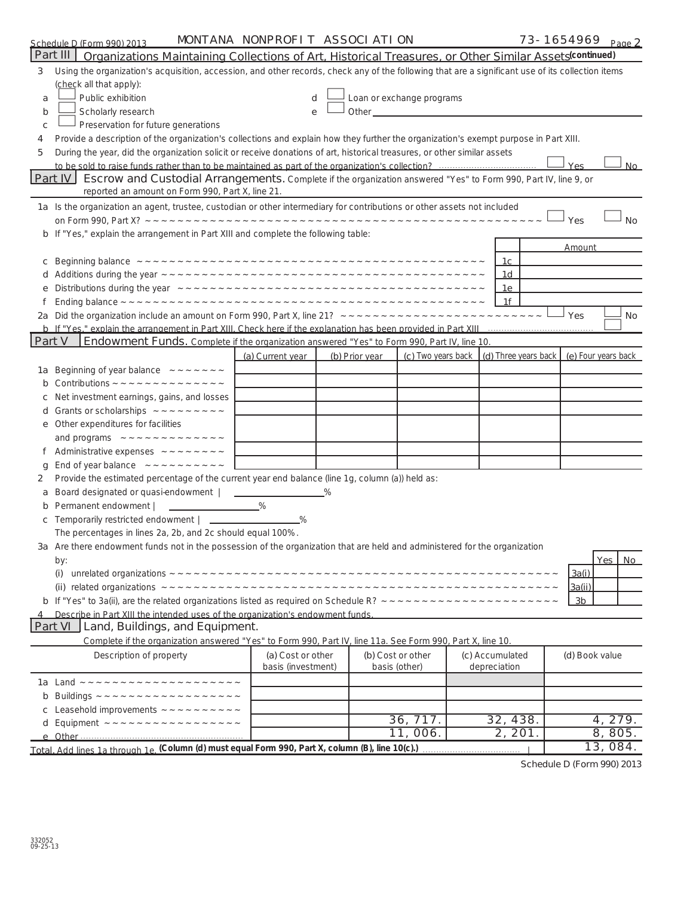|        | Schedule D (Form 990) 2013                                                                                                                        | MONTANA NONPROFIT ASSOCIATION |                |                           |                      | 73-1654969 Page 2   |                  |
|--------|---------------------------------------------------------------------------------------------------------------------------------------------------|-------------------------------|----------------|---------------------------|----------------------|---------------------|------------------|
|        | Part III<br>Organizations Maintaining Collections of Art, Historical Treasures, or Other Similar Assets (continued)                               |                               |                |                           |                      |                     |                  |
| 3      | Using the organization's acquisition, accession, and other records, check any of the following that are a significant use of its collection items |                               |                |                           |                      |                     |                  |
|        | (check all that apply):                                                                                                                           |                               |                |                           |                      |                     |                  |
| a      | Public exhibition                                                                                                                                 | d                             |                | Loan or exchange programs |                      |                     |                  |
| b      | Scholarly research                                                                                                                                | e                             |                |                           |                      |                     |                  |
| c      | Preservation for future generations                                                                                                               |                               |                |                           |                      |                     |                  |
| 4      | Provide a description of the organization's collections and explain how they further the organization's exempt purpose in Part XIII.              |                               |                |                           |                      |                     |                  |
| 5      | During the year, did the organization solicit or receive donations of art, historical treasures, or other similar assets                          |                               |                |                           |                      |                     |                  |
|        |                                                                                                                                                   |                               |                |                           |                      | Yes                 | <b>No</b>        |
|        | Part IV<br>Escrow and Custodial Arrangements. Complete if the organization answered "Yes" to Form 990, Part IV, line 9, or                        |                               |                |                           |                      |                     |                  |
|        | reported an amount on Form 990, Part X, line 21.                                                                                                  |                               |                |                           |                      |                     |                  |
|        | 1a Is the organization an agent, trustee, custodian or other intermediary for contributions or other assets not included                          |                               |                |                           |                      |                     |                  |
|        |                                                                                                                                                   |                               |                |                           |                      | Yes                 | <b>No</b>        |
|        | b If "Yes," explain the arrangement in Part XIII and complete the following table:                                                                |                               |                |                           |                      |                     |                  |
|        |                                                                                                                                                   |                               |                |                           |                      | Amount              |                  |
| с      |                                                                                                                                                   |                               |                |                           | 1c                   |                     |                  |
|        |                                                                                                                                                   |                               |                |                           | 1d                   |                     |                  |
|        |                                                                                                                                                   |                               |                |                           | 1e                   |                     |                  |
|        |                                                                                                                                                   |                               |                |                           | 1f                   |                     |                  |
|        |                                                                                                                                                   |                               |                |                           |                      | Yes                 | No               |
|        |                                                                                                                                                   |                               |                |                           |                      |                     |                  |
| Part V | Endowment Funds. Complete if the organization answered "Yes" to Form 990, Part IV, line 10.                                                       |                               |                |                           |                      |                     |                  |
|        |                                                                                                                                                   | (a) Current year              | (b) Prior year | (c) Two years back        | (d) Three years back | (e) Four years back |                  |
| 1a     | Beginning of year balance $\sim  \sim$ $\sim$ $\sim$ $\sim$ $\sim$                                                                                |                               |                |                           |                      |                     |                  |
|        |                                                                                                                                                   |                               |                |                           |                      |                     |                  |
|        | Net investment earnings, gains, and losses                                                                                                        |                               |                |                           |                      |                     |                  |
| a      |                                                                                                                                                   |                               |                |                           |                      |                     |                  |
| е      | Other expenditures for facilities                                                                                                                 |                               |                |                           |                      |                     |                  |
|        |                                                                                                                                                   |                               |                |                           |                      |                     |                  |
|        | Administrative expenses $\sim  \sim$ $\sim$ $\sim$ $\sim$ $\sim$                                                                                  |                               |                |                           |                      |                     |                  |
| g      |                                                                                                                                                   |                               |                |                           |                      |                     |                  |
| 2      | Provide the estimated percentage of the current year end balance (line 1g, column (a)) held as:                                                   |                               |                |                           |                      |                     |                  |
| a      | Board designated or quasi-endowment   ______<br>Permanent endowment                                                                               | $\%$                          |                |                           |                      |                     |                  |
|        | Temporarily restricted endowment   ____________                                                                                                   | %                             |                |                           |                      |                     |                  |
|        | The percentages in lines 2a, 2b, and 2c should equal 100%.                                                                                        |                               |                |                           |                      |                     |                  |
|        | 3a Are there endowment funds not in the possession of the organization that are held and administered for the organization                        |                               |                |                           |                      |                     |                  |
|        | by:                                                                                                                                               |                               |                |                           |                      |                     | <b>Yes</b><br>No |
|        | (i)                                                                                                                                               |                               |                |                           |                      | 3a(i)               |                  |
|        |                                                                                                                                                   |                               |                |                           |                      | 3a(ii)              |                  |
|        |                                                                                                                                                   |                               |                |                           |                      | 3 <sub>b</sub>      |                  |
|        | Describe in Part XIII the intended uses of the organization's endowment funds.                                                                    |                               |                |                           |                      |                     |                  |
|        | Part VI<br>Land, Buildings, and Equipment.                                                                                                        |                               |                |                           |                      |                     |                  |
|        | Complete if the organization answered "Yes" to Form 990, Part IV, line 11a. See Form 990, Part X, line 10.                                        |                               |                |                           |                      |                     |                  |
|        | Description of property                                                                                                                           | (a) Cost or other             |                | (b) Cost or other         | (c) Accumulated      | (d) Book value      |                  |
|        |                                                                                                                                                   | basis (investment)            |                | basis (other)             | depreciation         |                     |                  |
|        |                                                                                                                                                   |                               |                |                           |                      |                     |                  |
| b      |                                                                                                                                                   |                               |                |                           |                      |                     |                  |
|        |                                                                                                                                                   |                               |                |                           |                      |                     |                  |
| d      |                                                                                                                                                   |                               |                | 36, 717.                  | 32, 438.             |                     | 4, 279.          |
|        |                                                                                                                                                   |                               |                | 11,006.                   | 2, 201.              |                     | 8,805.           |
|        | Total, Add lines 1a through 1e. (Column (d) must equal Form 990, Part X, column (B), line 10(c).)                                                 |                               |                |                           |                      |                     | 13, 084.         |

**Schedule D (Form 990) 2013**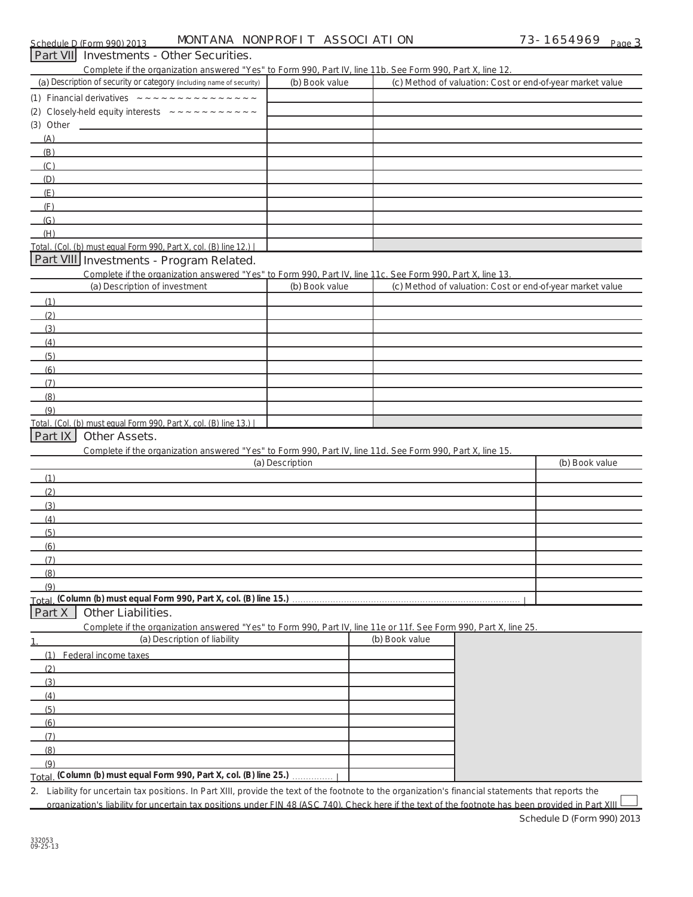| Part VII Investments - Other Securities.                                                                                                                                           |                 |                                                           |                |
|------------------------------------------------------------------------------------------------------------------------------------------------------------------------------------|-----------------|-----------------------------------------------------------|----------------|
| Complete if the organization answered "Yes" to Form 990, Part IV, line 11b. See Form 990, Part X, line 12.<br>(a) Description of security or category (including name of security) | (b) Book value  | (c) Method of valuation: Cost or end-of-year market value |                |
|                                                                                                                                                                                    |                 |                                                           |                |
| (2)                                                                                                                                                                                |                 |                                                           |                |
|                                                                                                                                                                                    |                 |                                                           |                |
| (A)<br><u> 1989 - Johann Barbara, martin da basar a shekara 1989 - An tsara 1989 - An tsara 1989 - An tsara 1989 - An tsa</u>                                                      |                 |                                                           |                |
| (B)                                                                                                                                                                                |                 |                                                           |                |
| (C)                                                                                                                                                                                |                 |                                                           |                |
| (D)                                                                                                                                                                                |                 |                                                           |                |
| (E)                                                                                                                                                                                |                 |                                                           |                |
| (F)                                                                                                                                                                                |                 |                                                           |                |
| (G)                                                                                                                                                                                |                 |                                                           |                |
| (H)                                                                                                                                                                                |                 |                                                           |                |
| Total. (Col. (b) must equal Form 990, Part X, col. (B) line 12.)                                                                                                                   |                 |                                                           |                |
| Part VIII Investments - Program Related.                                                                                                                                           |                 |                                                           |                |
| Complete if the organization answered "Yes" to Form 990. Part IV. line 11c. See Form 990. Part X. line 13.                                                                         |                 |                                                           |                |
| (a) Description of investment                                                                                                                                                      | (b) Book value  | (c) Method of valuation: Cost or end-of-year market value |                |
| (1)                                                                                                                                                                                |                 |                                                           |                |
| (2)                                                                                                                                                                                |                 |                                                           |                |
| (3)                                                                                                                                                                                |                 |                                                           |                |
| (4)                                                                                                                                                                                |                 |                                                           |                |
| (5)                                                                                                                                                                                |                 |                                                           |                |
| (6)                                                                                                                                                                                |                 |                                                           |                |
| (7)                                                                                                                                                                                |                 |                                                           |                |
| (8)                                                                                                                                                                                |                 |                                                           |                |
| (9)                                                                                                                                                                                |                 |                                                           |                |
| Total. (Col. (b) must equal Form 990, Part X, col. (B) line 13.)<br>Part IX<br><b>Other Assets.</b>                                                                                |                 |                                                           |                |
| Complete if the organization answered "Yes" to Form 990, Part IV, line 11d. See Form 990, Part X, line 15.                                                                         |                 |                                                           |                |
|                                                                                                                                                                                    | (a) Description |                                                           | (b) Book value |
| (1)                                                                                                                                                                                |                 |                                                           |                |
| (2)                                                                                                                                                                                |                 |                                                           |                |
| (3)                                                                                                                                                                                |                 |                                                           |                |
| (4)                                                                                                                                                                                |                 |                                                           |                |
| (5)                                                                                                                                                                                |                 |                                                           |                |
| (6)                                                                                                                                                                                |                 |                                                           |                |
| (7)                                                                                                                                                                                |                 |                                                           |                |
| (8)                                                                                                                                                                                |                 |                                                           |                |
| (9)                                                                                                                                                                                |                 |                                                           |                |
|                                                                                                                                                                                    |                 |                                                           |                |
| Other Liabilities.<br>Part X                                                                                                                                                       |                 |                                                           |                |
| Complete if the organization answered "Yes" to Form 990, Part IV, line 11e or 11f. See Form 990, Part X, line 25.                                                                  |                 |                                                           |                |
| (a) Description of liability                                                                                                                                                       |                 | (b) Book value                                            |                |
| (1) Federal income taxes                                                                                                                                                           |                 |                                                           |                |
| (2)                                                                                                                                                                                |                 |                                                           |                |
| (3)                                                                                                                                                                                |                 |                                                           |                |
| (4)                                                                                                                                                                                |                 |                                                           |                |
| (5)                                                                                                                                                                                |                 |                                                           |                |
| (6)                                                                                                                                                                                |                 |                                                           |                |
| (7)                                                                                                                                                                                |                 |                                                           |                |
| (8)                                                                                                                                                                                |                 |                                                           |                |
| (9)                                                                                                                                                                                |                 |                                                           |                |
| Total. (Column (b) must equal Form 990, Part X, col. (B) line 25.)                                                                                                                 |                 |                                                           |                |
| 2. Liability for uncertain tax positions. In Part XIII, provide the text of the footnote to the organization's financial statements that reports the                               |                 |                                                           |                |

ability for uncertain tax positions. In Part XIII, provide the text of the footnote to the organization's financial statements that reports the organization's liability for uncertain tax positions under FIN 48 (ASC 740). Check here if the text of the footnote has been provided in Part XIII

**Schedule D (Form 990) 2013**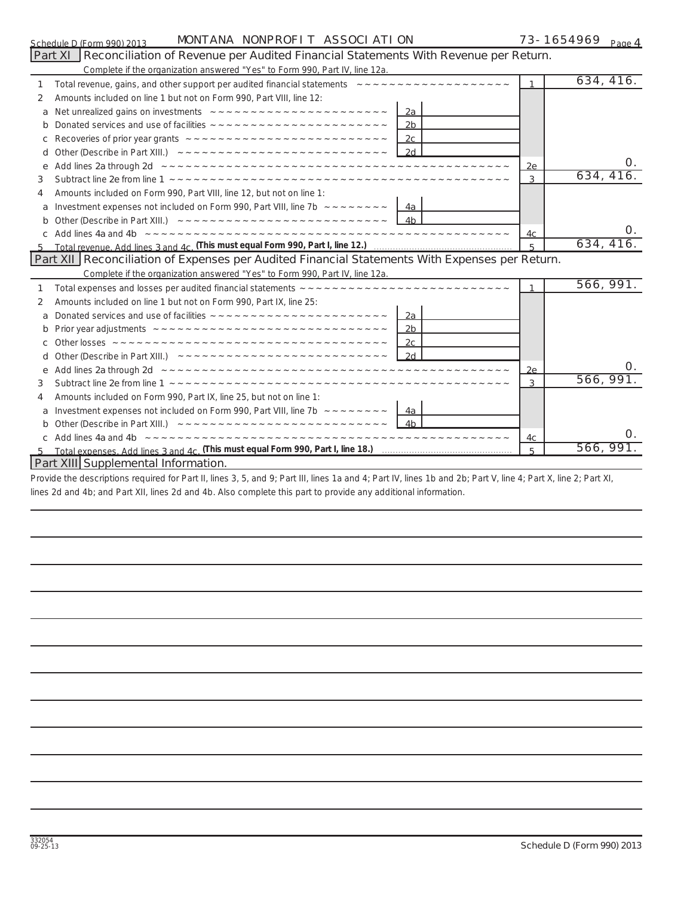| Schedule D (Form 990) 2013 |  |  |
|----------------------------|--|--|

| 73-1654969 <sub>Page</sub> 4 |  |
|------------------------------|--|
|------------------------------|--|

|   | MONTANA NONPROFIT ASSOCIATION<br>Schedule D (Form 990) 2013                                                                                                                                                                          |                | 73-1654969<br>Page $4$ |
|---|--------------------------------------------------------------------------------------------------------------------------------------------------------------------------------------------------------------------------------------|----------------|------------------------|
|   | Reconciliation of Revenue per Audited Financial Statements With Revenue per Return.<br>Part XI                                                                                                                                       |                |                        |
|   | Complete if the organization answered "Yes" to Form 990, Part IV, line 12a.                                                                                                                                                          |                |                        |
| 1 | Total revenue, gains, and other support per audited financial statements $z \sim -z \sim -z \sim -z \sim -z \sim -z \sim -z \sim -z$                                                                                                 |                | 634, 416.              |
| 2 | Amounts included on line 1 but not on Form 990, Part VIII, line 12:                                                                                                                                                                  |                |                        |
| a |                                                                                                                                                                                                                                      |                |                        |
|   | 2 <sub>b</sub>                                                                                                                                                                                                                       |                |                        |
|   |                                                                                                                                                                                                                                      |                |                        |
| d | Other (Describe in Part XIII.) $2d$                                                                                                                                                                                                  |                |                        |
| e | Add lines 2a through 2d <b>Andrew American Character Contract Character Character Character Character Character Character Character Character Character Character Character Character Character Character Character Character Ch</b> | 2e             | O.                     |
| 3 |                                                                                                                                                                                                                                      | 3              | 634, 416.              |
| 4 | Amounts included on Form 990, Part VIII, line 12, but not on line 1:                                                                                                                                                                 |                |                        |
| a |                                                                                                                                                                                                                                      |                |                        |
| b |                                                                                                                                                                                                                                      |                |                        |
|   | Add lines 4a and 4b <b>between we want were and we want we want we want we want we want we</b>                                                                                                                                       | 4c.            | Ο.                     |
|   |                                                                                                                                                                                                                                      | $\overline{5}$ | 634, 416.              |
|   | Part XII Reconciliation of Expenses per Audited Financial Statements With Expenses per Return.                                                                                                                                       |                |                        |
|   | Complete if the organization answered "Yes" to Form 990, Part IV, line 12a.                                                                                                                                                          |                |                        |
| 1 |                                                                                                                                                                                                                                      | 1              | 566, 991.              |
| 2 | Amounts included on line 1 but not on Form 990, Part IX, line 25:                                                                                                                                                                    |                |                        |
| a |                                                                                                                                                                                                                                      |                |                        |
| b | 2b                                                                                                                                                                                                                                   |                |                        |
|   |                                                                                                                                                                                                                                      |                |                        |
| d |                                                                                                                                                                                                                                      |                |                        |
| e |                                                                                                                                                                                                                                      | 2e             | Ο.                     |
| 3 |                                                                                                                                                                                                                                      | 3              | 566, 991.              |
| 4 | Amounts included on Form 990, Part IX, line 25, but not on line 1:                                                                                                                                                                   |                |                        |
|   |                                                                                                                                                                                                                                      |                |                        |
|   |                                                                                                                                                                                                                                      |                |                        |
|   | c Add lines 4a and 4b <b>Production and American Contract Contract Contract Contract Contract Contract Contract Co</b>                                                                                                               | 4c             | $\Omega$ .             |
|   |                                                                                                                                                                                                                                      | $\overline{5}$ | 566, 991.              |

### **Part XIII Supplemental Information.**

Provide the descriptions required for Part II, lines 3, 5, and 9; Part III, lines 1a and 4; Part IV, lines 1b and 2b; Part V, line 4; Part X, line 2; Part XI, lines 2d and 4b; and Part XII, lines 2d and 4b. Also complete this part to provide any additional information.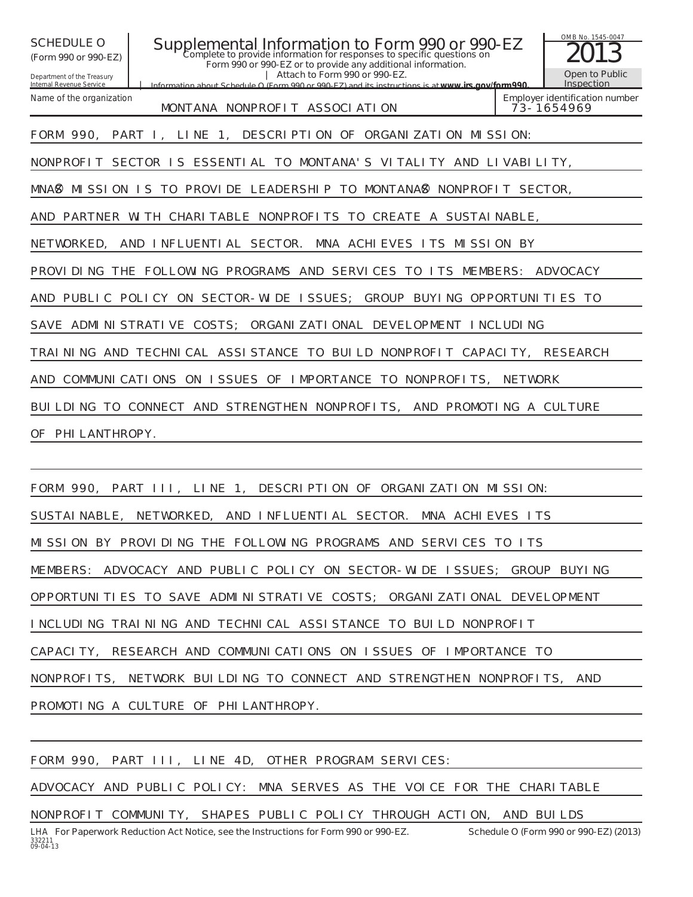OMB No. 1545-0047 Department of the Treasury Internal Revenue Service **Information about Schedule O (Form 990 or 990-EZ) and its instructions is at COMPONE O Supplemental Information to Form 990 or 990-EZ**  $\frac{\text{OMB No. 1545-004}}{2013}$ **Form 990 or 990-EZ or to provide any additional information. | Attach to Form 990 or 990-EZ. | (Form 990 or 990-EZ) Open to Public Inspection Employer identification number** Name of the organization *www.irs.gov/form990.* MONTANA NONPROFIT ASSOCIATION FORM 990, PART I, LINE 1, DESCRIPTION OF ORGANIZATION MISSION: NONPROFIT SECTOR IS ESSENTIAL TO MONTANA'S VITALITY AND LIVABILITY, MNAS MISSION IS TO PROVIDE LEADERSHIP TO MONTANAS NONPROFIT SECTOR, AND PARTNER WITH CHARITABLE NONPROFITS TO CREATE A SUSTAINABLE, NETWORKED, AND INFLUENTIAL SECTOR. MNA ACHIEVES ITS MISSION BY PROVIDING THE FOLLOWING PROGRAMS AND SERVICES TO ITS MEMBERS: ADVOCACY AND PUBLIC POLICY ON SECTOR-WIDE ISSUES; GROUP BUYING OPPORTUNITIES TO SAVE ADMINISTRATIVE COSTS; ORGANIZATIONAL DEVELOPMENT INCLUDING TRAINING AND TECHNICAL ASSISTANCE TO BUILD NONPROFIT CAPACITY, RESEARCH AND COMMUNICATIONS ON ISSUES OF IMPORTANCE TO NONPROFITS, NETWORK BUILDING TO CONNECT AND STRENGTHEN NONPROFITS, AND PROMOTING A CULTURE OF PHI LANTHROPY.

FORM 990, PART III, LINE 1, DESCRIPTION OF ORGANIZATION MISSION: SUSTAINABLE, NETWORKED, AND INFLUENTIAL SECTOR. MNA ACHIEVES ITS MISSION BY PROVIDING THE FOLLOWING PROGRAMS AND SERVICES TO ITS MEMBERS: ADVOCACY AND PUBLIC POLICY ON SECTOR-WIDE ISSUES; GROUP BUYING OPPORTUNITIES TO SAVE ADMINISTRATIVE COSTS; ORGANIZATIONAL DEVELOPMENT INCLUDING TRAINING AND TECHNICAL ASSISTANCE TO BUILD NONPROFIT CAPACITY, RESEARCH AND COMMUNICATIONS ON ISSUES OF IMPORTANCE TO NONPROFITS, NETWORK BUILDING TO CONNECT AND STRENGTHEN NONPROFITS, AND PROMOTING A CULTURE OF PHILANTHROPY.

FORM 990, PART III, LINE 4D, OTHER PROGRAM SERVICES:

ADVOCACY AND PUBLIC POLICY: MNA SERVES AS THE VOICE FOR THE CHARITABLE

NONPROFIT COMMUNITY, SHAPES PUBLIC POLICY THROUGH ACTION, AND BUILDS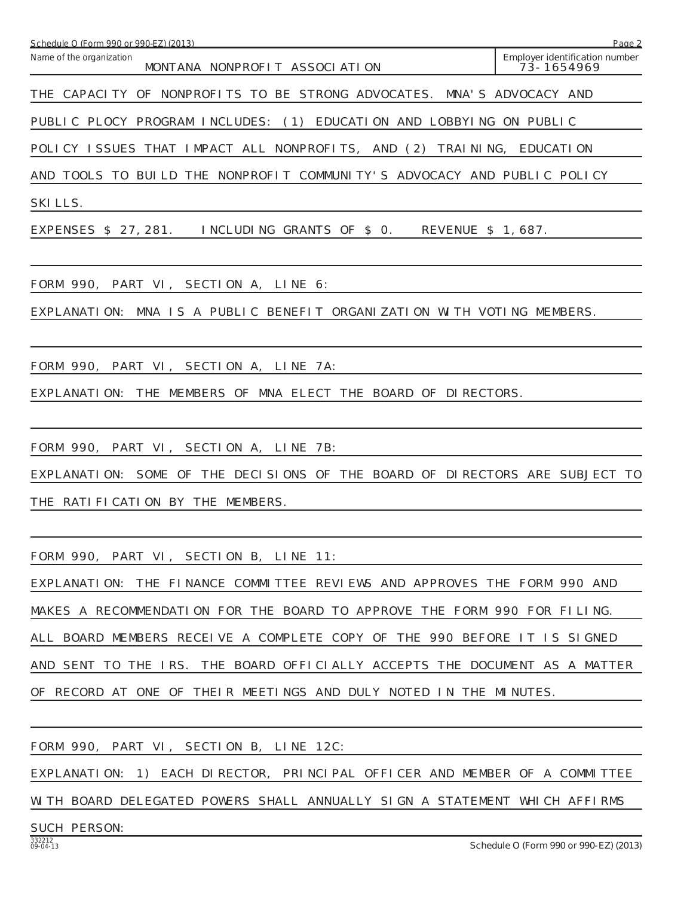| Schedule O (Form 990 or 990-EZ) (2013)                                     | Page 2                                       |
|----------------------------------------------------------------------------|----------------------------------------------|
| Name of the organization<br>MONTANA NONPROFIT ASSOCIATION                  | Employer identification number<br>73-1654969 |
| THE CAPACITY OF NONPROFITS TO BE STRONG ADVOCATES. MNA'S ADVOCACY AND      |                                              |
| PUBLIC PLOCY PROGRAM INCLUDES: (1) EDUCATION AND LOBBYING ON PUBLIC        |                                              |
| POLICY ISSUES THAT IMPACT ALL NONPROFITS,<br>AND (2)<br>TRAI NI NG,        | <b>EDUCATION</b>                             |
| AND TOOLS TO BUILD THE NONPROFIT COMMUNITY'S ADVOCACY AND PUBLIC POLICY    |                                              |
| SKI LLS.                                                                   |                                              |
| EXPENSES \$ 27, 281.<br>INCLUDING GRANTS OF \$0.<br>REVENUE \$ 1,687.      |                                              |
| FORM 990, PART VI, SECTION A, LINE 6:                                      |                                              |
| EXPLANATION: MNA IS A PUBLIC BENEFIT ORGANIZATION WITH VOTING MEMBERS.     |                                              |
| FORM 990, PART VI, SECTION A, LINE 7A:                                     |                                              |
| EXPLANATION: THE MEMBERS OF MNA ELECT THE BOARD OF DIRECTORS.              |                                              |
| FORM 990, PART VI, SECTION A, LINE 7B:                                     |                                              |
| EXPLANATION: SOME OF THE DECISIONS OF THE BOARD OF DIRECTORS ARE SUBJECT   | - I O                                        |
| THE RATIFICATION BY THE MEMBERS.                                           |                                              |
| FORM 990, PART VI, SECTION B, LINE 11:                                     |                                              |
| EXPLANATION: THE FINANCE COMMITTEE REVIEWS AND APPROVES THE FORM 990 AND   |                                              |
| MAKES A RECOMMENDATION FOR THE BOARD TO APPROVE THE FORM 990 FOR FILING.   |                                              |
| ALL BOARD MEMBERS RECEIVE A COMPLETE COPY OF THE 990 BEFORE IT IS SIGNED   |                                              |
| AND SENT TO THE IRS. THE BOARD OFFICIALLY ACCEPTS THE DOCUMENT AS A MATTER |                                              |
| OF RECORD AT ONE OF THEIR MEETINGS AND DULY NOTED IN THE MINUTES.          |                                              |
|                                                                            |                                              |
| FORM 990, PART VI, SECTION B, LINE 12C:                                    |                                              |
| EXPLANATION: 1) EACH DIRECTOR, PRINCIPAL OFFICER AND MEMBER OF A COMMITTEE |                                              |

WITH BOARD DELEGATED POWERS SHALL ANNUALLY SIGN A STATEMENT WHICH AFFIRMS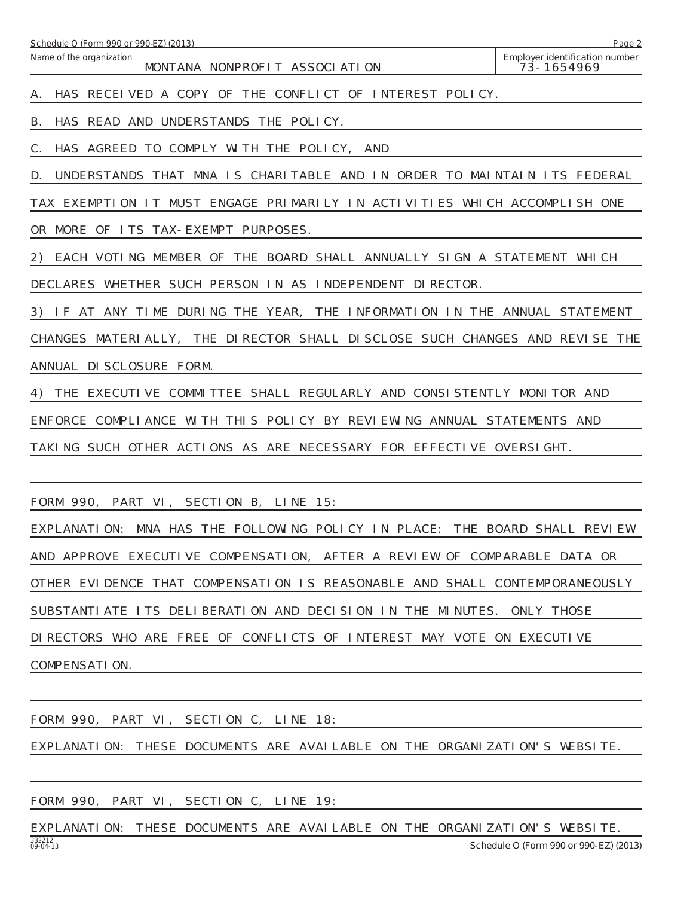| Schedule O (Form 990 or 990-EZ) (2013)                                        | Page 2                                       |
|-------------------------------------------------------------------------------|----------------------------------------------|
| Name of the organization<br>MONTANA NONPROFIT ASSOCIATION                     | Employer identification number<br>73-1654969 |
| HAS RECEIVED A COPY OF THE CONFLICT OF INTEREST POLICY.<br>А.                 |                                              |
| В.<br>HAS READ AND UNDERSTANDS THE POLICY.                                    |                                              |
| С.<br>HAS AGREED TO COMPLY WITH THE POLICY, AND                               |                                              |
| D.<br>UNDERSTANDS THAT MNA IS CHARITABLE AND IN ORDER TO MAINTAIN ITS FEDERAL |                                              |
| TAX EXEMPTION IT MUST ENGAGE PRIMARILY IN ACTIVITIES WHICH ACCOMPLISH ONE     |                                              |
| OR MORE OF ITS TAX-EXEMPT PURPOSES.                                           |                                              |
| EACH VOTING MEMBER OF THE BOARD SHALL ANNUALLY SIGN A STATEMENT WHICH<br>2)   |                                              |
| DECLARES WHETHER SUCH PERSON IN AS INDEPENDENT DIRECTOR.                      |                                              |
| 3) IF AT ANY TIME DURING THE YEAR, THE INFORMATION IN THE ANNUAL STATEMENT    |                                              |
| CHANGES MATERIALLY, THE DIRECTOR SHALL DISCLOSE SUCH CHANGES AND REVISE THE   |                                              |
| ANNUAL DI SCLOSURE FORM.                                                      |                                              |
| 4)<br>THE EXECUTIVE COMMITTEE SHALL REGULARLY AND CONSISTENTLY MONITOR AND    |                                              |
| ENFORCE COMPLIANCE WITH THIS POLICY BY REVIEWING ANNUAL STATEMENTS AND        |                                              |
| TAKING SUCH OTHER ACTIONS AS ARE NECESSARY FOR EFFECTIVE OVERSIGHT.           |                                              |
|                                                                               |                                              |
| FORM 990, PART VI, SECTION B, LINE 15:                                        |                                              |
| EXPLANATION: MNA HAS THE FOLLOWING POLICY IN PLACE: THE BOARD SHALL REVIEW    |                                              |
| AND APPROVE EXECUTIVE COMPENSATION, AFTER A REVIEW OF COMPARABLE DATA OR      |                                              |
| OTHER EVIDENCE THAT COMPENSATION IS REASONABLE AND SHALL CONTEMPORANEOUSLY    |                                              |
| SUBSTANTI ATE ITS DELIBERATION AND DECISION IN THE MINUTES. ONLY THOSE        |                                              |
| DIRECTORS WHO ARE FREE OF CONFLICTS OF INTEREST MAY VOTE ON EXECUTIVE         |                                              |
| COMPENSATI ON.                                                                |                                              |
|                                                                               |                                              |

| FORM 990, PART VI, SECTION C, LINE 18: |  |  |                                                                           |  |
|----------------------------------------|--|--|---------------------------------------------------------------------------|--|
|                                        |  |  | EXPLANATION: THESE DOCUMENTS ARE AVAILABLE ON THE ORGANIZATION'S WEBSITE. |  |
|                                        |  |  |                                                                           |  |

FORM 990, PART VI, SECTION C, LINE 19:

332212 09-04-13 **Schedule O (Form 990 or 990-EZ) (2013)** EXPLANATION: THESE DOCUMENTS ARE AVAILABLE ON THE ORGANIZATION'S WEBSITE.